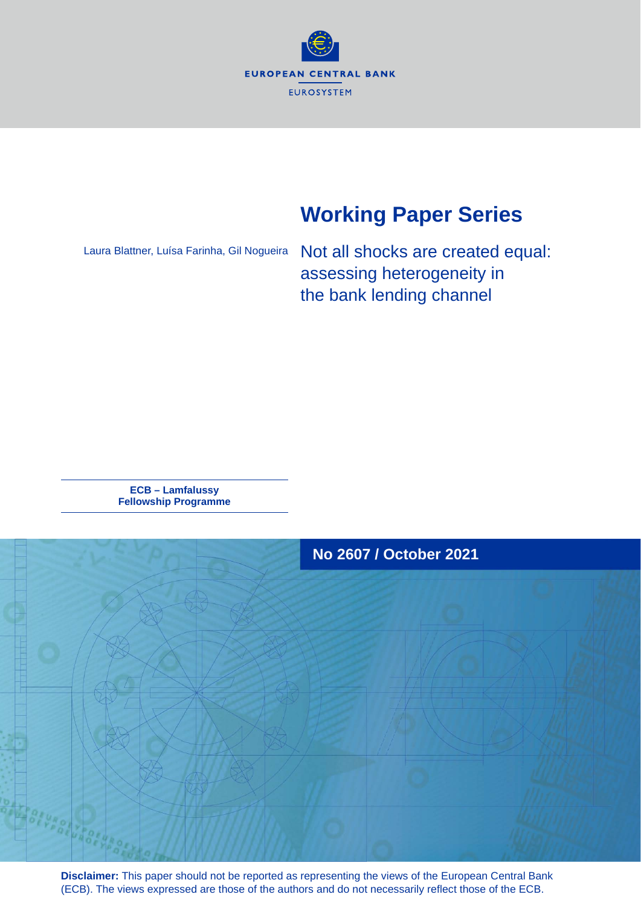

# **Working Paper Series**

Laura Blattner, Luísa Farinha, Gil Nogueira

Not all shocks are created equal: assessing heterogeneity in the bank lending channel

**ECB – Lamfalussy Fellowship Programme**



**Disclaimer:** This paper should not be reported as representing the views of the European Central Bank (ECB). The views expressed are those of the authors and do not necessarily reflect those of the ECB.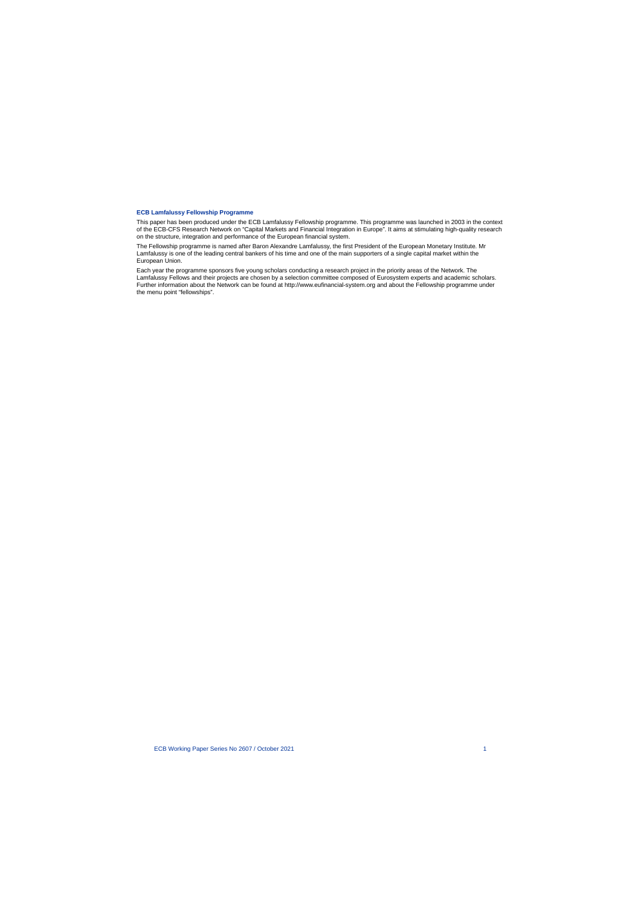#### **ECB Lamfalussy Fellowship Programme**

This paper has been produced under the ECB Lamfalussy Fellowship programme. This programme was launched in 2003 in the context of the ECB-CFS Research Network on "Capital Markets and Financial Integration in Europe". It aims at stimulating high-quality research on the structure, integration and performance of the European financial system.

The Fellowship programme is named after Baron Alexandre Lamfalussy, the first President of the European Monetary Institute. Mr Lamfalussy is one of the leading central bankers of his time and one of the main supporters of a single capital market within the European Union.

Each year the programme sponsors five young scholars conducting a research project in the priority areas of the Network. The Lamfalussy Fellows and their projects are chosen by a selection committee composed of Eurosystem experts and academic scholars. Further information about the Network can be found at http://www.eufinancial-system.org and about the Fellowship programme under the menu point "fellowships".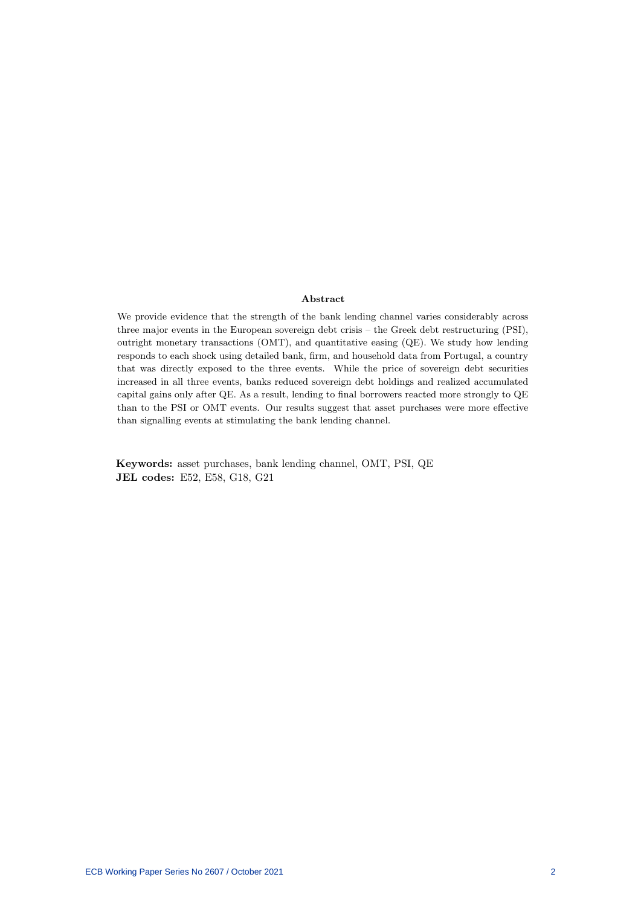#### Abstract

We provide evidence that the strength of the bank lending channel varies considerably across three major events in the European sovereign debt crisis – the Greek debt restructuring (PSI), outright monetary transactions (OMT), and quantitative easing (QE). We study how lending responds to each shock using detailed bank, firm, and household data from Portugal, a country that was directly exposed to the three events. While the price of sovereign debt securities increased in all three events, banks reduced sovereign debt holdings and realized accumulated capital gains only after QE. As a result, lending to final borrowers reacted more strongly to QE than to the PSI or OMT events. Our results suggest that asset purchases were more effective than signalling events at stimulating the bank lending channel.

Keywords: asset purchases, bank lending channel, OMT, PSI, QE JEL codes: E52, E58, G18, G21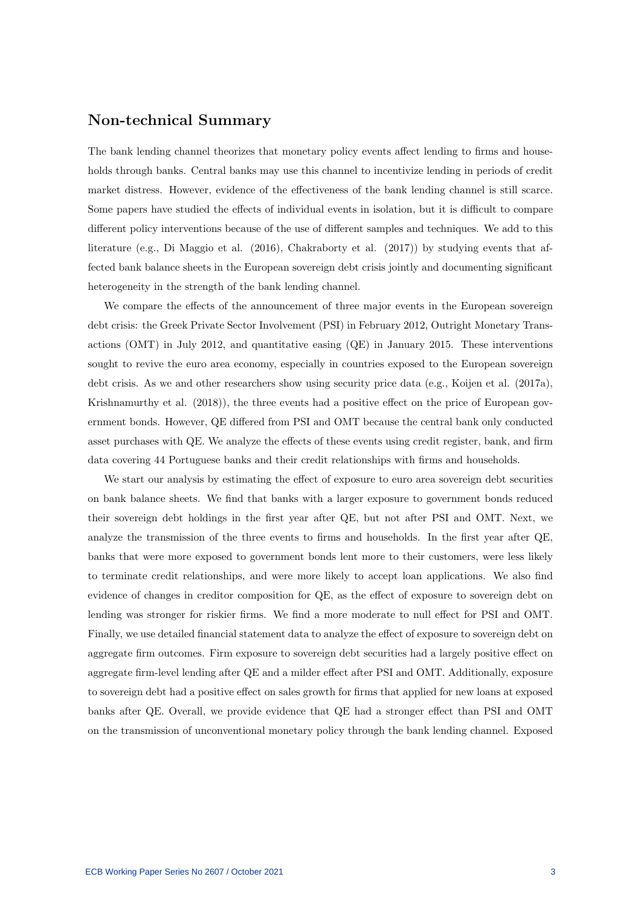## Non-technical Summary

The bank lending channel theorizes that monetary policy events affect lending to firms and households through banks. Central banks may use this channel to incentivize lending in periods of credit market distress. However, evidence of the effectiveness of the bank lending channel is still scarce. Some papers have studied the effects of individual events in isolation, but it is difficult to compare different policy interventions because of the use of different samples and techniques. We add to this literature (e.g., Di Maggio et al. (2016), Chakraborty et al. (2017)) by studying events that affected bank balance sheets in the European sovereign debt crisis jointly and documenting significant heterogeneity in the strength of the bank lending channel.

We compare the effects of the announcement of three major events in the European sovereign debt crisis: the Greek Private Sector Involvement (PSI) in February 2012, Outright Monetary Transactions (OMT) in July 2012, and quantitative easing (QE) in January 2015. These interventions sought to revive the euro area economy, especially in countries exposed to the European sovereign debt crisis. As we and other researchers show using security price data (e.g., Koijen et al. (2017a), Krishnamurthy et al. (2018)), the three events had a positive effect on the price of European government bonds. However, QE differed from PSI and OMT because the central bank only conducted asset purchases with QE. We analyze the effects of these events using credit register, bank, and firm data covering 44 Portuguese banks and their credit relationships with firms and households.

We start our analysis by estimating the effect of exposure to euro area sovereign debt securities on bank balance sheets. We find that banks with a larger exposure to government bonds reduced their sovereign debt holdings in the first year after QE, but not after PSI and OMT. Next, we analyze the transmission of the three events to firms and households. In the first year after QE, banks that were more exposed to government bonds lent more to their customers, were less likely to terminate credit relationships, and were more likely to accept loan applications. We also find evidence of changes in creditor composition for QE, as the effect of exposure to sovereign debt on lending was stronger for riskier firms. We find a more moderate to null effect for PSI and OMT. Finally, we use detailed financial statement data to analyze the effect of exposure to sovereign debt on aggregate firm outcomes. Firm exposure to sovereign debt securities had a largely positive effect on aggregate firm-level lending after QE and a milder effect after PSI and OMT. Additionally, exposure to sovereign debt had a positive effect on sales growth for firms that applied for new loans at exposed banks after QE. Overall, we provide evidence that QE had a stronger effect than PSI and OMT on the transmission of unconventional monetary policy through the bank lending channel. Exposed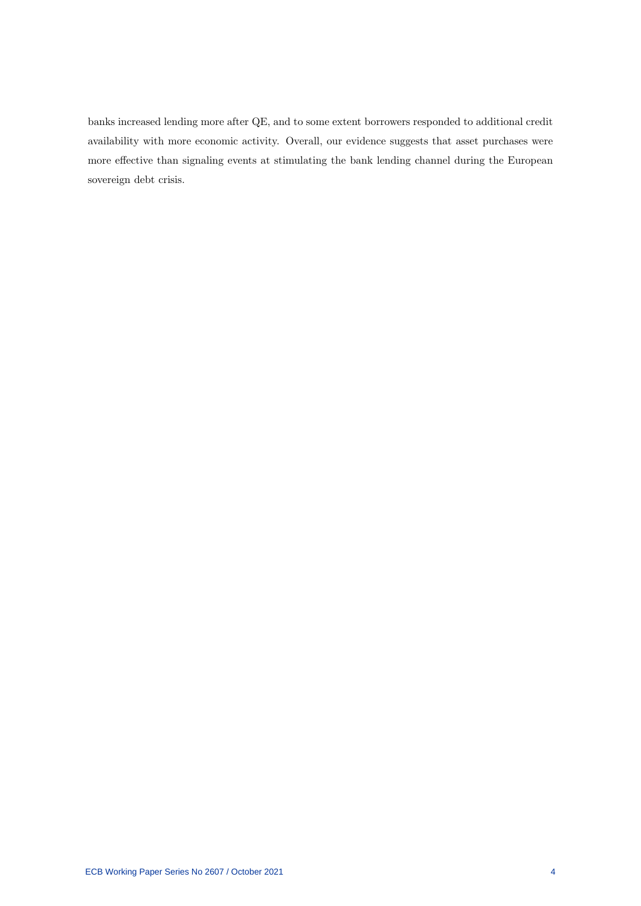banks increased lending more after QE, and to some extent borrowers responded to additional credit availability with more economic activity. Overall, our evidence suggests that asset purchases were more effective than signaling events at stimulating the bank lending channel during the European sovereign debt crisis.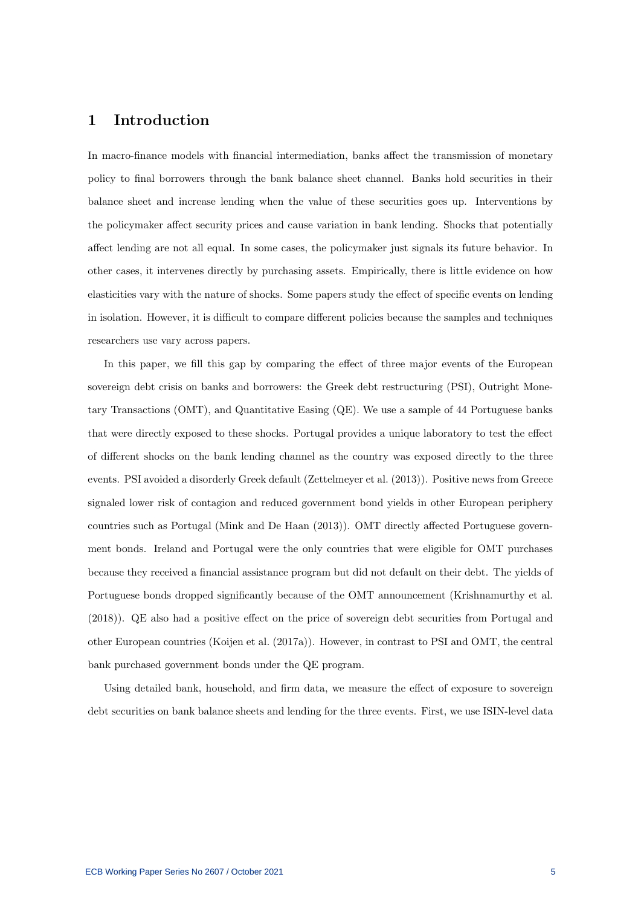## 1 Introduction

In macro-finance models with financial intermediation, banks affect the transmission of monetary policy to final borrowers through the bank balance sheet channel. Banks hold securities in their balance sheet and increase lending when the value of these securities goes up. Interventions by the policymaker affect security prices and cause variation in bank lending. Shocks that potentially affect lending are not all equal. In some cases, the policymaker just signals its future behavior. In other cases, it intervenes directly by purchasing assets. Empirically, there is little evidence on how elasticities vary with the nature of shocks. Some papers study the effect of specific events on lending in isolation. However, it is difficult to compare different policies because the samples and techniques researchers use vary across papers.

In this paper, we fill this gap by comparing the effect of three major events of the European sovereign debt crisis on banks and borrowers: the Greek debt restructuring (PSI), Outright Monetary Transactions (OMT), and Quantitative Easing (QE). We use a sample of 44 Portuguese banks that were directly exposed to these shocks. Portugal provides a unique laboratory to test the effect of different shocks on the bank lending channel as the country was exposed directly to the three events. PSI avoided a disorderly Greek default (Zettelmeyer et al. (2013)). Positive news from Greece signaled lower risk of contagion and reduced government bond yields in other European periphery countries such as Portugal (Mink and De Haan (2013)). OMT directly affected Portuguese government bonds. Ireland and Portugal were the only countries that were eligible for OMT purchases because they received a financial assistance program but did not default on their debt. The yields of Portuguese bonds dropped significantly because of the OMT announcement (Krishnamurthy et al. (2018)). QE also had a positive effect on the price of sovereign debt securities from Portugal and other European countries (Koijen et al. (2017a)). However, in contrast to PSI and OMT, the central bank purchased government bonds under the QE program.

Using detailed bank, household, and firm data, we measure the effect of exposure to sovereign debt securities on bank balance sheets and lending for the three events. First, we use ISIN-level data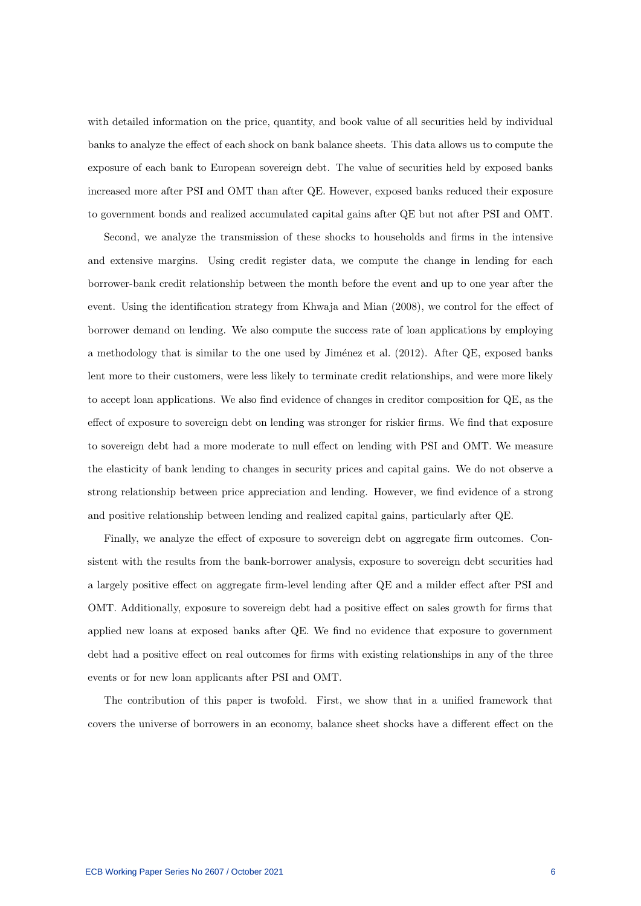with detailed information on the price, quantity, and book value of all securities held by individual banks to analyze the effect of each shock on bank balance sheets. This data allows us to compute the exposure of each bank to European sovereign debt. The value of securities held by exposed banks increased more after PSI and OMT than after QE. However, exposed banks reduced their exposure to government bonds and realized accumulated capital gains after QE but not after PSI and OMT.

Second, we analyze the transmission of these shocks to households and firms in the intensive and extensive margins. Using credit register data, we compute the change in lending for each borrower-bank credit relationship between the month before the event and up to one year after the event. Using the identification strategy from Khwaja and Mian (2008), we control for the effect of borrower demand on lending. We also compute the success rate of loan applications by employing a methodology that is similar to the one used by Jiménez et al. (2012). After QE, exposed banks lent more to their customers, were less likely to terminate credit relationships, and were more likely to accept loan applications. We also find evidence of changes in creditor composition for QE, as the effect of exposure to sovereign debt on lending was stronger for riskier firms. We find that exposure to sovereign debt had a more moderate to null effect on lending with PSI and OMT. We measure the elasticity of bank lending to changes in security prices and capital gains. We do not observe a strong relationship between price appreciation and lending. However, we find evidence of a strong and positive relationship between lending and realized capital gains, particularly after QE.

Finally, we analyze the effect of exposure to sovereign debt on aggregate firm outcomes. Consistent with the results from the bank-borrower analysis, exposure to sovereign debt securities had a largely positive effect on aggregate firm-level lending after QE and a milder effect after PSI and OMT. Additionally, exposure to sovereign debt had a positive effect on sales growth for firms that applied new loans at exposed banks after QE. We find no evidence that exposure to government debt had a positive effect on real outcomes for firms with existing relationships in any of the three events or for new loan applicants after PSI and OMT.

The contribution of this paper is twofold. First, we show that in a unified framework that covers the universe of borrowers in an economy, balance sheet shocks have a different effect on the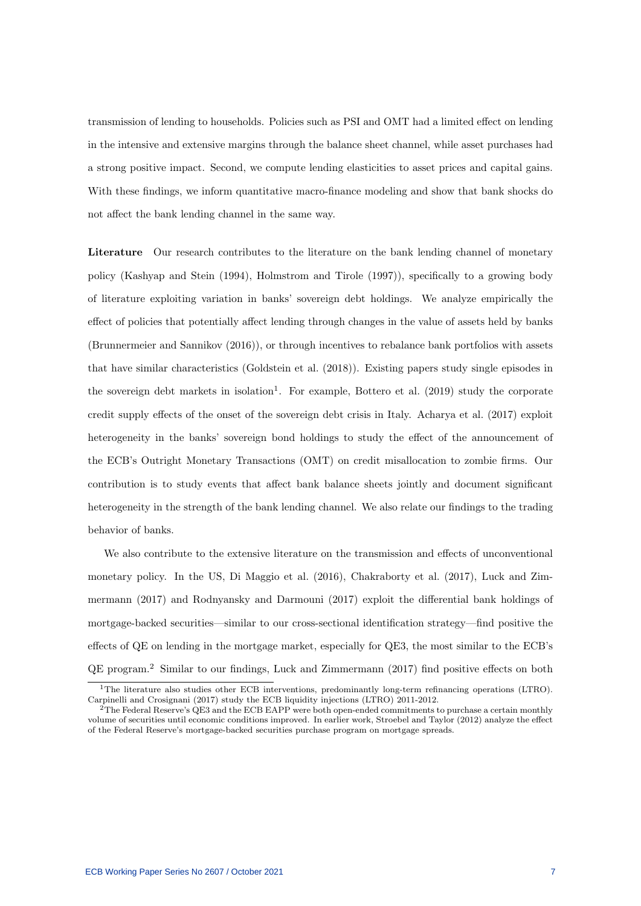transmission of lending to households. Policies such as PSI and OMT had a limited effect on lending in the intensive and extensive margins through the balance sheet channel, while asset purchases had a strong positive impact. Second, we compute lending elasticities to asset prices and capital gains. With these findings, we inform quantitative macro-finance modeling and show that bank shocks do not affect the bank lending channel in the same way.

Literature Our research contributes to the literature on the bank lending channel of monetary policy (Kashyap and Stein (1994), Holmstrom and Tirole (1997)), specifically to a growing body of literature exploiting variation in banks' sovereign debt holdings. We analyze empirically the effect of policies that potentially affect lending through changes in the value of assets held by banks (Brunnermeier and Sannikov (2016)), or through incentives to rebalance bank portfolios with assets that have similar characteristics (Goldstein et al. (2018)). Existing papers study single episodes in the sovereign debt markets in isolation<sup>1</sup>. For example, Bottero et al.  $(2019)$  study the corporate credit supply effects of the onset of the sovereign debt crisis in Italy. Acharya et al. (2017) exploit heterogeneity in the banks' sovereign bond holdings to study the effect of the announcement of the ECB's Outright Monetary Transactions (OMT) on credit misallocation to zombie firms. Our contribution is to study events that affect bank balance sheets jointly and document significant heterogeneity in the strength of the bank lending channel. We also relate our findings to the trading behavior of banks.

We also contribute to the extensive literature on the transmission and effects of unconventional monetary policy. In the US, Di Maggio et al. (2016), Chakraborty et al. (2017), Luck and Zimmermann (2017) and Rodnyansky and Darmouni (2017) exploit the differential bank holdings of mortgage-backed securities—similar to our cross-sectional identification strategy—find positive the effects of QE on lending in the mortgage market, especially for QE3, the most similar to the ECB's QE program.<sup>2</sup> Similar to our findings, Luck and Zimmermann (2017) find positive effects on both

<sup>&</sup>lt;sup>1</sup>The literature also studies other ECB interventions, predominantly long-term refinancing operations (LTRO). Carpinelli and Crosignani (2017) study the ECB liquidity injections (LTRO) 2011-2012.

 $2^2$ The Federal Reserve's QE3 and the ECB EAPP were both open-ended commitments to purchase a certain monthly volume of securities until economic conditions improved. In earlier work, Stroebel and Taylor (2012) analyze the effect of the Federal Reserve's mortgage-backed securities purchase program on mortgage spreads.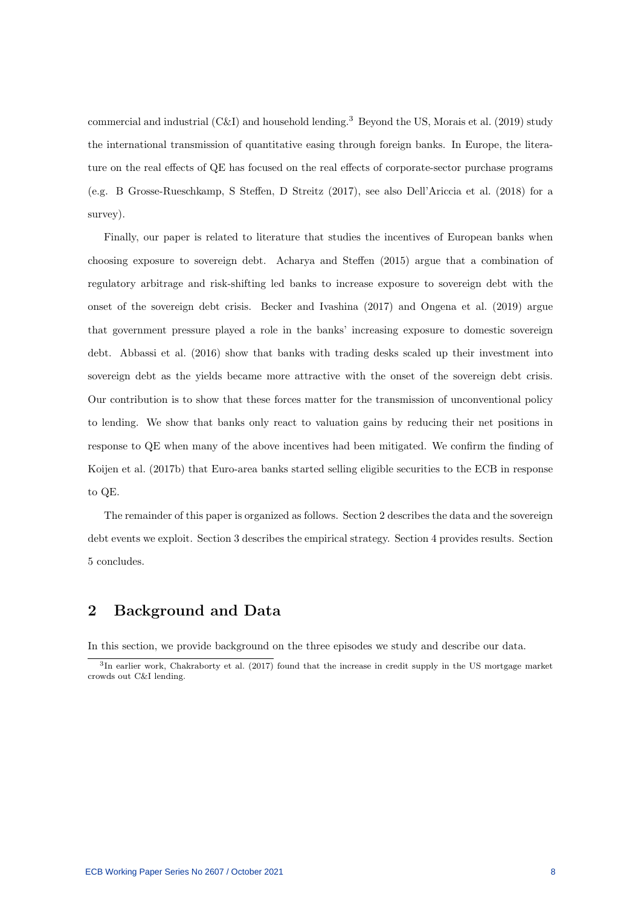commercial and industrial (C&I) and household lending.<sup>3</sup> Beyond the US, Morais et al. (2019) study the international transmission of quantitative easing through foreign banks. In Europe, the literature on the real effects of QE has focused on the real effects of corporate-sector purchase programs (e.g. B Grosse-Rueschkamp, S Steffen, D Streitz (2017), see also Dell'Ariccia et al. (2018) for a survey).

Finally, our paper is related to literature that studies the incentives of European banks when choosing exposure to sovereign debt. Acharya and Steffen (2015) argue that a combination of regulatory arbitrage and risk-shifting led banks to increase exposure to sovereign debt with the onset of the sovereign debt crisis. Becker and Ivashina (2017) and Ongena et al. (2019) argue that government pressure played a role in the banks' increasing exposure to domestic sovereign debt. Abbassi et al. (2016) show that banks with trading desks scaled up their investment into sovereign debt as the yields became more attractive with the onset of the sovereign debt crisis. Our contribution is to show that these forces matter for the transmission of unconventional policy to lending. We show that banks only react to valuation gains by reducing their net positions in response to QE when many of the above incentives had been mitigated. We confirm the finding of Koijen et al. (2017b) that Euro-area banks started selling eligible securities to the ECB in response to QE.

The remainder of this paper is organized as follows. Section 2 describes the data and the sovereign debt events we exploit. Section 3 describes the empirical strategy. Section 4 provides results. Section 5 concludes.

## 2 Background and Data

In this section, we provide background on the three episodes we study and describe our data.

<sup>&</sup>lt;sup>3</sup>In earlier work, Chakraborty et al. (2017) found that the increase in credit supply in the US mortgage market crowds out C&I lending.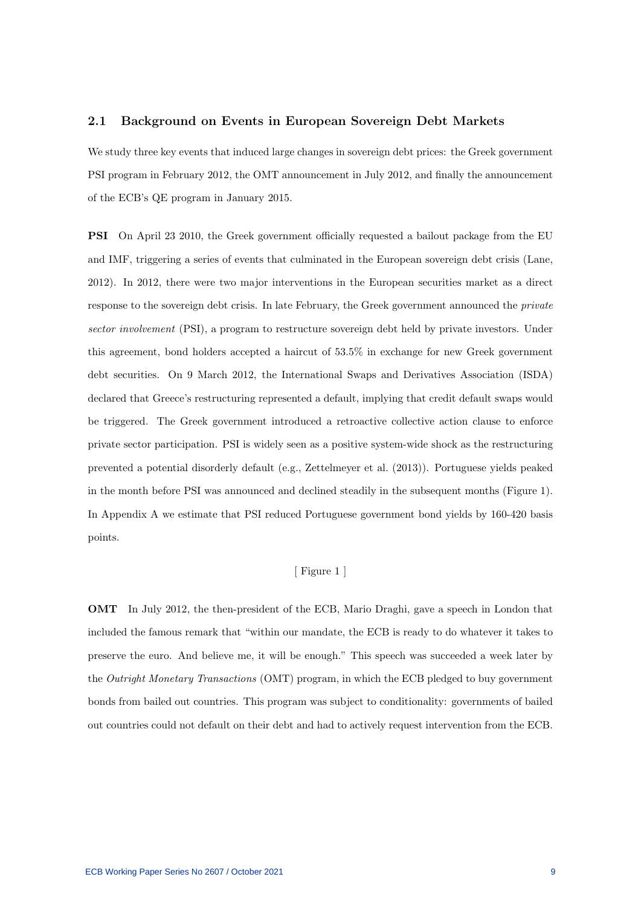#### 2.1 Background on Events in European Sovereign Debt Markets

We study three key events that induced large changes in sovereign debt prices: the Greek government PSI program in February 2012, the OMT announcement in July 2012, and finally the announcement of the ECB's QE program in January 2015.

PSI On April 23 2010, the Greek government officially requested a bailout package from the EU and IMF, triggering a series of events that culminated in the European sovereign debt crisis (Lane, 2012). In 2012, there were two major interventions in the European securities market as a direct response to the sovereign debt crisis. In late February, the Greek government announced the private sector involvement (PSI), a program to restructure sovereign debt held by private investors. Under this agreement, bond holders accepted a haircut of 53.5% in exchange for new Greek government debt securities. On 9 March 2012, the International Swaps and Derivatives Association (ISDA) declared that Greece's restructuring represented a default, implying that credit default swaps would be triggered. The Greek government introduced a retroactive collective action clause to enforce private sector participation. PSI is widely seen as a positive system-wide shock as the restructuring prevented a potential disorderly default (e.g., Zettelmeyer et al. (2013)). Portuguese yields peaked in the month before PSI was announced and declined steadily in the subsequent months (Figure 1). In Appendix A we estimate that PSI reduced Portuguese government bond yields by 160-420 basis points.

### [ Figure 1 ]

OMT In July 2012, the then-president of the ECB, Mario Draghi, gave a speech in London that included the famous remark that "within our mandate, the ECB is ready to do whatever it takes to preserve the euro. And believe me, it will be enough." This speech was succeeded a week later by the Outright Monetary Transactions (OMT) program, in which the ECB pledged to buy government bonds from bailed out countries. This program was subject to conditionality: governments of bailed out countries could not default on their debt and had to actively request intervention from the ECB.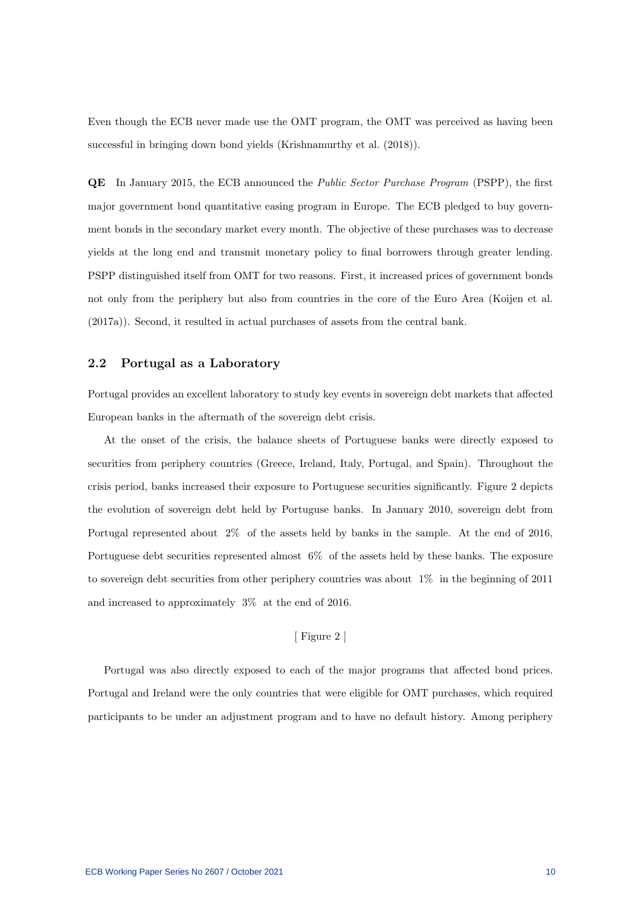Even though the ECB never made use the OMT program, the OMT was perceived as having been successful in bringing down bond yields (Krishnamurthy et al. (2018)).

QE In January 2015, the ECB announced the Public Sector Purchase Program (PSPP), the first major government bond quantitative easing program in Europe. The ECB pledged to buy government bonds in the secondary market every month. The objective of these purchases was to decrease yields at the long end and transmit monetary policy to final borrowers through greater lending. PSPP distinguished itself from OMT for two reasons. First, it increased prices of government bonds not only from the periphery but also from countries in the core of the Euro Area (Koijen et al. (2017a)). Second, it resulted in actual purchases of assets from the central bank.

#### 2.2 Portugal as a Laboratory

Portugal provides an excellent laboratory to study key events in sovereign debt markets that affected European banks in the aftermath of the sovereign debt crisis.

At the onset of the crisis, the balance sheets of Portuguese banks were directly exposed to securities from periphery countries (Greece, Ireland, Italy, Portugal, and Spain). Throughout the crisis period, banks increased their exposure to Portuguese securities significantly. Figure 2 depicts the evolution of sovereign debt held by Portuguse banks. In January 2010, sovereign debt from Portugal represented about 2% of the assets held by banks in the sample. At the end of 2016, Portuguese debt securities represented almost 6% of the assets held by these banks. The exposure to sovereign debt securities from other periphery countries was about 1% in the beginning of 2011 and increased to approximately 3% at the end of 2016.

#### [ Figure 2 ]

Portugal was also directly exposed to each of the major programs that affected bond prices. Portugal and Ireland were the only countries that were eligible for OMT purchases, which required participants to be under an adjustment program and to have no default history. Among periphery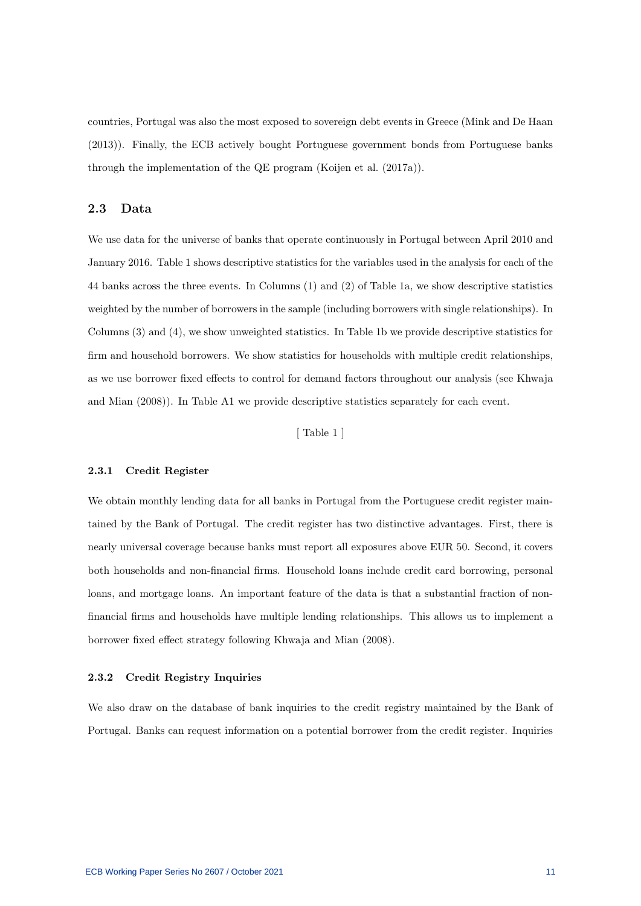countries, Portugal was also the most exposed to sovereign debt events in Greece (Mink and De Haan (2013)). Finally, the ECB actively bought Portuguese government bonds from Portuguese banks through the implementation of the QE program (Koijen et al. (2017a)).

### 2.3 Data

We use data for the universe of banks that operate continuously in Portugal between April 2010 and January 2016. Table 1 shows descriptive statistics for the variables used in the analysis for each of the 44 banks across the three events. In Columns (1) and (2) of Table 1a, we show descriptive statistics weighted by the number of borrowers in the sample (including borrowers with single relationships). In Columns (3) and (4), we show unweighted statistics. In Table 1b we provide descriptive statistics for firm and household borrowers. We show statistics for households with multiple credit relationships, as we use borrower fixed effects to control for demand factors throughout our analysis (see Khwaja and Mian (2008)). In Table A1 we provide descriptive statistics separately for each event.

[ Table 1 ]

#### 2.3.1 Credit Register

We obtain monthly lending data for all banks in Portugal from the Portuguese credit register maintained by the Bank of Portugal. The credit register has two distinctive advantages. First, there is nearly universal coverage because banks must report all exposures above EUR 50. Second, it covers both households and non-financial firms. Household loans include credit card borrowing, personal loans, and mortgage loans. An important feature of the data is that a substantial fraction of nonfinancial firms and households have multiple lending relationships. This allows us to implement a borrower fixed effect strategy following Khwaja and Mian (2008).

#### 2.3.2 Credit Registry Inquiries

We also draw on the database of bank inquiries to the credit registry maintained by the Bank of Portugal. Banks can request information on a potential borrower from the credit register. Inquiries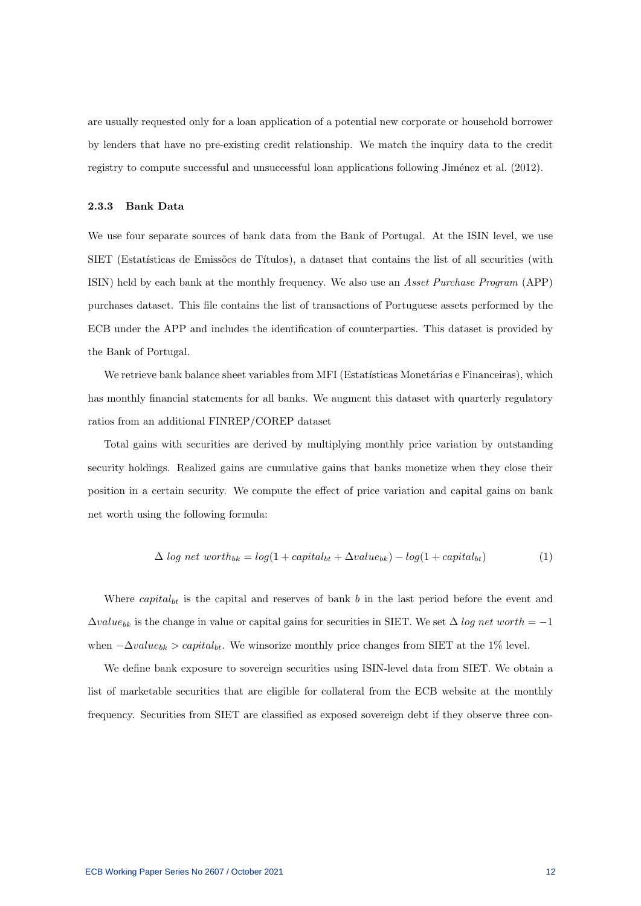are usually requested only for a loan application of a potential new corporate or household borrower by lenders that have no pre-existing credit relationship. We match the inquiry data to the credit registry to compute successful and unsuccessful loan applications following Jiménez et al. (2012).

#### 2.3.3 Bank Data

We use four separate sources of bank data from the Bank of Portugal. At the ISIN level, we use SIET (Estatísticas de Emissões de Títulos), a dataset that contains the list of all securities (with ISIN) held by each bank at the monthly frequency. We also use an Asset Purchase Program (APP) purchases dataset. This file contains the list of transactions of Portuguese assets performed by the ECB under the APP and includes the identification of counterparties. This dataset is provided by the Bank of Portugal.

We retrieve bank balance sheet variables from MFI (Estatísticas Monetárias e Financeiras), which has monthly financial statements for all banks. We augment this dataset with quarterly regulatory ratios from an additional FINREP/COREP dataset

Total gains with securities are derived by multiplying monthly price variation by outstanding security holdings. Realized gains are cumulative gains that banks monetize when they close their position in a certain security. We compute the effect of price variation and capital gains on bank net worth using the following formula:

$$
\Delta log net worth_{bk} = log(1 + capital_{bt} + \Delta value_{bk}) - log(1 + capital_{bt})
$$
\n(1)

Where  $capital_{bt}$  is the capital and reserves of bank b in the last period before the event and  $\Delta value_{bk}$  is the change in value or capital gains for securities in SIET. We set  $\Delta log net worth = -1$ when  $-\Delta value_{bk} > capital_{bt}$ . We winsorize monthly price changes from SIET at the 1% level.

We define bank exposure to sovereign securities using ISIN-level data from SIET. We obtain a list of marketable securities that are eligible for collateral from the ECB website at the monthly frequency. Securities from SIET are classified as exposed sovereign debt if they observe three con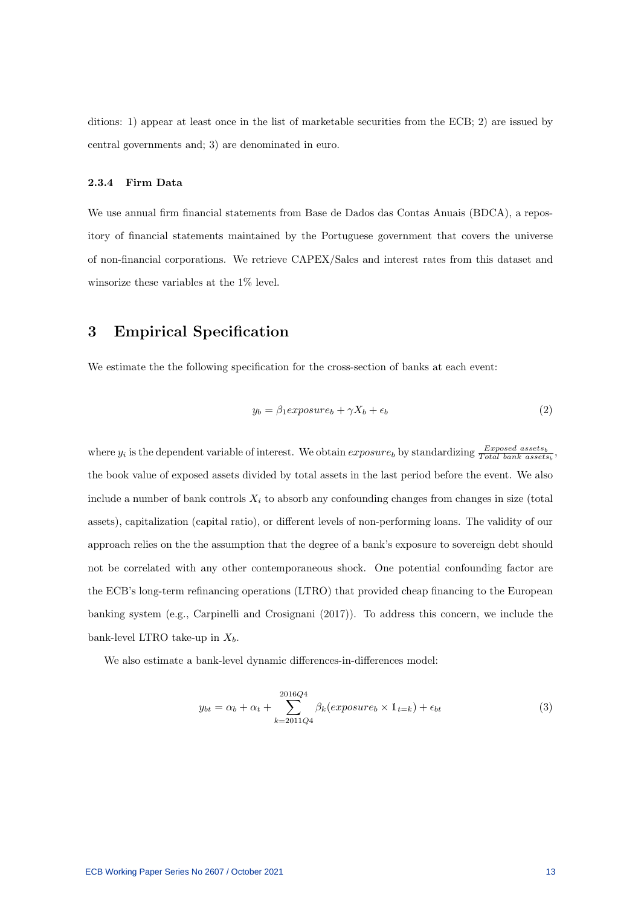ditions: 1) appear at least once in the list of marketable securities from the ECB; 2) are issued by central governments and; 3) are denominated in euro.

#### 2.3.4 Firm Data

We use annual firm financial statements from Base de Dados das Contas Anuais (BDCA), a repository of financial statements maintained by the Portuguese government that covers the universe of non-financial corporations. We retrieve CAPEX/Sales and interest rates from this dataset and winsorize these variables at the 1% level.

# 3 Empirical Specification

We estimate the the following specification for the cross-section of banks at each event:

$$
y_b = \beta_1 \exp osure_b + \gamma X_b + \epsilon_b \tag{2}
$$

where  $y_i$  is the dependent variable of interest. We obtain  $exposure_b$  by standardizing  $\frac{Exposed\; assets}{Total\;bank\; assets}$ , the book value of exposed assets divided by total assets in the last period before the event. We also include a number of bank controls  $X_i$  to absorb any confounding changes from changes in size (total assets), capitalization (capital ratio), or different levels of non-performing loans. The validity of our approach relies on the the assumption that the degree of a bank's exposure to sovereign debt should not be correlated with any other contemporaneous shock. One potential confounding factor are the ECB's long-term refinancing operations (LTRO) that provided cheap financing to the European banking system (e.g., Carpinelli and Crosignani (2017)). To address this concern, we include the bank-level LTRO take-up in  $X_b$ .

We also estimate a bank-level dynamic differences-in-differences model:

$$
y_{bt} = \alpha_b + \alpha_t + \sum_{k=2011Q4}^{2016Q4} \beta_k(exposure_b \times 1_{t=k}) + \epsilon_{bt}
$$
\n(3)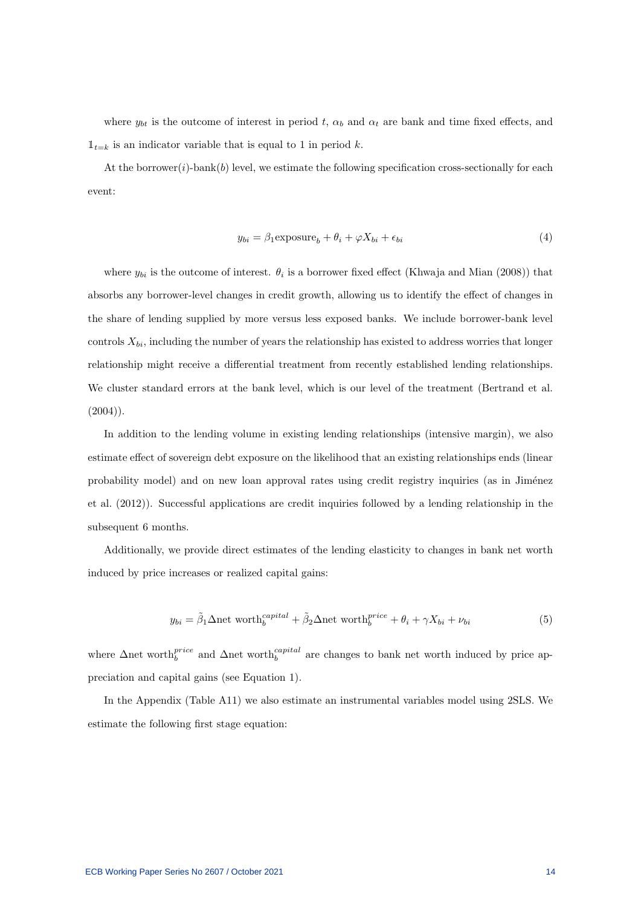where  $y_{bt}$  is the outcome of interest in period t,  $\alpha_b$  and  $\alpha_t$  are bank and time fixed effects, and  $\mathbb{1}_{t=k}$  is an indicator variable that is equal to 1 in period k.

At the borrower( $i$ )-bank( $b$ ) level, we estimate the following specification cross-sectionally for each event:

$$
y_{bi} = \beta_1 \exp \left(-b_i + \phi X_{bi} + \epsilon_{bi}\right) \tag{4}
$$

where  $y_{bi}$  is the outcome of interest.  $\theta_i$  is a borrower fixed effect (Khwaja and Mian (2008)) that absorbs any borrower-level changes in credit growth, allowing us to identify the effect of changes in the share of lending supplied by more versus less exposed banks. We include borrower-bank level controls  $X_{bi}$ , including the number of years the relationship has existed to address worries that longer relationship might receive a differential treatment from recently established lending relationships. We cluster standard errors at the bank level, which is our level of the treatment (Bertrand et al.  $(2004)$ .

In addition to the lending volume in existing lending relationships (intensive margin), we also estimate effect of sovereign debt exposure on the likelihood that an existing relationships ends (linear probability model) and on new loan approval rates using credit registry inquiries (as in Jiménez et al. (2012)). Successful applications are credit inquiries followed by a lending relationship in the subsequent 6 months.

Additionally, we provide direct estimates of the lending elasticity to changes in bank net worth induced by price increases or realized capital gains:

$$
y_{bi} = \tilde{\beta}_1 \Delta \text{net worth}_{b}^{capital} + \tilde{\beta}_2 \Delta \text{net worth}_{b}^{price} + \theta_i + \gamma X_{bi} + \nu_{bi}
$$
 (5)

where  $\Delta$ net worth $_b^{price}$  and  $\Delta$ net worth $_b^{capital}$  are changes to bank net worth induced by price appreciation and capital gains (see Equation 1).

In the Appendix (Table A11) we also estimate an instrumental variables model using 2SLS. We estimate the following first stage equation: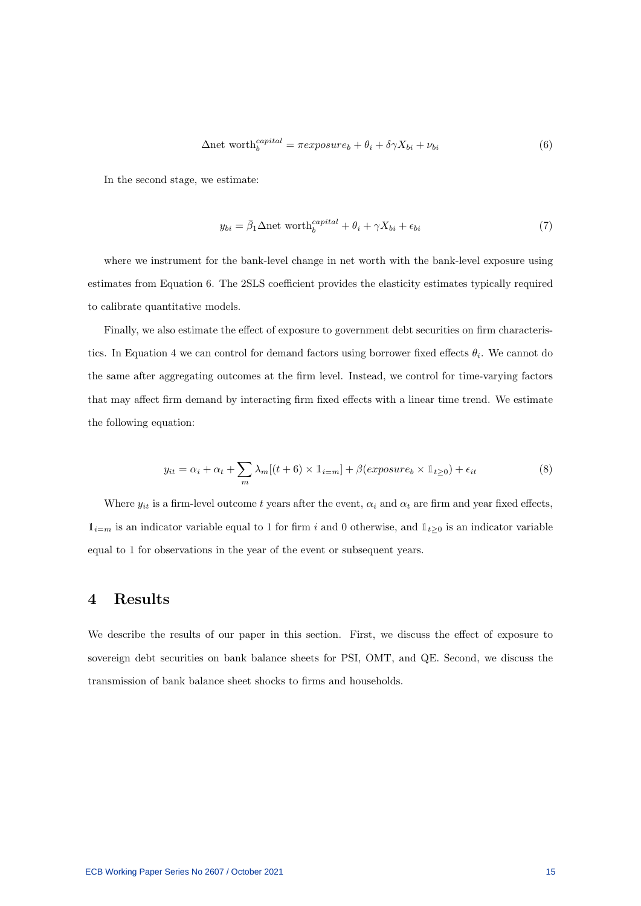$$
\Delta \text{net worth}_{b}^{capital} = \pi expasure_b + \theta_i + \delta \gamma X_{bi} + \nu_{bi}
$$
\n(6)

In the second stage, we estimate:

$$
y_{bi} = \bar{\beta}_1 \Delta \text{net worth}_{b}^{capital} + \theta_i + \gamma X_{bi} + \epsilon_{bi}
$$
 (7)

where we instrument for the bank-level change in net worth with the bank-level exposure using estimates from Equation 6. The 2SLS coefficient provides the elasticity estimates typically required to calibrate quantitative models.

Finally, we also estimate the effect of exposure to government debt securities on firm characteristics. In Equation 4 we can control for demand factors using borrower fixed effects  $\theta_i$ . We cannot do the same after aggregating outcomes at the firm level. Instead, we control for time-varying factors that may affect firm demand by interacting firm fixed effects with a linear time trend. We estimate the following equation:

$$
y_{it} = \alpha_i + \alpha_t + \sum_{m} \lambda_m [(t+6) \times 1_{i=m}] + \beta(exposure_b \times 1_{t \ge 0}) + \epsilon_{it}
$$
\n(8)

Where  $y_{it}$  is a firm-level outcome t years after the event,  $\alpha_i$  and  $\alpha_t$  are firm and year fixed effects,  $\mathbb{1}_{i=m}$  is an indicator variable equal to 1 for firm i and 0 otherwise, and  $\mathbb{1}_{t\geq0}$  is an indicator variable equal to 1 for observations in the year of the event or subsequent years.

## 4 Results

We describe the results of our paper in this section. First, we discuss the effect of exposure to sovereign debt securities on bank balance sheets for PSI, OMT, and QE. Second, we discuss the transmission of bank balance sheet shocks to firms and households.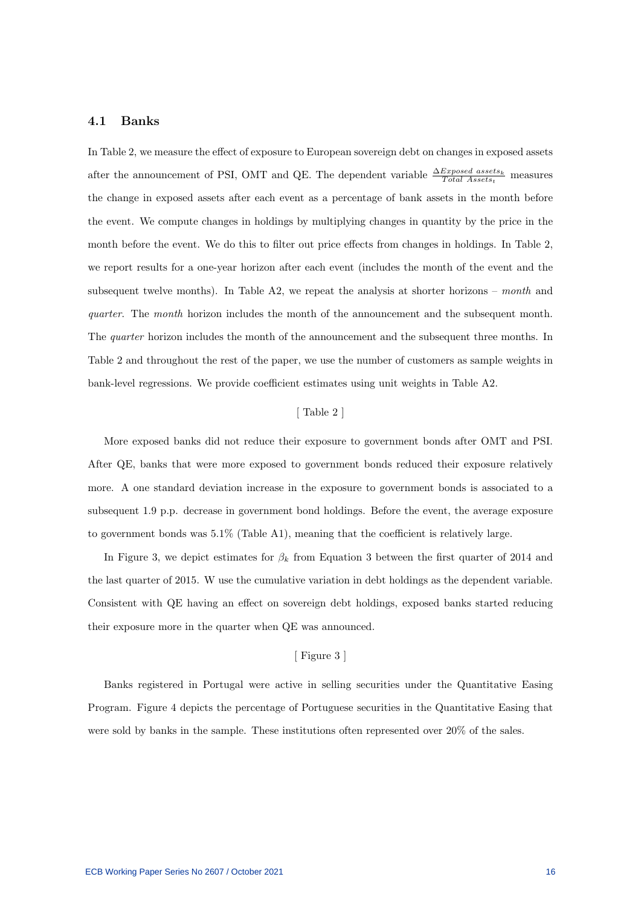#### 4.1 Banks

In Table 2, we measure the effect of exposure to European sovereign debt on changes in exposed assets after the announcement of PSI, OMT and QE. The dependent variable  $\frac{\Delta Exposed\ assets}{Total\ Assets}$  measures the change in exposed assets after each event as a percentage of bank assets in the month before the event. We compute changes in holdings by multiplying changes in quantity by the price in the month before the event. We do this to filter out price effects from changes in holdings. In Table 2, we report results for a one-year horizon after each event (includes the month of the event and the subsequent twelve months). In Table A2, we repeat the analysis at shorter horizons – month and quarter. The month horizon includes the month of the announcement and the subsequent month. The *quarter* horizon includes the month of the announcement and the subsequent three months. In Table 2 and throughout the rest of the paper, we use the number of customers as sample weights in bank-level regressions. We provide coefficient estimates using unit weights in Table A2.

#### [ Table 2 ]

More exposed banks did not reduce their exposure to government bonds after OMT and PSI. After QE, banks that were more exposed to government bonds reduced their exposure relatively more. A one standard deviation increase in the exposure to government bonds is associated to a subsequent 1.9 p.p. decrease in government bond holdings. Before the event, the average exposure to government bonds was 5.1% (Table A1), meaning that the coefficient is relatively large.

In Figure 3, we depict estimates for  $\beta_k$  from Equation 3 between the first quarter of 2014 and the last quarter of 2015. W use the cumulative variation in debt holdings as the dependent variable. Consistent with QE having an effect on sovereign debt holdings, exposed banks started reducing their exposure more in the quarter when QE was announced.

## [ Figure 3 ]

Banks registered in Portugal were active in selling securities under the Quantitative Easing Program. Figure 4 depicts the percentage of Portuguese securities in the Quantitative Easing that were sold by banks in the sample. These institutions often represented over 20% of the sales.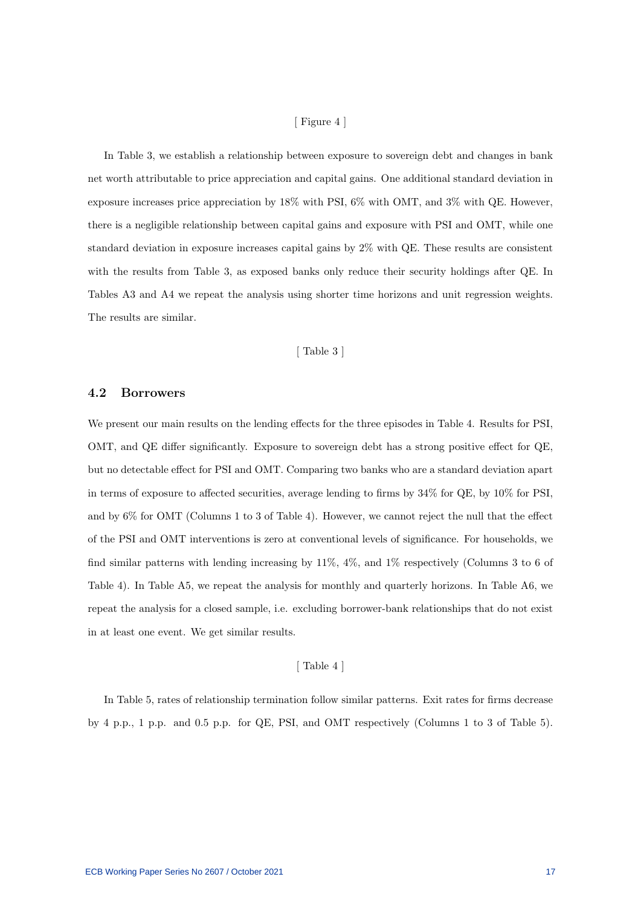#### [ Figure 4 ]

In Table 3, we establish a relationship between exposure to sovereign debt and changes in bank net worth attributable to price appreciation and capital gains. One additional standard deviation in exposure increases price appreciation by 18% with PSI, 6% with OMT, and 3% with QE. However, there is a negligible relationship between capital gains and exposure with PSI and OMT, while one standard deviation in exposure increases capital gains by 2% with QE. These results are consistent with the results from Table 3, as exposed banks only reduce their security holdings after QE. In Tables A3 and A4 we repeat the analysis using shorter time horizons and unit regression weights. The results are similar.

#### [ Table 3 ]

#### 4.2 Borrowers

We present our main results on the lending effects for the three episodes in Table 4. Results for PSI, OMT, and QE differ significantly. Exposure to sovereign debt has a strong positive effect for QE, but no detectable effect for PSI and OMT. Comparing two banks who are a standard deviation apart in terms of exposure to affected securities, average lending to firms by 34% for QE, by 10% for PSI, and by 6% for OMT (Columns 1 to 3 of Table 4). However, we cannot reject the null that the effect of the PSI and OMT interventions is zero at conventional levels of significance. For households, we find similar patterns with lending increasing by 11%, 4%, and 1% respectively (Columns 3 to 6 of Table 4). In Table A5, we repeat the analysis for monthly and quarterly horizons. In Table A6, we repeat the analysis for a closed sample, i.e. excluding borrower-bank relationships that do not exist in at least one event. We get similar results.

### [ Table 4 ]

In Table 5, rates of relationship termination follow similar patterns. Exit rates for firms decrease by 4 p.p., 1 p.p. and 0.5 p.p. for QE, PSI, and OMT respectively (Columns 1 to 3 of Table 5).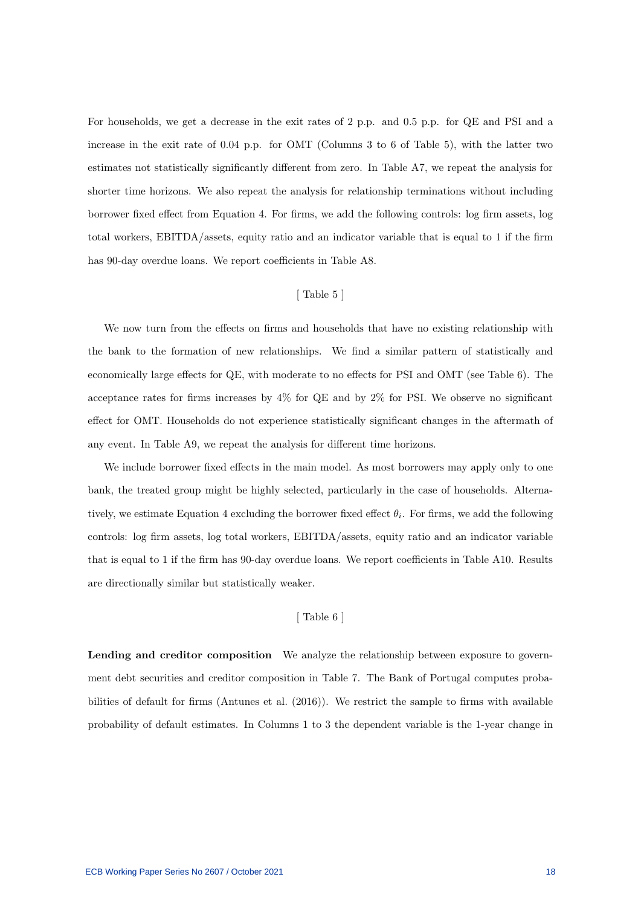For households, we get a decrease in the exit rates of 2 p.p. and 0.5 p.p. for QE and PSI and a increase in the exit rate of 0.04 p.p. for OMT (Columns 3 to 6 of Table 5), with the latter two estimates not statistically significantly different from zero. In Table A7, we repeat the analysis for shorter time horizons. We also repeat the analysis for relationship terminations without including borrower fixed effect from Equation 4. For firms, we add the following controls: log firm assets, log total workers, EBITDA/assets, equity ratio and an indicator variable that is equal to 1 if the firm has 90-day overdue loans. We report coefficients in Table A8.

#### [ Table 5 ]

We now turn from the effects on firms and households that have no existing relationship with the bank to the formation of new relationships. We find a similar pattern of statistically and economically large effects for QE, with moderate to no effects for PSI and OMT (see Table 6). The acceptance rates for firms increases by  $4\%$  for QE and by  $2\%$  for PSI. We observe no significant effect for OMT. Households do not experience statistically significant changes in the aftermath of any event. In Table A9, we repeat the analysis for different time horizons.

We include borrower fixed effects in the main model. As most borrowers may apply only to one bank, the treated group might be highly selected, particularly in the case of households. Alternatively, we estimate Equation 4 excluding the borrower fixed effect  $\theta_i$ . For firms, we add the following controls: log firm assets, log total workers, EBITDA/assets, equity ratio and an indicator variable that is equal to 1 if the firm has 90-day overdue loans. We report coefficients in Table A10. Results are directionally similar but statistically weaker.

#### [ Table 6 ]

Lending and creditor composition We analyze the relationship between exposure to government debt securities and creditor composition in Table 7. The Bank of Portugal computes probabilities of default for firms (Antunes et al. (2016)). We restrict the sample to firms with available probability of default estimates. In Columns 1 to 3 the dependent variable is the 1-year change in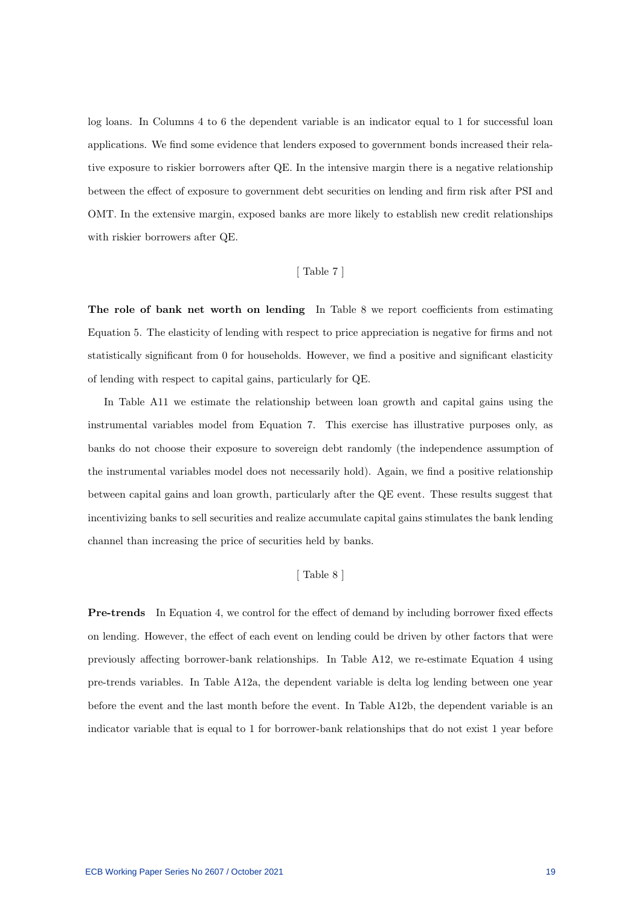log loans. In Columns 4 to 6 the dependent variable is an indicator equal to 1 for successful loan applications. We find some evidence that lenders exposed to government bonds increased their relative exposure to riskier borrowers after QE. In the intensive margin there is a negative relationship between the effect of exposure to government debt securities on lending and firm risk after PSI and OMT. In the extensive margin, exposed banks are more likely to establish new credit relationships with riskier borrowers after QE.

#### [ Table 7 ]

The role of bank net worth on lending In Table 8 we report coefficients from estimating Equation 5. The elasticity of lending with respect to price appreciation is negative for firms and not statistically significant from 0 for households. However, we find a positive and significant elasticity of lending with respect to capital gains, particularly for QE.

In Table A11 we estimate the relationship between loan growth and capital gains using the instrumental variables model from Equation 7. This exercise has illustrative purposes only, as banks do not choose their exposure to sovereign debt randomly (the independence assumption of the instrumental variables model does not necessarily hold). Again, we find a positive relationship between capital gains and loan growth, particularly after the QE event. These results suggest that incentivizing banks to sell securities and realize accumulate capital gains stimulates the bank lending channel than increasing the price of securities held by banks.

#### [ Table 8 ]

Pre-trends In Equation 4, we control for the effect of demand by including borrower fixed effects on lending. However, the effect of each event on lending could be driven by other factors that were previously affecting borrower-bank relationships. In Table A12, we re-estimate Equation 4 using pre-trends variables. In Table A12a, the dependent variable is delta log lending between one year before the event and the last month before the event. In Table A12b, the dependent variable is an indicator variable that is equal to 1 for borrower-bank relationships that do not exist 1 year before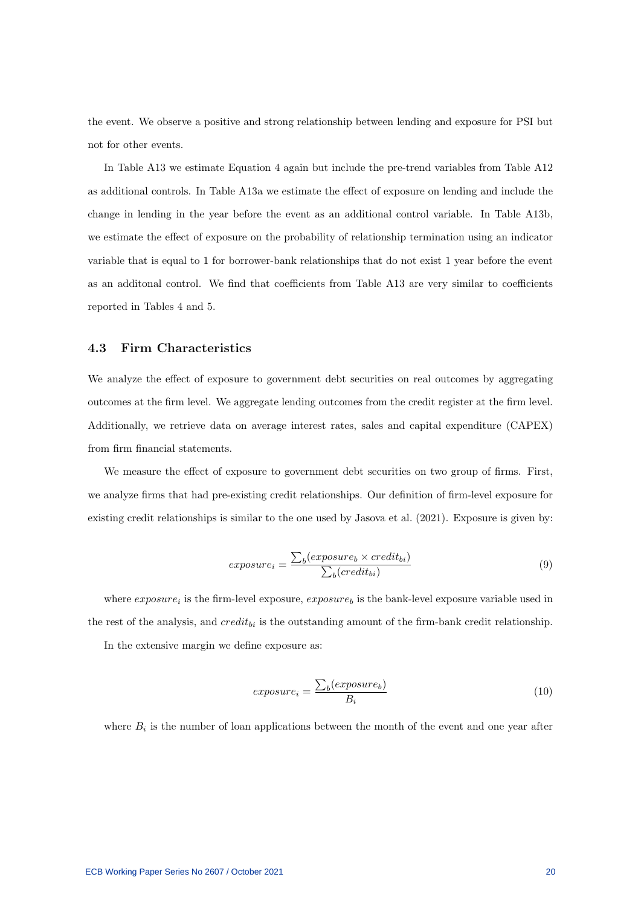the event. We observe a positive and strong relationship between lending and exposure for PSI but not for other events.

In Table A13 we estimate Equation 4 again but include the pre-trend variables from Table A12 as additional controls. In Table A13a we estimate the effect of exposure on lending and include the change in lending in the year before the event as an additional control variable. In Table A13b, we estimate the effect of exposure on the probability of relationship termination using an indicator variable that is equal to 1 for borrower-bank relationships that do not exist 1 year before the event as an additonal control. We find that coefficients from Table A13 are very similar to coefficients reported in Tables 4 and 5.

## 4.3 Firm Characteristics

We analyze the effect of exposure to government debt securities on real outcomes by aggregating outcomes at the firm level. We aggregate lending outcomes from the credit register at the firm level. Additionally, we retrieve data on average interest rates, sales and capital expenditure (CAPEX) from firm financial statements.

We measure the effect of exposure to government debt securities on two group of firms. First, we analyze firms that had pre-existing credit relationships. Our definition of firm-level exposure for existing credit relationships is similar to the one used by Jasova et al. (2021). Exposure is given by:

$$
exposure_i = \frac{\sum_b(expasure_b \times credit_{bi})}{\sum_b(credit_{bi})}
$$
\n(9)

where  $exposure_i$  is the firm-level exposure,  $exposure_b$  is the bank-level exposure variable used in the rest of the analysis, and  $credit_{bi}$  is the outstanding amount of the firm-bank credit relationship. In the extensive margin we define exposure as:

$$
exposure_i = \frac{\sum_b (exposure_b)}{B_i} \tag{10}
$$

where  $B_i$  is the number of loan applications between the month of the event and one year after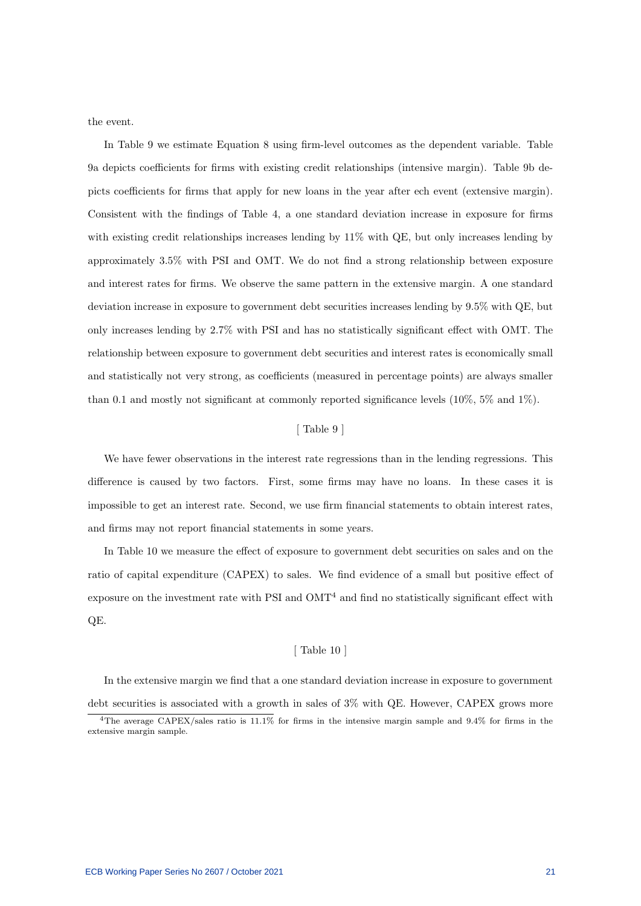the event.

In Table 9 we estimate Equation 8 using firm-level outcomes as the dependent variable. Table 9a depicts coefficients for firms with existing credit relationships (intensive margin). Table 9b depicts coefficients for firms that apply for new loans in the year after ech event (extensive margin). Consistent with the findings of Table 4, a one standard deviation increase in exposure for firms with existing credit relationships increases lending by 11% with QE, but only increases lending by approximately 3.5% with PSI and OMT. We do not find a strong relationship between exposure and interest rates for firms. We observe the same pattern in the extensive margin. A one standard deviation increase in exposure to government debt securities increases lending by 9.5% with QE, but only increases lending by 2.7% with PSI and has no statistically significant effect with OMT. The relationship between exposure to government debt securities and interest rates is economically small and statistically not very strong, as coefficients (measured in percentage points) are always smaller than 0.1 and mostly not significant at commonly reported significance levels (10%, 5% and 1%).

#### [ Table 9 ]

We have fewer observations in the interest rate regressions than in the lending regressions. This difference is caused by two factors. First, some firms may have no loans. In these cases it is impossible to get an interest rate. Second, we use firm financial statements to obtain interest rates, and firms may not report financial statements in some years.

In Table 10 we measure the effect of exposure to government debt securities on sales and on the ratio of capital expenditure (CAPEX) to sales. We find evidence of a small but positive effect of exposure on the investment rate with PSI and  $OMT<sup>4</sup>$  and find no statistically significant effect with QE.

#### [ Table 10 ]

In the extensive margin we find that a one standard deviation increase in exposure to government debt securities is associated with a growth in sales of 3% with QE. However, CAPEX grows more

<sup>4</sup>The average CAPEX/sales ratio is 11.1% for firms in the intensive margin sample and 9.4% for firms in the extensive margin sample.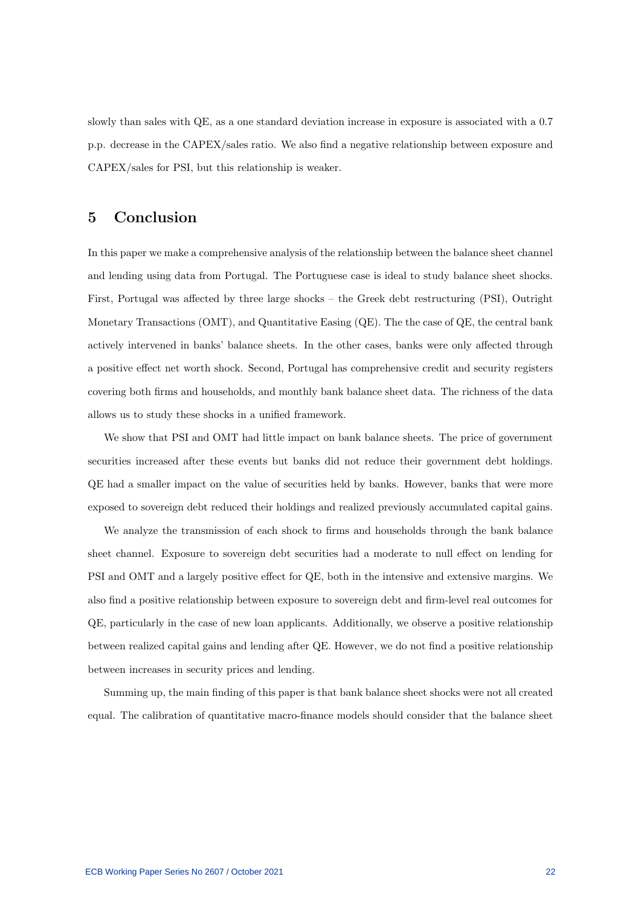slowly than sales with QE, as a one standard deviation increase in exposure is associated with a 0.7 p.p. decrease in the CAPEX/sales ratio. We also find a negative relationship between exposure and CAPEX/sales for PSI, but this relationship is weaker.

## 5 Conclusion

In this paper we make a comprehensive analysis of the relationship between the balance sheet channel and lending using data from Portugal. The Portuguese case is ideal to study balance sheet shocks. First, Portugal was affected by three large shocks – the Greek debt restructuring (PSI), Outright Monetary Transactions (OMT), and Quantitative Easing (QE). The the case of QE, the central bank actively intervened in banks' balance sheets. In the other cases, banks were only affected through a positive effect net worth shock. Second, Portugal has comprehensive credit and security registers covering both firms and households, and monthly bank balance sheet data. The richness of the data allows us to study these shocks in a unified framework.

We show that PSI and OMT had little impact on bank balance sheets. The price of government securities increased after these events but banks did not reduce their government debt holdings. QE had a smaller impact on the value of securities held by banks. However, banks that were more exposed to sovereign debt reduced their holdings and realized previously accumulated capital gains.

We analyze the transmission of each shock to firms and households through the bank balance sheet channel. Exposure to sovereign debt securities had a moderate to null effect on lending for PSI and OMT and a largely positive effect for QE, both in the intensive and extensive margins. We also find a positive relationship between exposure to sovereign debt and firm-level real outcomes for QE, particularly in the case of new loan applicants. Additionally, we observe a positive relationship between realized capital gains and lending after QE. However, we do not find a positive relationship between increases in security prices and lending.

Summing up, the main finding of this paper is that bank balance sheet shocks were not all created equal. The calibration of quantitative macro-finance models should consider that the balance sheet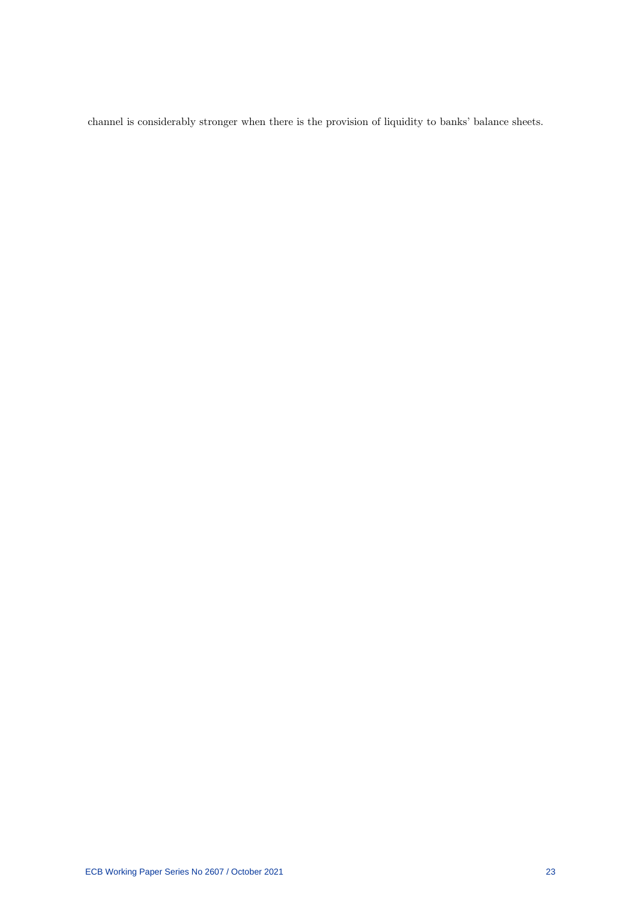channel is considerably stronger when there is the provision of liquidity to banks' balance sheets.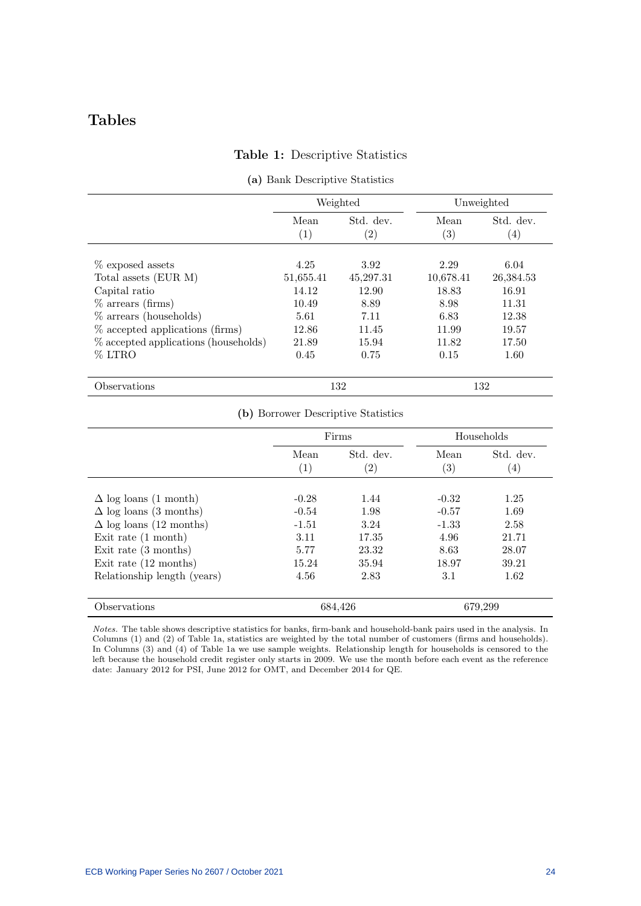# Tables

## Table 1: Descriptive Statistics

|                                                             |                    | Weighted                       | Unweighted                |                                |  |
|-------------------------------------------------------------|--------------------|--------------------------------|---------------------------|--------------------------------|--|
|                                                             | Mean<br>(1)        | Std. dev.<br>$\left( 2\right)$ | Mean<br>$\left( 3\right)$ | Std. dev.<br>$\left( 4\right)$ |  |
| % exposed assets                                            | 4.25               | 3.92                           | 2.29                      | 6.04                           |  |
| Total assets (EUR M)<br>Capital ratio                       | 51,655.41<br>14.12 | 45,297.31<br>12.90             | 10,678.41<br>18.83        | 26,384.53<br>16.91             |  |
| $\%$ arrears (firms)                                        | 10.49              | 8.89                           | 8.98                      | 11.31                          |  |
| $%$ arrears (households)<br>% accepted applications (firms) | 5.61<br>12.86      | 7.11<br>11.45                  | 6.83<br>11.99             | 12.38<br>19.57                 |  |
| % accepted applications (households)                        | 21.89              | 15.94                          | 11.82                     | 17.50                          |  |
| % LTRO                                                      | 0.45               | 0.75                           | 0.15                      | 1.60                           |  |
| Observations                                                |                    | 132                            |                           | 132                            |  |

#### (a) Bank Descriptive Statistics

| (b) Borrower Descriptive Statistics |  |  |  |  |  |
|-------------------------------------|--|--|--|--|--|
|-------------------------------------|--|--|--|--|--|

|                                 | Firms                     |                                | Households                |                               |
|---------------------------------|---------------------------|--------------------------------|---------------------------|-------------------------------|
|                                 | Mean<br>$\left( 1\right)$ | Std. dev.<br>$\left( 2\right)$ | Mean<br>$\left( 3\right)$ | Std. dev.<br>$\left(4\right)$ |
| $\Delta$ log loans (1 month)    | $-0.28$                   | 1.44                           | $-0.32$                   | 1.25                          |
| $\Delta$ log loans (3 months)   | $-0.54$                   | 1.98                           | $-0.57$                   | 1.69                          |
| $\Delta$ log loans (12 months)  | $-1.51$                   | 3.24                           | $-1.33$                   | 2.58                          |
| Exit rate $(1 \text{ month})$   | 3.11                      | 17.35                          | 4.96                      | 21.71                         |
| Exit rate $(3 \text{ months})$  | 5.77                      | 23.32                          | 8.63                      | 28.07                         |
| Exit rate $(12 \text{ months})$ | 15.24                     | 35.94                          | 18.97                     | 39.21                         |
| Relationship length (years)     | 4.56                      | 2.83                           | 3.1                       | 1.62                          |
| Observations                    |                           | 684,426                        |                           | 679,299                       |

Notes. The table shows descriptive statistics for banks, firm-bank and household-bank pairs used in the analysis. In Columns (1) and (2) of Table 1a, statistics are weighted by the total number of customers (firms and households). In Columns (3) and (4) of Table 1a we use sample weights. Relationship length for households is censored to the left because the household credit register only starts in 2009. We use the month before each event as the reference date: January 2012 for PSI, June 2012 for OMT, and December 2014 for QE.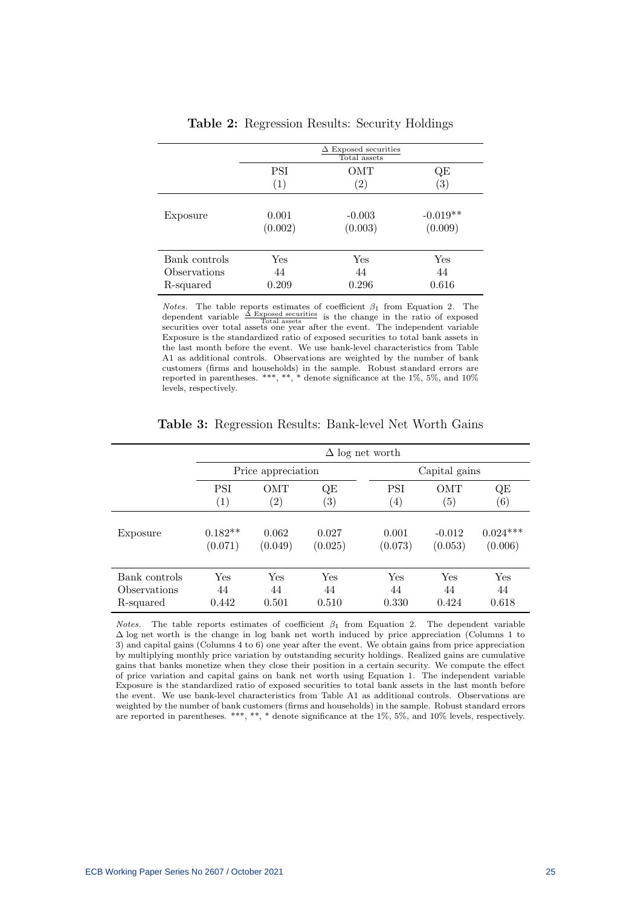|               |                   | $\Delta$ Exposed securities<br>Total assets |                   |
|---------------|-------------------|---------------------------------------------|-------------------|
|               | PSI               | ОМТ                                         | QE                |
|               | $\left( 1\right)$ | $\left( 2\right)$                           | $\left( 3\right)$ |
| Exposure      | 0.001             | $-0.003$                                    | $-0.019**$        |
|               | (0.002)           | (0.003)                                     | (0.009)           |
| Bank controls | Yes               | Yes                                         | Yes               |
| Observations  | 44                | 44                                          | 44                |
| R-squared     | 0.209             | 0.296                                       | 0.616             |

Table 2: Regression Results: Security Holdings

*Notes*. The table reports estimates of coefficient  $β_1$  from Equation 2. The dependent variable  $\frac{\Delta \text{ Exposed securities}}{\text{Total assets}}$  is the change in the ratio of exposed securities over total assets one year after the event. The independent variable Exposure is the standardized ratio of exposed securities to total bank assets in the last month before the event. We use bank-level characteristics from Table A1 as additional controls. Observations are weighted by the number of bank customers (firms and households) in the sample. Robust standard errors are reported in parentheses. \*\*\*, \*\*, \* denote significance at the  $1\%$ , 5%, and  $10\%$ levels, respectively.

|               | $\Delta$ log net worth |                   |                   |                  |            |                   |  |
|---------------|------------------------|-------------------|-------------------|------------------|------------|-------------------|--|
|               | Price appreciation     |                   |                   | Capital gains    |            |                   |  |
|               | <b>PSI</b>             | <b>OMT</b>        | QE                | PSI              | <b>OMT</b> | QE                |  |
|               | $\left( 1\right)$      | $\left( 2\right)$ | $\left( 3\right)$ | $\left(4\right)$ | (5)        | $\left( 6\right)$ |  |
| Exposure      | $0.182**$              | 0.062             | 0.027             | 0.001            | $-0.012$   | $0.024***$        |  |
|               | (0.071)                | (0.049)           | (0.025)           | (0.073)          | (0.053)    | (0.006)           |  |
| Bank controls | Yes                    | Yes               | Yes               | Yes              | Yes        | Yes               |  |
| Observations  | 44                     | 44                | 44                | 44               | 44         | 44                |  |
| R-squared     | 0.442                  | 0.501             | 0.510             | 0.330            | 0.424      | 0.618             |  |

Table 3: Regression Results: Bank-level Net Worth Gains

Notes. The table reports estimates of coefficient  $\beta_1$  from Equation 2. The dependent variable  $\Delta$  log net worth is the change in log bank net worth induced by price appreciation (Columns 1 to 3) and capital gains (Columns 4 to 6) one year after the event. We obtain gains from price appreciation by multiplying monthly price variation by outstanding security holdings. Realized gains are cumulative gains that banks monetize when they close their position in a certain security. We compute the effect of price variation and capital gains on bank net worth using Equation 1. The independent variable Exposure is the standardized ratio of exposed securities to total bank assets in the last month before the event. We use bank-level characteristics from Table A1 as additional controls. Observations are weighted by the number of bank customers (firms and households) in the sample. Robust standard errors are reported in parentheses. \*\*\*, \*\*, \* denote significance at the 1%, 5%, and 10% levels, respectively.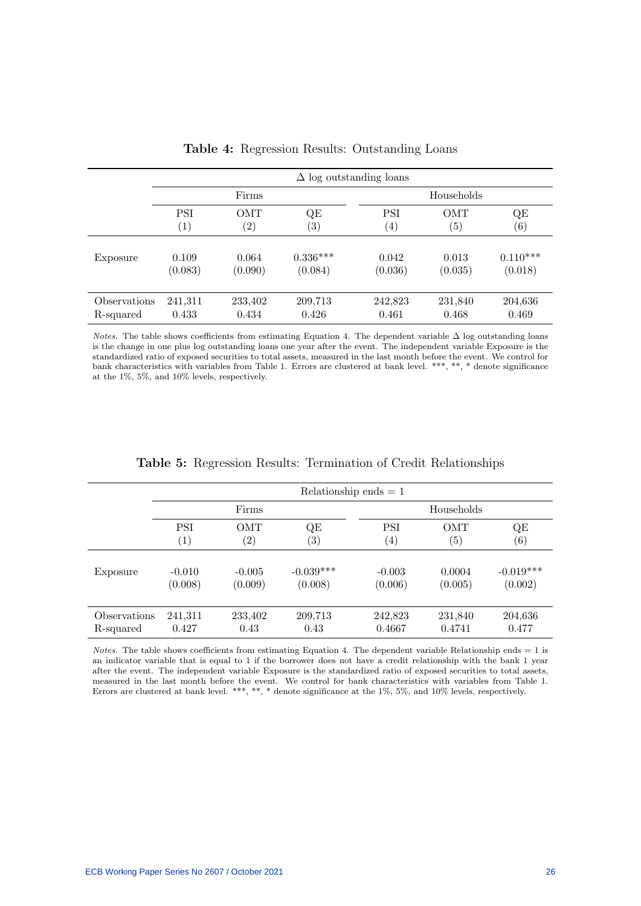|              | $\Delta$ log outstanding loans |                   |            |                   |                   |                   |  |
|--------------|--------------------------------|-------------------|------------|-------------------|-------------------|-------------------|--|
|              | Firms                          |                   |            | Households        |                   |                   |  |
|              | <b>PSI</b>                     | <b>OMT</b>        | QE         | PSI               | <b>OMT</b>        | QE                |  |
|              | $\left( 1\right)$              | $\left( 2\right)$ | (3)        | $\left( 4\right)$ | $\left( 5\right)$ | $\left( 6\right)$ |  |
| Exposure     | 0.109                          | 0.064             | $0.336***$ | 0.042             | 0.013             | $0.110***$        |  |
|              | (0.083)                        | (0.090)           | (0.084)    | (0.036)           | (0.035)           | (0.018)           |  |
| Observations | 241,311                        | 233,402           | 209,713    | 242,823           | 231,840           | 204,636           |  |
| R-squared    | 0.433                          | 0.434             | 0.426      | 0.461             | 0.468             | 0.469             |  |

Table 4: Regression Results: Outstanding Loans

*Notes.* The table shows coefficients from estimating Equation 4. The dependent variable  $\Delta$  log outstanding loans is the change in one plus log outstanding loans one year after the event. The independent variable Exposure is the standardized ratio of exposed securities to total assets, measured in the last month before the event. We control for bank characteristics with variables from Table 1. Errors are clustered at bank level. \*\*\*, \*\*, \* denote significance at the 1%, 5%, and 10% levels, respectively.

|              | Relationship ends $= 1$ |                   |                   |                   |            |                   |  |  |
|--------------|-------------------------|-------------------|-------------------|-------------------|------------|-------------------|--|--|
|              |                         | Firms             |                   | Households        |            |                   |  |  |
|              | <b>PSI</b>              | <b>OMT</b>        | QE                | <b>PSI</b>        | <b>OMT</b> | QE                |  |  |
|              | $\left( 1\right)$       | $\left( 2\right)$ | $\left( 3\right)$ | $\left( 4\right)$ | (5)        | $\left( 6\right)$ |  |  |
| Exposure     | $-0.010$                | $-0.005$          | $-0.039***$       | $-0.003$          | 0.0004     | $-0.019***$       |  |  |
|              | (0.008)                 | (0.009)           | (0.008)           | (0.006)           | (0.005)    | (0.002)           |  |  |
| Observations | 241,311                 | 233,402           | 209,713           | 242,823           | 231,840    | 204,636           |  |  |
| R-squared    | 0.427                   | 0.43              | 0.43              | 0.4667            | 0.4741     | 0.477             |  |  |

Table 5: Regression Results: Termination of Credit Relationships

Notes. The table shows coefficients from estimating Equation 4. The dependent variable Relationship ends = 1 is an indicator variable that is equal to 1 if the borrower does not have a credit relationship with the bank 1 year after the event. The independent variable Exposure is the standardized ratio of exposed securities to total assets, measured in the last month before the event. We control for bank characteristics with variables from Table 1. Errors are clustered at bank level. \*\*\*, \*\*, \* denote significance at the 1%, 5%, and 10% levels, respectively.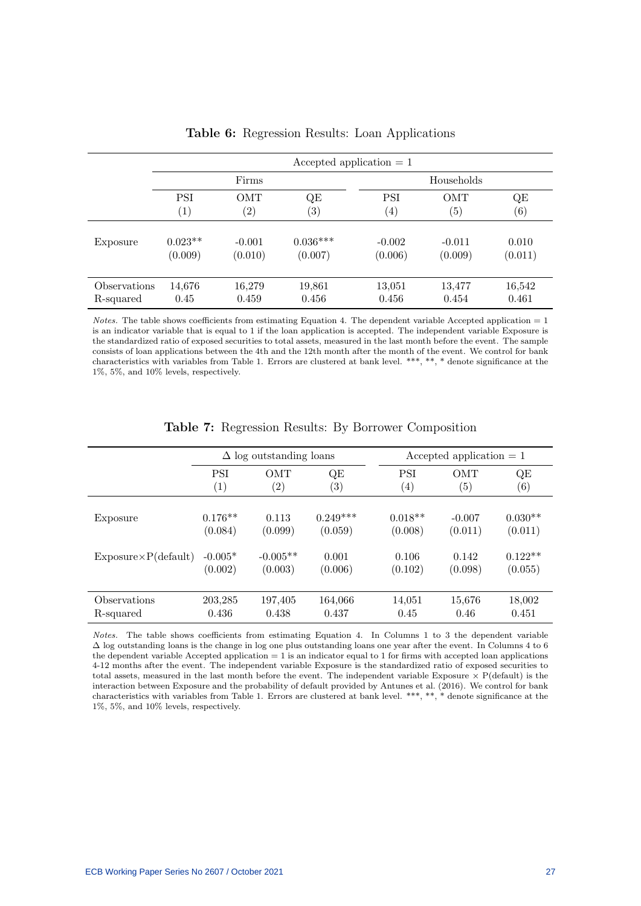|              | Accepted application $= 1$ |                   |                   |                   |                   |                   |  |  |
|--------------|----------------------------|-------------------|-------------------|-------------------|-------------------|-------------------|--|--|
|              | Firms                      |                   |                   | Households        |                   |                   |  |  |
|              | <b>PSI</b>                 | OMT               | QE                | <b>PSI</b>        | OMT               | QE                |  |  |
|              | $\left( 1\right)$          | $\left( 2\right)$ | $\left( 3\right)$ | $\left( 4\right)$ | $\left( 5\right)$ | $\left( 6\right)$ |  |  |
| Exposure     | $0.023**$                  | $-0.001$          | $0.036***$        | $-0.002$          | $-0.011$          | 0.010             |  |  |
|              | (0.009)                    | (0.010)           | (0.007)           | (0.006)           | (0.009)           | (0.011)           |  |  |
| Observations | 14,676                     | 16,279            | 19,861            | 13,051            | 13,477            | 16,542            |  |  |
| R-squared    | 0.45                       | 0.459             | 0.456             | 0.456             | 0.454             | 0.461             |  |  |

Table 6: Regression Results: Loan Applications

*Notes.* The table shows coefficients from estimating Equation 4. The dependent variable Accepted application  $= 1$ is an indicator variable that is equal to 1 if the loan application is accepted. The independent variable Exposure is the standardized ratio of exposed securities to total assets, measured in the last month before the event. The sample consists of loan applications between the 4th and the 12th month after the month of the event. We control for bank characteristics with variables from Table 1. Errors are clustered at bank level. \*\*\*, \*\*, \* denote significance at the 1%, 5%, and 10% levels, respectively.

|                              | $\Delta$ log outstanding loans |                   |                   | Accepted application $= 1$ |                   |           |  |
|------------------------------|--------------------------------|-------------------|-------------------|----------------------------|-------------------|-----------|--|
|                              | <b>PSI</b>                     | <b>OMT</b>        | QE                | <b>PSI</b>                 | <b>OMT</b>        | QE        |  |
|                              | (1)                            | $\left( 2\right)$ | $\left( 3\right)$ | $\left( 4\right)$          | $\left( 5\right)$ | (6)       |  |
| Exposure                     | $0.176**$                      | 0.113             | $0.249***$        | $0.018**$                  | $-0.007$          | $0.030**$ |  |
|                              | (0.084)                        | (0.099)           | (0.059)           | (0.008)                    | (0.011)           | (0.011)   |  |
| $Exposure \times P(default)$ | $-0.005*$                      | $-0.005**$        | 0.001             | 0.106                      | 0.142             | $0.122**$ |  |
|                              | (0.002)                        | (0.003)           | (0.006)           | (0.102)                    | (0.098)           | (0.055)   |  |
| Observations                 | 203,285                        | 197,405           | 164,066           | 14,051                     | 15,676            | 18,002    |  |
| R-squared                    | 0.436                          | 0.438             | 0.437             | 0.45                       | 0.46              | 0.451     |  |

Table 7: Regression Results: By Borrower Composition

Notes. The table shows coefficients from estimating Equation 4. In Columns 1 to 3 the dependent variable ∆ log outstanding loans is the change in log one plus outstanding loans one year after the event. In Columns 4 to 6 the dependent variable Accepted application  $= 1$  is an indicator equal to 1 for firms with accepted loan applications 4-12 months after the event. The independent variable Exposure is the standardized ratio of exposed securities to total assets, measured in the last month before the event. The independent variable Exposure  $\times$  P(default) is the interaction between Exposure and the probability of default provided by Antunes et al. (2016). We control for bank characteristics with variables from Table 1. Errors are clustered at bank level. \*\*\*, \*\*, \* denote significance at the 1%, 5%, and 10% levels, respectively.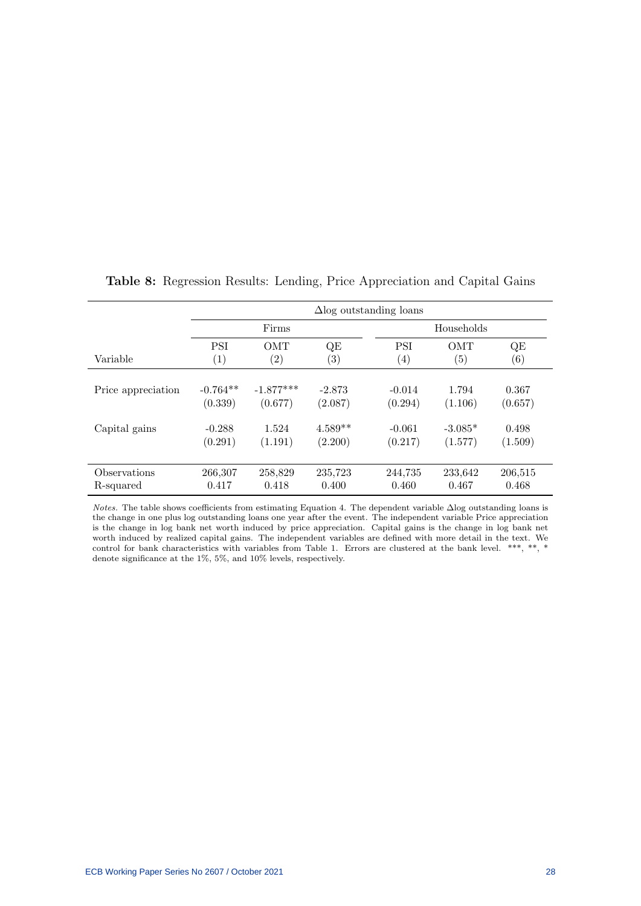|                    | $\Delta$ log outstanding loans |                   |                   |            |            |                   |  |
|--------------------|--------------------------------|-------------------|-------------------|------------|------------|-------------------|--|
|                    |                                | Firms             |                   |            | Households |                   |  |
| Variable           | <b>PSI</b>                     | <b>OMT</b>        | QE                | <b>PSI</b> | <b>OMT</b> | QE                |  |
|                    | (1)                            | $\left( 2\right)$ | $\left( 3\right)$ | (4)        | (5)        | $\left( 6\right)$ |  |
| Price appreciation | $-0.764**$                     | $-1.877***$       | $-2.873$          | $-0.014$   | 1.794      | 0.367             |  |
|                    | (0.339)                        | (0.677)           | (2.087)           | (0.294)    | (1.106)    | (0.657)           |  |
| Capital gains      | $-0.288$                       | 1.524             | $4.589**$         | $-0.061$   | $-3.085*$  | 0.498             |  |
|                    | (0.291)                        | (1.191)           | (2.200)           | (0.217)    | (1.577)    | (1.509)           |  |
| Observations       | 266,307                        | 258,829           | 235,723           | 244,735    | 233,642    | 206,515           |  |
| R-squared          | 0.417                          | 0.418             | 0.400             | 0.460      | 0.467      | 0.468             |  |

## Table 8: Regression Results: Lending, Price Appreciation and Capital Gains

Notes. The table shows coefficients from estimating Equation 4. The dependent variable ∆log outstanding loans is the change in one plus log outstanding loans one year after the event. The independent variable Price appreciation is the change in log bank net worth induced by price appreciation. Capital gains is the change in log bank net worth induced by realized capital gains. The independent variables are defined with more detail in the text. We control for bank characteristics with variables from Table 1. Errors are clustered at the bank level. \*\*\*, \*\*, \* denote significance at the 1%, 5%, and 10% levels, respectively.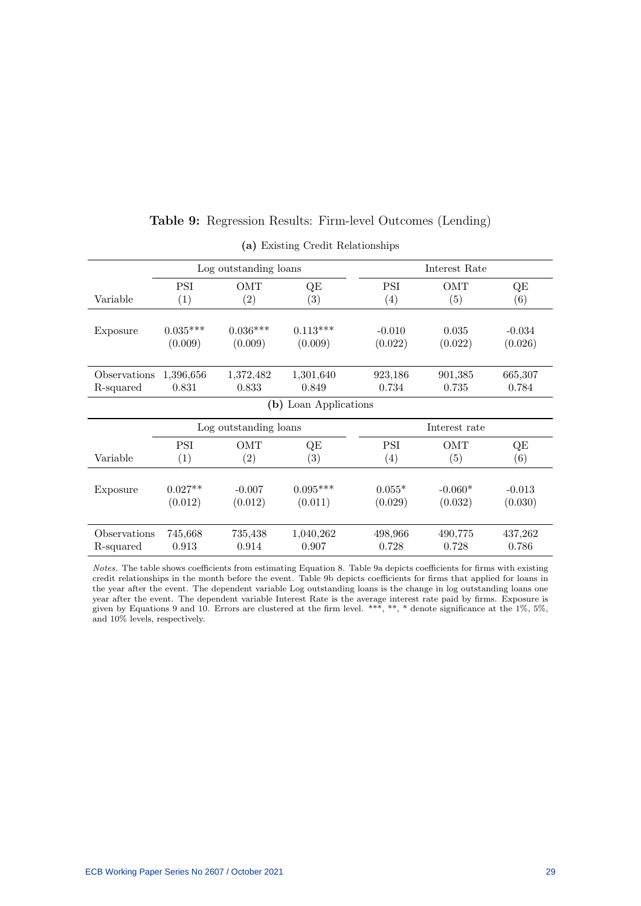|              |                       | Log outstanding loans |                   |               | Interest Rate     |          |  |
|--------------|-----------------------|-----------------------|-------------------|---------------|-------------------|----------|--|
|              | <b>PSI</b>            | OMT                   | QE                | PSI           | OMT               | QE       |  |
| Variable     | (1)                   | $\left( 2\right)$     | $\left( 3\right)$ | (4)           | $\left( 5\right)$ | (6)      |  |
|              |                       |                       |                   |               |                   |          |  |
| Exposure     | $0.035***$            | $0.036***$            | $0.113***$        | $-0.010$      | 0.035             | $-0.034$ |  |
|              | (0.009)               | (0.009)               | (0.009)           | (0.022)       | (0.022)           | (0.026)  |  |
|              |                       |                       |                   |               |                   |          |  |
| Observations | 1,396,656             | 1,372,482             | 1,301,640         | 923,186       | 901,385           | 665,307  |  |
| R-squared    | 0.831                 | 0.833                 | 0.849             | 0.734         | 0.735             | 0.784    |  |
|              | (b) Loan Applications |                       |                   |               |                   |          |  |
|              |                       | Log outstanding loans |                   | Interest rate |                   |          |  |
|              | <b>PSI</b>            | OMT                   | QE                | PSI           | OMT               | QE       |  |
| Variable     | (1)                   | $\left( 2\right)$     | $\left( 3\right)$ | (4)           | (5)               | (6)      |  |
|              |                       |                       |                   |               |                   |          |  |
| Exposure     | $0.027**$             | $-0.007$              | $0.095***$        | $0.055*$      | $-0.060*$         | $-0.013$ |  |
|              | (0.012)               | (0.012)               | (0.011)           | (0.029)       | (0.032)           | (0.030)  |  |
|              |                       |                       |                   |               |                   |          |  |
| Observations | 745,668               | 735,438               | 1,040,262         | 498,966       | 490,775           | 437,262  |  |
| R-squared    | 0.913                 | 0.914                 | 0.907             | 0.728         | 0.728             | 0.786    |  |

## Table 9: Regression Results: Firm-level Outcomes (Lending)

(a) Existing Credit Relationships

Notes. The table shows coefficients from estimating Equation 8. Table 9a depicts coefficients for firms with existing credit relationships in the month before the event. Table 9b depicts coefficients for firms that applied for loans in the year after the event. The dependent variable Log outstanding loans is the change in log outstanding loans one year after the event. The dependent variable Interest Rate is the average interest rate paid by firms. Exposure is given by Equations 9 and 10. Errors are clustered at the firm level. \*\*\*, \*\*, \* denote significance at the 1%, 5%, and 10% levels, respectively.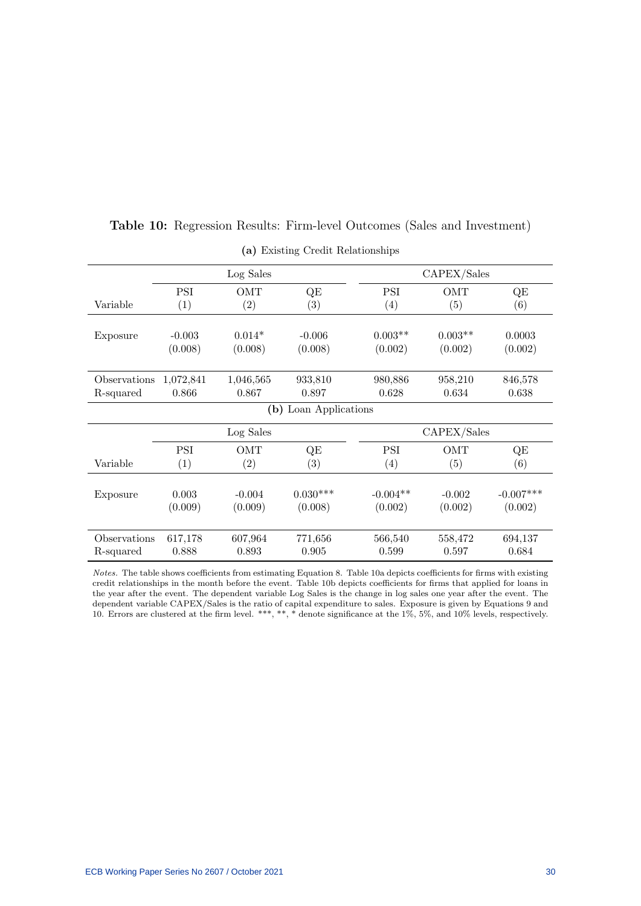|              |            | Log Sales         |                       |                   | CAPEX/Sales |             |
|--------------|------------|-------------------|-----------------------|-------------------|-------------|-------------|
|              | <b>PSI</b> | OMT               | QE                    | <b>PSI</b>        | OMT         | QE          |
| Variable     | (1)        | (2)               | (3)                   | $\left( 4\right)$ | (5)         | (6)         |
|              |            |                   |                       |                   |             |             |
| Exposure     | $-0.003$   | $0.014*$          | $-0.006$              | $0.003**$         | $0.003**$   | 0.0003      |
|              | (0.008)    | (0.008)           | (0.008)               | (0.002)           | (0.002)     | (0.002)     |
| Observations | 1,072,841  | 1,046,565         | 933,810               | 980,886           | 958,210     | 846,578     |
| R-squared    | 0.866      | 0.867             | 0.897                 | 0.628             | 0.634       | 0.638       |
|              |            |                   | (b) Loan Applications |                   |             |             |
|              |            | Log Sales         |                       |                   | CAPEX/Sales |             |
|              | <b>PSI</b> | OMT               | QE                    | <b>PSI</b>        | OMT         | QE          |
| Variable     | (1)        | $\left( 2\right)$ | (3)                   | (4)               | (5)         | (6)         |
|              |            |                   |                       |                   |             |             |
| Exposure     | 0.003      | $-0.004$          | $0.030***$            | $-0.004**$        | $-0.002$    | $-0.007***$ |
|              | (0.009)    | (0.009)           | (0.008)               | (0.002)           | (0.002)     | (0.002)     |
| Observations | 617,178    | 607,964           | 771,656               | 566,540           | 558,472     | 694,137     |
| R-squared    | 0.888      | 0.893             | 0.905                 | 0.599             | 0.597       | 0.684       |
|              |            |                   |                       |                   |             |             |

## Table 10: Regression Results: Firm-level Outcomes (Sales and Investment)

(a) Existing Credit Relationships

Notes. The table shows coefficients from estimating Equation 8. Table 10a depicts coefficients for firms with existing credit relationships in the month before the event. Table 10b depicts coefficients for firms that applied for loans in the year after the event. The dependent variable Log Sales is the change in log sales one year after the event. The dependent variable CAPEX/Sales is the ratio of capital expenditure to sales. Exposure is given by Equations 9 and 10. Errors are clustered at the firm level. \*\*\*, \*\*, \* denote significance at the 1%, 5%, and 10% levels, respectively.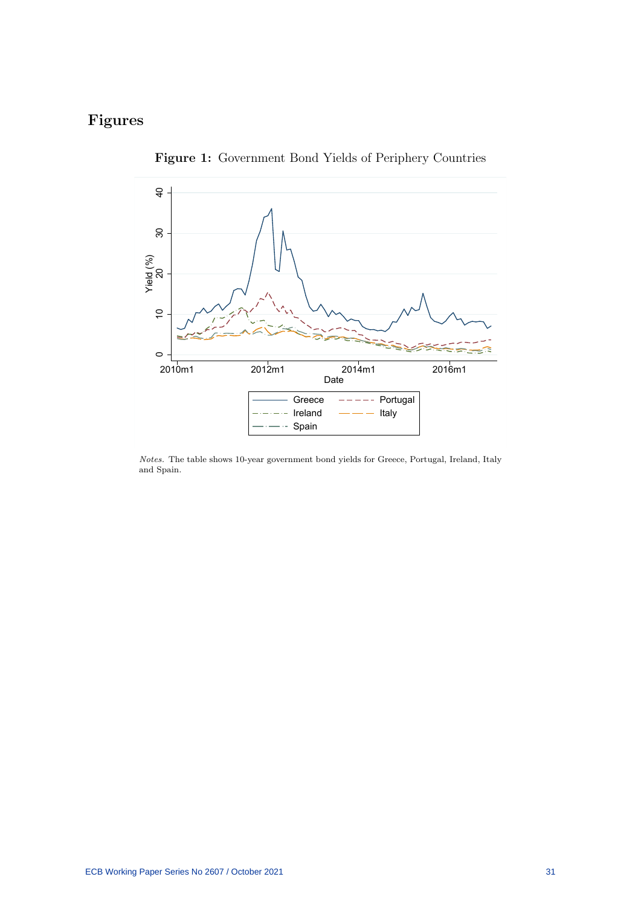# Figures



Figure 1: Government Bond Yields of Periphery Countries

Notes. The table shows 10-year government bond yields for Greece, Portugal, Ireland, Italy and Spain.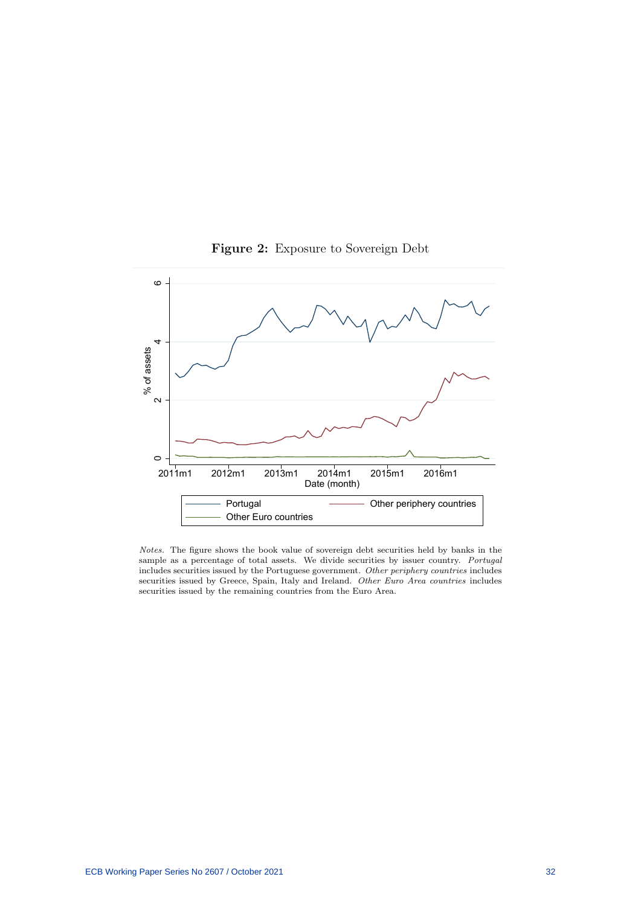

Figure 2: Exposure to Sovereign Debt

Notes. The figure shows the book value of sovereign debt securities held by banks in the sample as a percentage of total assets. We divide securities by issuer country. Portugal includes securities issued by the Portuguese government. Other periphery countries includes securities issued by Greece, Spain, Italy and Ireland. Other Euro Area countries includes securities issued by the remaining countries from the Euro Area.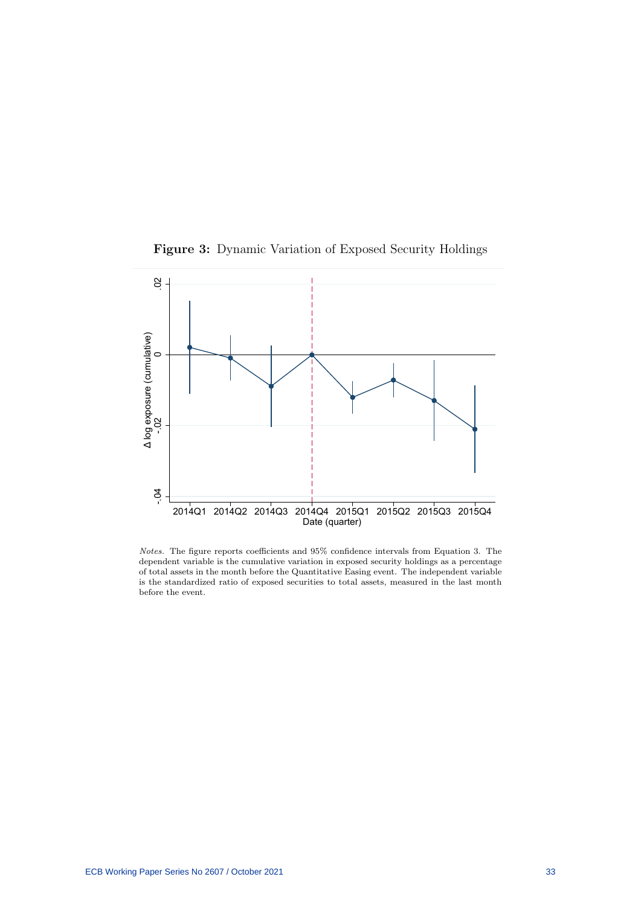



Notes. The figure reports coefficients and 95% confidence intervals from Equation 3. The dependent variable is the cumulative variation in exposed security holdings as a percentage of total assets in the month before the Quantitative Easing event. The independent variable is the standardized ratio of exposed securities to total assets, measured in the last month before the event.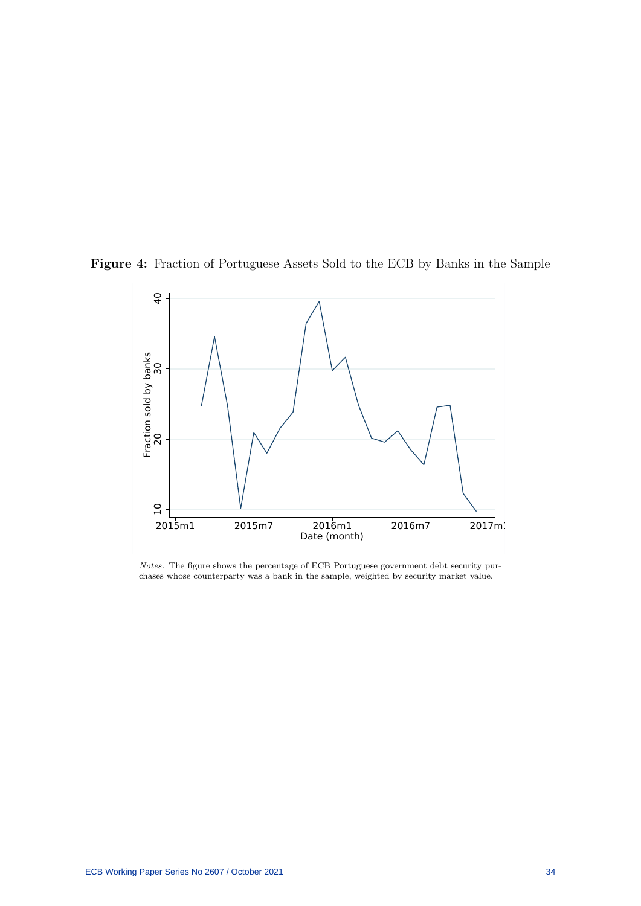



Notes. The figure shows the percentage of ECB Portuguese government debt security purchases whose counterparty was a bank in the sample, weighted by security market value.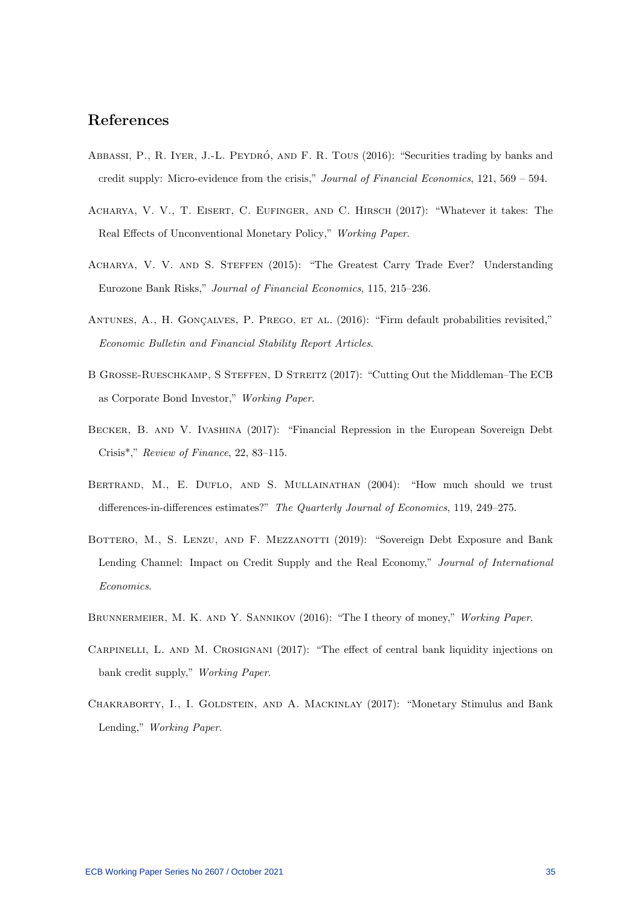## References

- ABBASSI, P., R. IYER, J.-L. PEYDRÓ, AND F. R. TOUS (2016): "Securities trading by banks and credit supply: Micro-evidence from the crisis," Journal of Financial Economics, 121, 569 – 594.
- Acharya, V. V., T. Eisert, C. Eufinger, and C. Hirsch (2017): "Whatever it takes: The Real Effects of Unconventional Monetary Policy," Working Paper.
- ACHARYA, V. V. AND S. STEFFEN (2015): "The Greatest Carry Trade Ever? Understanding Eurozone Bank Risks," Journal of Financial Economics, 115, 215–236.
- ANTUNES, A., H. GONÇALVES, P. PREGO, ET AL. (2016): "Firm default probabilities revisited," Economic Bulletin and Financial Stability Report Articles.
- B GROSSE-RUESCHKAMP, S STEFFEN, D STREITZ (2017): "Cutting Out the Middleman–The ECB as Corporate Bond Investor," Working Paper.
- Becker, B. and V. Ivashina (2017): "Financial Repression in the European Sovereign Debt Crisis\*," Review of Finance, 22, 83–115.
- BERTRAND, M., E. DUFLO, AND S. MULLAINATHAN (2004): "How much should we trust differences-in-differences estimates?" The Quarterly Journal of Economics, 119, 249–275.
- BOTTERO, M., S. LENZU, AND F. MEZZANOTTI (2019): "Sovereign Debt Exposure and Bank Lending Channel: Impact on Credit Supply and the Real Economy," Journal of International Economics.
- BRUNNERMEIER, M. K. AND Y. SANNIKOV (2016): "The I theory of money," Working Paper.
- Carpinelli, L. and M. Crosignani (2017): "The effect of central bank liquidity injections on bank credit supply," Working Paper.
- CHAKRABORTY, I., I. GOLDSTEIN, AND A. MACKINLAY (2017): "Monetary Stimulus and Bank Lending," Working Paper.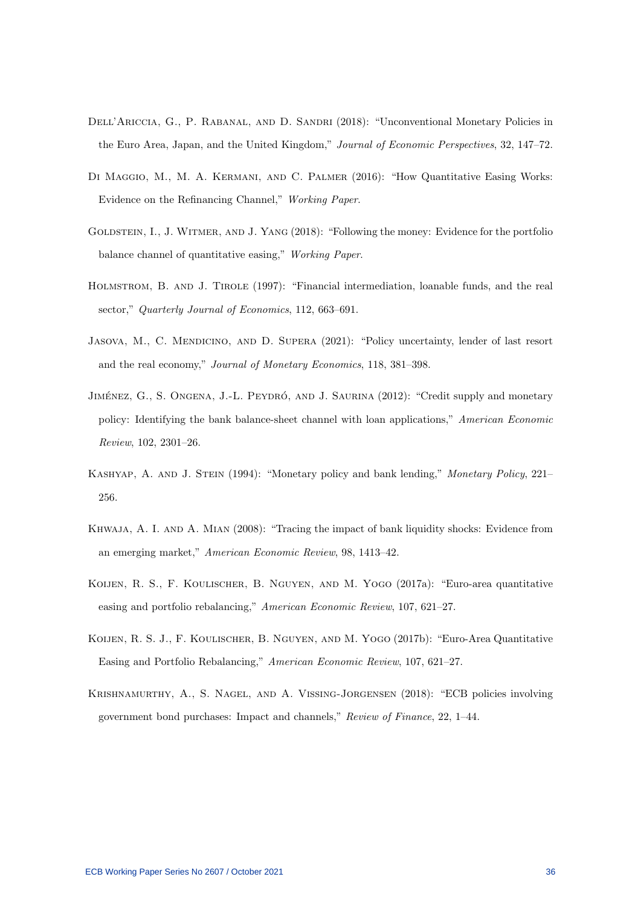- Dell'Ariccia, G., P. Rabanal, and D. Sandri (2018): "Unconventional Monetary Policies in the Euro Area, Japan, and the United Kingdom," Journal of Economic Perspectives, 32, 147–72.
- DI MAGGIO, M., M. A. KERMANI, AND C. PALMER (2016): "How Quantitative Easing Works: Evidence on the Refinancing Channel," Working Paper.
- GOLDSTEIN, I., J. WITMER, AND J. YANG (2018): "Following the money: Evidence for the portfolio balance channel of quantitative easing," Working Paper.
- Holmstrom, B. and J. Tirole (1997): "Financial intermediation, loanable funds, and the real sector," Quarterly Journal of Economics, 112, 663-691.
- Jasova, M., C. Mendicino, and D. Supera (2021): "Policy uncertainty, lender of last resort and the real economy," Journal of Monetary Economics, 118, 381–398.
- JIMÉNEZ, G., S. ONGENA, J.-L. PEYDRÓ, AND J. SAURINA (2012): "Credit supply and monetary policy: Identifying the bank balance-sheet channel with loan applications," American Economic Review, 102, 2301–26.
- KASHYAP, A. AND J. STEIN (1994): "Monetary policy and bank lending," Monetary Policy, 221– 256.
- Khwaja, A. I. and A. Mian (2008): "Tracing the impact of bank liquidity shocks: Evidence from an emerging market," American Economic Review, 98, 1413–42.
- Koijen, R. S., F. Koulischer, B. Nguyen, and M. Yogo (2017a): "Euro-area quantitative easing and portfolio rebalancing," American Economic Review, 107, 621–27.
- Koijen, R. S. J., F. Koulischer, B. Nguyen, and M. Yogo (2017b): "Euro-Area Quantitative Easing and Portfolio Rebalancing," American Economic Review, 107, 621–27.
- Krishnamurthy, A., S. Nagel, and A. Vissing-Jorgensen (2018): "ECB policies involving government bond purchases: Impact and channels," Review of Finance, 22, 1–44.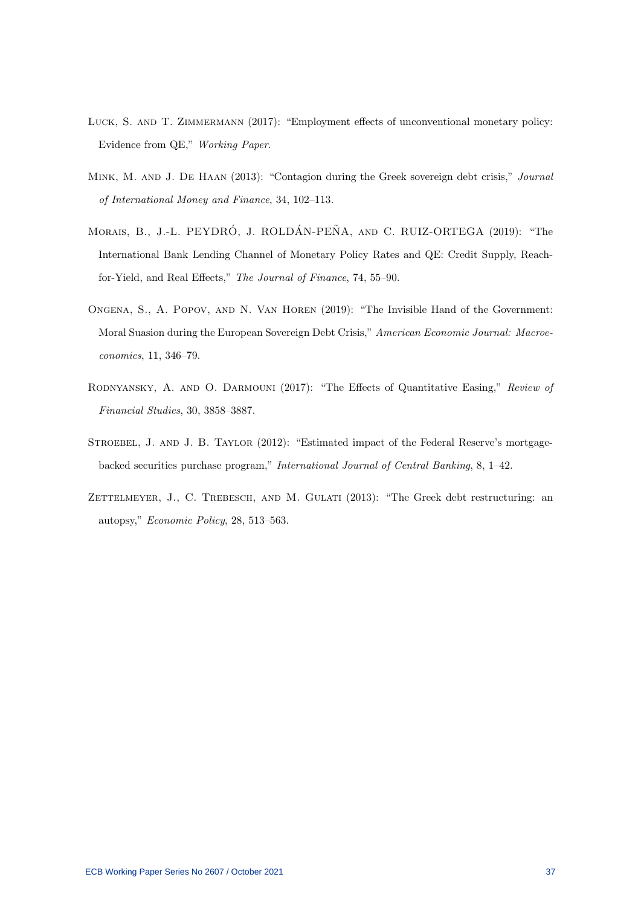- LUCK, S. AND T. ZIMMERMANN (2017): "Employment effects of unconventional monetary policy: Evidence from QE," Working Paper.
- Mink, M. and J. De Haan (2013): "Contagion during the Greek sovereign debt crisis," Journal of International Money and Finance, 34, 102–113.
- MORAIS, B., J.-L. PEYDRÓ, J. ROLDÁN-PEÑA, AND C. RUIZ-ORTEGA (2019): "The International Bank Lending Channel of Monetary Policy Rates and QE: Credit Supply, Reachfor-Yield, and Real Effects," The Journal of Finance, 74, 55–90.
- Ongena, S., A. Popov, and N. Van Horen (2019): "The Invisible Hand of the Government: Moral Suasion during the European Sovereign Debt Crisis," American Economic Journal: Macroeconomics, 11, 346–79.
- Rodnyansky, A. and O. Darmouni (2017): "The Effects of Quantitative Easing," Review of Financial Studies, 30, 3858–3887.
- STROEBEL, J. AND J. B. TAYLOR (2012): "Estimated impact of the Federal Reserve's mortgagebacked securities purchase program," International Journal of Central Banking, 8, 1–42.
- ZETTELMEYER, J., C. TREBESCH, AND M. GULATI (2013): "The Greek debt restructuring: an autopsy," Economic Policy, 28, 513–563.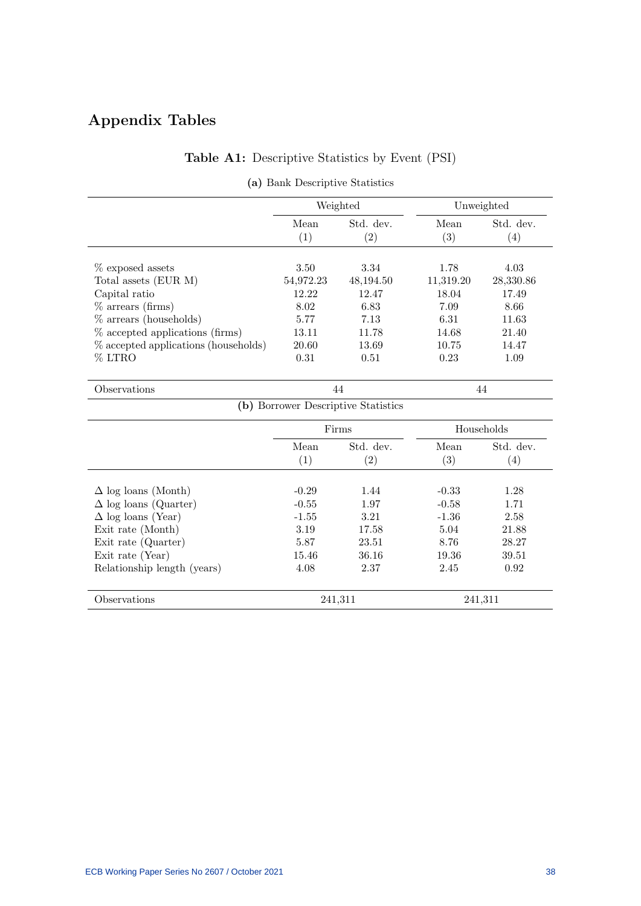# Appendix Tables

## Table A1: Descriptive Statistics by Event (PSI)

|                                      |             | Weighted                            |             | Unweighted       |
|--------------------------------------|-------------|-------------------------------------|-------------|------------------|
|                                      | Mean<br>(1) | Std. dev.<br>(2)                    | Mean<br>(3) | Std. dev.<br>(4) |
| $%$ exposed assets                   | 3.50        | 3.34                                | 1.78        | 4.03             |
| Total assets (EUR M)                 | 54,972.23   | 48,194.50                           | 11,319.20   | 28,330.86        |
| Capital ratio                        | 12.22       | 12.47                               | 18.04       | 17.49            |
| $%$ arrears (firms)                  | 8.02        | 6.83                                | 7.09        | 8.66             |
| $\%$ arrears (households)            | 5.77        | 7.13                                | 6.31        | 11.63            |
| % accepted applications (firms)      | 13.11       | 11.78                               | 14.68       | 21.40            |
| % accepted applications (households) | 20.60       | 13.69                               | 10.75       | 14.47            |
| % LTRO                               | 0.31        | 0.51                                | 0.23        | 1.09             |
| Observations                         |             | 44                                  |             | 44               |
|                                      |             | (b) Borrower Descriptive Statistics |             |                  |
|                                      |             | Firms                               |             | Households       |
|                                      | Mean        | Std. dev.                           | Mean        | Std. dev.        |
|                                      | (1)         | (2)                                 | (3)         | (4)              |
| $\Delta$ log loans (Month)           | $-0.29$     | 1.44                                | $-0.33$     | 1.28             |
| $\Delta$ log loans (Quarter)         | $-0.55$     | 1.97                                | $-0.58$     | 1.71             |
| $\Delta$ log loans (Year)            | $-1.55$     | 3.21                                | $-1.36$     | 2.58             |
| Exit rate (Month)                    | 3.19        | 17.58                               | 5.04        | 21.88            |
| Exit rate (Quarter)                  | 5.87        | 23.51                               | 8.76        | 28.27            |
| Exit rate (Year)                     | 15.46       | 36.16                               | 19.36       | 39.51            |
| Relationship length (years)          | 4.08        | 2.37                                | 2.45        | 0.92             |
| Observations                         |             | 241,311                             |             | 241,311          |

## (a) Bank Descriptive Statistics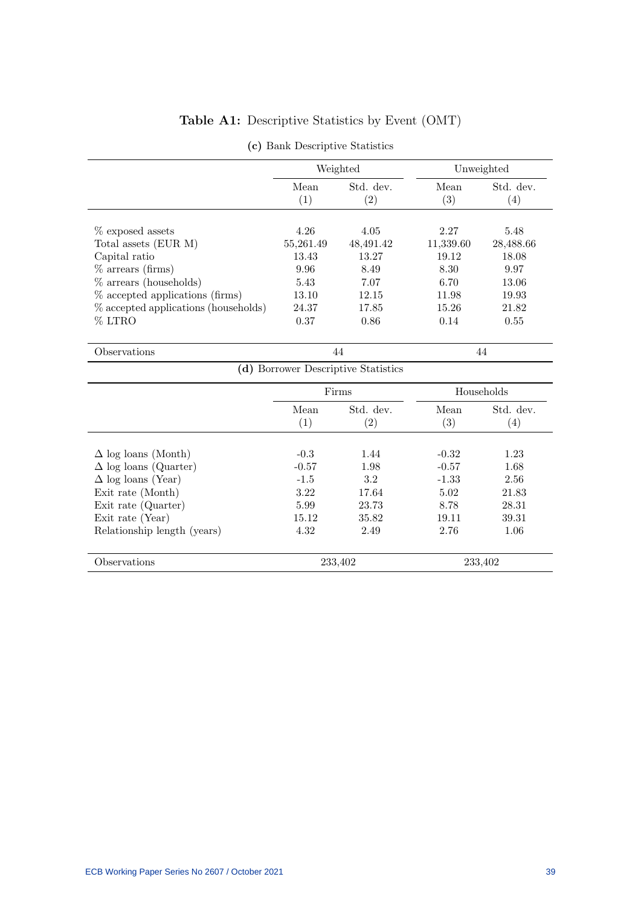# Table A1: Descriptive Statistics by Event (OMT)

|                                         |               | Weighted                            |                   | Unweighted        |
|-----------------------------------------|---------------|-------------------------------------|-------------------|-------------------|
|                                         | Mean          | Std. dev.                           | Mean              | Std. dev.         |
|                                         | (1)           | $\left( 2\right)$                   | $\left( 3\right)$ | $\left( 4\right)$ |
| $%$ exposed assets                      | 4.26          | 4.05                                | 2.27              | 5.48              |
| Total assets (EUR M)                    | 55,261.49     |                                     | 11,339.60         | 28,488.66         |
| Capital ratio<br>$\%$ arrears (firms)   | 13.43<br>9.96 | 48,491.42<br>13.27<br>8.49          | 19.12<br>8.30     | 18.08<br>9.97     |
| $%$ arrears (households)                | 5.43          | 7.07                                | 6.70              | 13.06             |
| % accepted applications (firms)         | 13.10         | 12.15                               | 11.98             | 19.93             |
| $\%$ accepted applications (households) | 24.37         | 17.85                               | 15.26             | 21.82             |
| % LTRO                                  | 0.37          | 0.86                                | 0.14              | 0.55              |
| Observations                            |               | 44                                  |                   | 44                |
|                                         |               | (d) Borrower Descriptive Statistics |                   |                   |

(c) Bank Descriptive Statistics

|                              |             | Firms                          |                           | Households                    |
|------------------------------|-------------|--------------------------------|---------------------------|-------------------------------|
|                              | Mean<br>(1) | Std. dev.<br>$\left( 2\right)$ | Mean<br>$\left( 3\right)$ | Std. dev.<br>$\left(4\right)$ |
| $\Delta$ log loans (Month)   | $-0.3$      | 1.44                           | $-0.32$                   | 1.23                          |
| $\Delta$ log loans (Quarter) | $-0.57$     | 1.98                           | $-0.57$                   | 1.68                          |
| $\Delta$ log loans (Year)    | $-1.5$      | 3.2                            | $-1.33$                   | 2.56                          |
| Exit rate (Month)            | 3.22        | 17.64                          | 5.02                      | 21.83                         |
| Exit rate (Quarter)          | 5.99        | 23.73                          | 8.78                      | 28.31                         |
| Exit rate (Year)             | 15.12       | 35.82                          | 19.11                     | 39.31                         |
| Relationship length (years)  | 4.32        | 2.49                           | 2.76                      | 1.06                          |
| Observations                 |             | 233,402                        |                           | 233,402                       |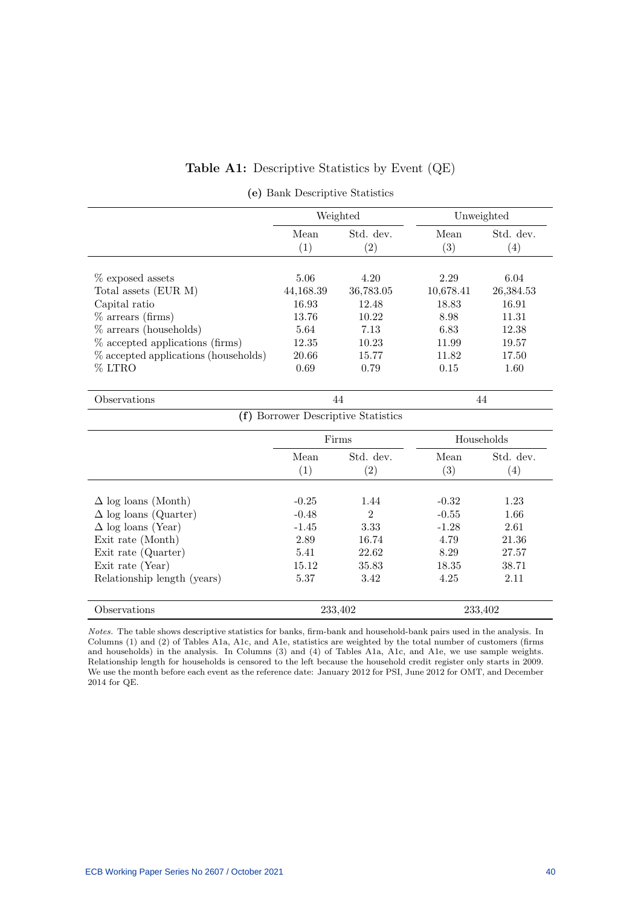### Table A1: Descriptive Statistics by Event (QE)

|  |  |  | (e) Bank Descriptive Statistics |  |
|--|--|--|---------------------------------|--|
|--|--|--|---------------------------------|--|

|                                      |             | Weighted         |             | Unweighted       |  |
|--------------------------------------|-------------|------------------|-------------|------------------|--|
|                                      | Mean<br>(1) | Std. dev.<br>(2) | Mean<br>(3) | Std. dev.<br>(4) |  |
|                                      |             |                  |             |                  |  |
| $%$ exposed assets                   | 5.06        | 4.20             | 2.29        | 6.04             |  |
| Total assets (EUR M)                 | 44,168.39   | 36,783.05        | 10,678.41   | 26,384.53        |  |
| Capital ratio                        | 16.93       | 12.48            | 18.83       | 16.91            |  |
| $%$ arrears (firms)                  | 13.76       | 10.22            | 8.98        | 11.31            |  |
| $%$ arrears (households)             | 5.64        | 7.13             | 6.83        | 12.38            |  |
| % accepted applications (firms)      | 12.35       | 10.23            | 11.99       | 19.57            |  |
| % accepted applications (households) | 20.66       | 15.77            | 11.82       | 17.50            |  |
| % LTRO                               | 0.69        | 0.79             | 0.15        | 1.60             |  |
|                                      |             |                  |             |                  |  |
| Observations                         |             | 44               |             | 44               |  |
| (f) Borrower Descriptive Statistics  |             |                  |             |                  |  |
|                                      | Firms       |                  |             | Households       |  |
|                                      | Mean        | Std. dev.        | Mean        | Std. dev.        |  |
|                                      | (1)         | (2)              | (3)         | (4)              |  |
|                                      |             |                  |             |                  |  |
| $\Delta$ log loans (Month)           | $-0.25$     | 1.44             | $-0.32$     | 1.23             |  |
| $\Delta$ log loans (Quarter)         | $-0.48$     | $\overline{2}$   | $-0.55$     | 1.66             |  |
| $\Delta$ log loans (Year)            | $-1.45$     | 3.33             | $-1.28$     | 2.61             |  |
| Exit rate (Month)                    | 2.89        | 16.74            | 4.79        | 21.36            |  |
| Exit rate (Quarter)                  | 5.41        | 22.62            | 8.29        | 27.57            |  |
| Exit rate (Year)                     | 15.12       | 35.83            | 18.35       | 38.71            |  |
| Relationship length (years)          | 5.37        | 3.42             | 4.25        | 2.11             |  |
| Observations                         |             | 233,402          |             | 233,402          |  |

Notes. The table shows descriptive statistics for banks, firm-bank and household-bank pairs used in the analysis. In Columns (1) and (2) of Tables A1a, A1c, and A1e, statistics are weighted by the total number of customers (firms and households) in the analysis. In Columns (3) and (4) of Tables A1a, A1c, and A1e, we use sample weights. Relationship length for households is censored to the left because the household credit register only starts in 2009. We use the month before each event as the reference date: January 2012 for PSI, June 2012 for OMT, and December 2014 for QE.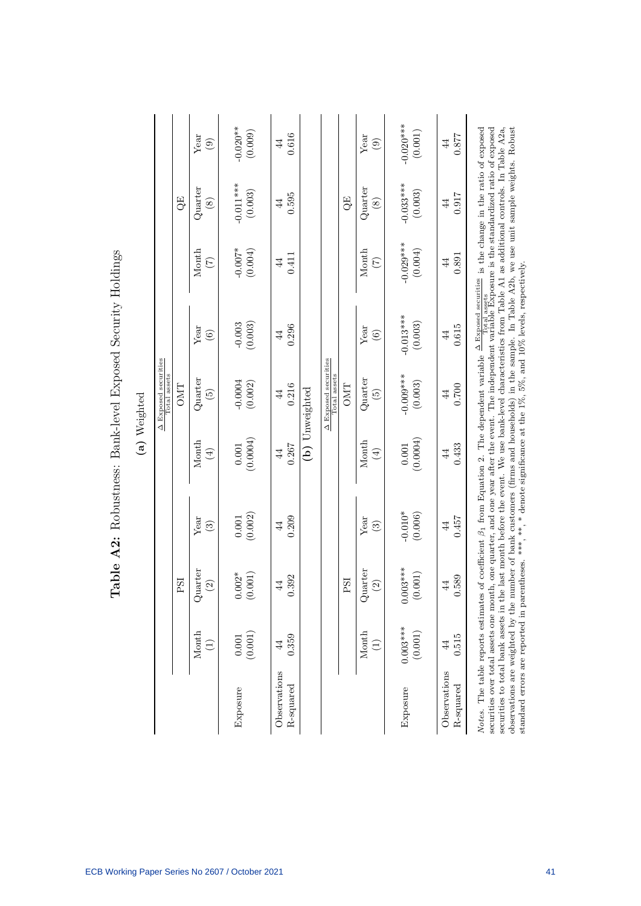| í<br>- |
|--------|
| г      |

Table A2: Robustness: Bank-level Exposed Security Holdings

Table A2: Robustness: Bank-level Exposed Security Holdings

|                                                                                                                                                                                                                                                                                                                                                                                                                                                                                                                                                                                                                                                                                                                                                                                                     |                                       |                                        |                         |                                                                                                                          | A Exposed securities<br>Total assets |                         |                            |                                 |                                |
|-----------------------------------------------------------------------------------------------------------------------------------------------------------------------------------------------------------------------------------------------------------------------------------------------------------------------------------------------------------------------------------------------------------------------------------------------------------------------------------------------------------------------------------------------------------------------------------------------------------------------------------------------------------------------------------------------------------------------------------------------------------------------------------------------------|---------------------------------------|----------------------------------------|-------------------------|--------------------------------------------------------------------------------------------------------------------------|--------------------------------------|-------------------------|----------------------------|---------------------------------|--------------------------------|
|                                                                                                                                                                                                                                                                                                                                                                                                                                                                                                                                                                                                                                                                                                                                                                                                     |                                       | PSI                                    |                         |                                                                                                                          | <b>OMT</b>                           |                         |                            | QE                              |                                |
|                                                                                                                                                                                                                                                                                                                                                                                                                                                                                                                                                                                                                                                                                                                                                                                                     | Month<br>$\bigoplus$                  | Quarter<br>$\widehat{2}$               | Year<br>ලි              | Month<br>$\bigoplus$                                                                                                     | $_{\rm Quarter}$<br>$\widetilde{E}$  | Year<br>$\odot$         | Month<br>$\widetilde{\Xi}$ | $_{\rm Quarter}$<br>$\circledS$ | Year<br>$\widehat{\mathbf{e}}$ |
| Exposure                                                                                                                                                                                                                                                                                                                                                                                                                                                                                                                                                                                                                                                                                                                                                                                            | (0.001)<br>$0.001\,$                  | $0.002*$<br>(0.001)                    | (0.002)<br>0.001        | (0.0004)<br>0.001                                                                                                        | $-0.0004$<br>(0.002)                 | (0.003)<br>$-0.003$     | $-0.007*$<br>(0.004)       | $-0.011***$<br>(0.003)          | $-0.020**$<br>(0.009)          |
| Observations<br>R-squared                                                                                                                                                                                                                                                                                                                                                                                                                                                                                                                                                                                                                                                                                                                                                                           | 0.359<br>$\overline{4}$               | 392<br>$\overline{4}$<br>ö             | 0.209<br>$\overline{4}$ | 0.267<br>$\overline{4}$                                                                                                  | 0.216<br>44                          | 0.296<br>$\overline{4}$ | 0.411<br>$\overline{4}$    | 0.595<br>$\overline{4}$         | 0.616<br>44                    |
|                                                                                                                                                                                                                                                                                                                                                                                                                                                                                                                                                                                                                                                                                                                                                                                                     |                                       |                                        |                         |                                                                                                                          | (b) Unweighted                       |                         |                            |                                 |                                |
|                                                                                                                                                                                                                                                                                                                                                                                                                                                                                                                                                                                                                                                                                                                                                                                                     |                                       |                                        |                         |                                                                                                                          | A Exposed securities<br>Total assets |                         |                            |                                 |                                |
|                                                                                                                                                                                                                                                                                                                                                                                                                                                                                                                                                                                                                                                                                                                                                                                                     |                                       | PSI                                    |                         |                                                                                                                          | <b>OMT</b>                           |                         |                            | QE                              |                                |
|                                                                                                                                                                                                                                                                                                                                                                                                                                                                                                                                                                                                                                                                                                                                                                                                     | Month<br>$\left( \frac{1}{2} \right)$ | Quarter<br>$\widehat{\Omega}$          | Year<br>$\binom{3}{2}$  | Month<br>$\bigoplus$                                                                                                     | Quarter<br>$\widehat{5}$             | Year<br>$\odot$         | Month<br>$\widetilde{C}$   | Quarter<br>$\circledast$        | Year<br>$\odot$                |
| Exposure                                                                                                                                                                                                                                                                                                                                                                                                                                                                                                                                                                                                                                                                                                                                                                                            | $0.003***$<br>(0.001)                 | $0.003***$<br>(0.001)                  | $-0.010*$<br>(0.006)    | (0.0004)<br>0.001                                                                                                        | $-0.009***$<br>(0.003)               | $-0.013***$<br>(0.003)  | $-0.029***$<br>(0.004)     | $-0.033***$<br>(0.003)          | $-0.020$ ***<br>(0.001)        |
| Observations<br>R-squared                                                                                                                                                                                                                                                                                                                                                                                                                                                                                                                                                                                                                                                                                                                                                                           | 0.515<br>$\overline{4}$               | 589<br>$\overline{4}$<br>$\dot{\circ}$ | 0.457<br>$\overline{4}$ | 0.433<br>$\overline{4}$                                                                                                  | 0.700<br>44                          | 0.615<br>$\overline{4}$ | 0.891<br>$\overline{4}$    | 0.917<br>$\overline{4}$         | 128.0<br>44                    |
| securities to total bank assets in the last month before the event. We use bank-level characteristics from Table A1 as additional controls. In Table A2a,<br>Notes. The table reports estimates of coefficient $\beta_1$ from Equation 2. The dependent variable $\frac{\Delta \text{ Exposed securities}}{\text{Text} \text{1 assets}}$ is the change in the ratio of exposed<br><i>rvotes</i> . The cause reports estimates or coemicient p <sub>1</sub> num Equation 2. The uepencem variable $\frac{1}{\sqrt{2}}$ assets $\frac{1}{\sqrt{2}}$ is the standardized ratio of exposed securities over total assets one month, one quarter, and<br>observations are weighted by the number of bank customers (firms and households) in the sample. In Table A2b, we use unit sample weights. Robust |                                       |                                        |                         | standard errors are reported in parentheses. ***, **, * denote significance at the 1%, 5%, and 10% levels, respectively. |                                      |                         |                            |                                 |                                |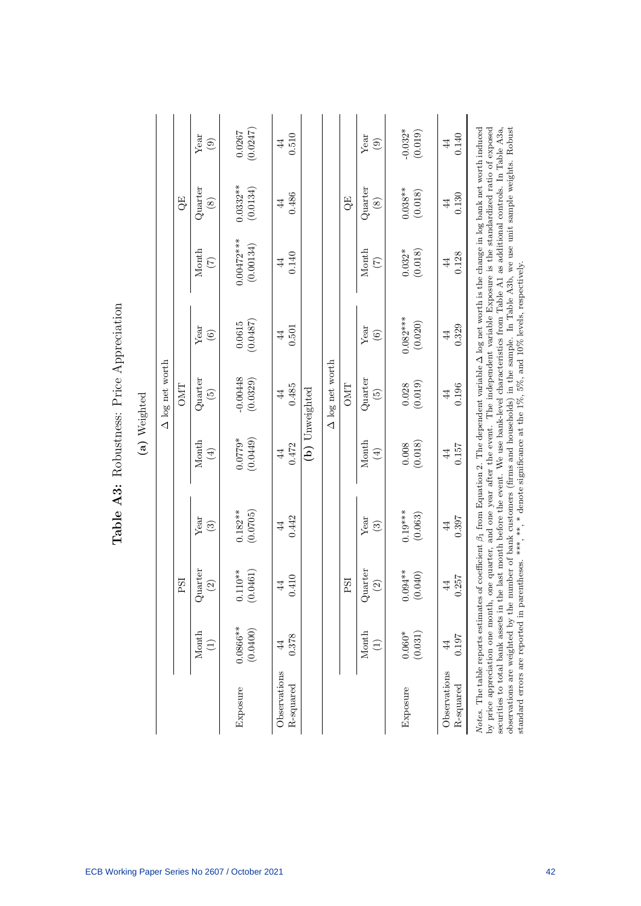| mmmmm<br>ľ<br><b>DULL</b> |  |
|---------------------------|--|
| Rohietnass.               |  |
| Ç                         |  |
| 7                         |  |

| 1<br>Ξ |  |
|--------|--|
| ರ<br>C |  |

|                                                                                                                          |                 |            |                        |                   | A log net worth  |                |                                                                                                                                                                                                                                                                                                                                                                                                                                                                                                                                                                                                                                               |                  |                |
|--------------------------------------------------------------------------------------------------------------------------|-----------------|------------|------------------------|-------------------|------------------|----------------|-----------------------------------------------------------------------------------------------------------------------------------------------------------------------------------------------------------------------------------------------------------------------------------------------------------------------------------------------------------------------------------------------------------------------------------------------------------------------------------------------------------------------------------------------------------------------------------------------------------------------------------------------|------------------|----------------|
|                                                                                                                          |                 | PSI        |                        |                   | OMT              |                |                                                                                                                                                                                                                                                                                                                                                                                                                                                                                                                                                                                                                                               | GE)              |                |
|                                                                                                                          | Month           | Quarter    | Year                   | Month             | $_{\rm Quarter}$ | Year           | Month                                                                                                                                                                                                                                                                                                                                                                                                                                                                                                                                                                                                                                         | $_{\rm Quarter}$ | Year           |
|                                                                                                                          | $\widehat{\Xi}$ | $\odot$    | ව                      | $\left( 4\right)$ | $\widetilde{5}$  | $\odot$        | $\widetilde{C}$                                                                                                                                                                                                                                                                                                                                                                                                                                                                                                                                                                                                                               | $\circledast$    | $\odot$        |
| Exposure                                                                                                                 | $0.0866**$      | $0.110**$  | $0.182**$              | (0.0449)          | $-0.00448$       | (0.0487)       | $0.00472***$                                                                                                                                                                                                                                                                                                                                                                                                                                                                                                                                                                                                                                  | $0.0332***$      | (0.0247)       |
|                                                                                                                          | (0.0400)        | (0.0461)   | (0.0705)               | $0.0779*$         | (0.0329)         | 0.0615         | (0.00134)                                                                                                                                                                                                                                                                                                                                                                                                                                                                                                                                                                                                                                     | (0.0134)         | 0.0267         |
| Observations                                                                                                             | 0.378           | .410       | 0.442                  | 0.472             | 0.485            | 0.501          | 0.140                                                                                                                                                                                                                                                                                                                                                                                                                                                                                                                                                                                                                                         | 0.486            | 0.510          |
| R-squared                                                                                                                | 44              | $\ddot{4}$ | $\overline{4}$         | $\overline{4}$    | $\overline{4}$   | $\overline{4}$ | $\overline{4}$                                                                                                                                                                                                                                                                                                                                                                                                                                                                                                                                                                                                                                | $\overline{4}$   | $\overline{4}$ |
|                                                                                                                          |                 |            |                        |                   | (b) Unweighted   |                |                                                                                                                                                                                                                                                                                                                                                                                                                                                                                                                                                                                                                                               |                  |                |
|                                                                                                                          |                 |            |                        |                   | A log net worth  |                |                                                                                                                                                                                                                                                                                                                                                                                                                                                                                                                                                                                                                                               |                  |                |
|                                                                                                                          |                 | PSI        |                        |                   | OMT              |                |                                                                                                                                                                                                                                                                                                                                                                                                                                                                                                                                                                                                                                               | QE               |                |
|                                                                                                                          | Month           | Quarter    | Year                   | Month             | $_{\rm Quarter}$ | Year           | Month                                                                                                                                                                                                                                                                                                                                                                                                                                                                                                                                                                                                                                         | $_{\rm Quarter}$ | Year           |
|                                                                                                                          | $\bigoplus$     | $\odot$    | $\widehat{\mathbb{C}}$ | $(\pm)$           | $\widetilde{5}$  | $\odot$        | $(\zeta)$                                                                                                                                                                                                                                                                                                                                                                                                                                                                                                                                                                                                                                     | $\circledS$      | $\odot$        |
| Exposure                                                                                                                 | $0.060*$        | $0.094***$ | $0.19***$              | (0.018)           | (0.019)          | $0.082***$     | (0.018)                                                                                                                                                                                                                                                                                                                                                                                                                                                                                                                                                                                                                                       | $0.038***$       | $-0.032*$      |
|                                                                                                                          | (0.031)         | 040)       | (0.063)                | 0.008             | 0.028            | (0.020)        | $0.032*$                                                                                                                                                                                                                                                                                                                                                                                                                                                                                                                                                                                                                                      | (0.018)          | (0.019)        |
| Observations                                                                                                             | 0.197           | .257       | 0.397                  | 0.157             | 0.196            | 0.329          | 0.128                                                                                                                                                                                                                                                                                                                                                                                                                                                                                                                                                                                                                                         | 0.130            | 0.140          |
| R-squared                                                                                                                | $\overline{4}$  | $\ddot{4}$ | 44                     | $\overline{4}$    | $\overline{4}$   | $\overline{4}$ | $\overline{4}$                                                                                                                                                                                                                                                                                                                                                                                                                                                                                                                                                                                                                                | 4                | $\frac{4}{4}$  |
| standard errors are reported in parentheses. ***, **, * denote significance at the 1%, 5%, and 10% levels, respectively. |                 |            |                        |                   |                  |                | Notes. The table reports estimates of coefficient $\beta_1$ from Equation 2. The dependent variable $\Delta$ log net worth is the change in log bank net worth induced<br>securities to total bank assets in the last month before the event. We use bank-level characteristics from Table A1 as additional controls. In Table A3a,<br>observations are weighted by the number of bank customers (firms and households) in the sample. In Table A3b, we use unit sample weights. Robust<br>by price appreciation one month, one quarter, and one year after the event. The independent variable Exposure is the standardized ratio of exposed |                  |                |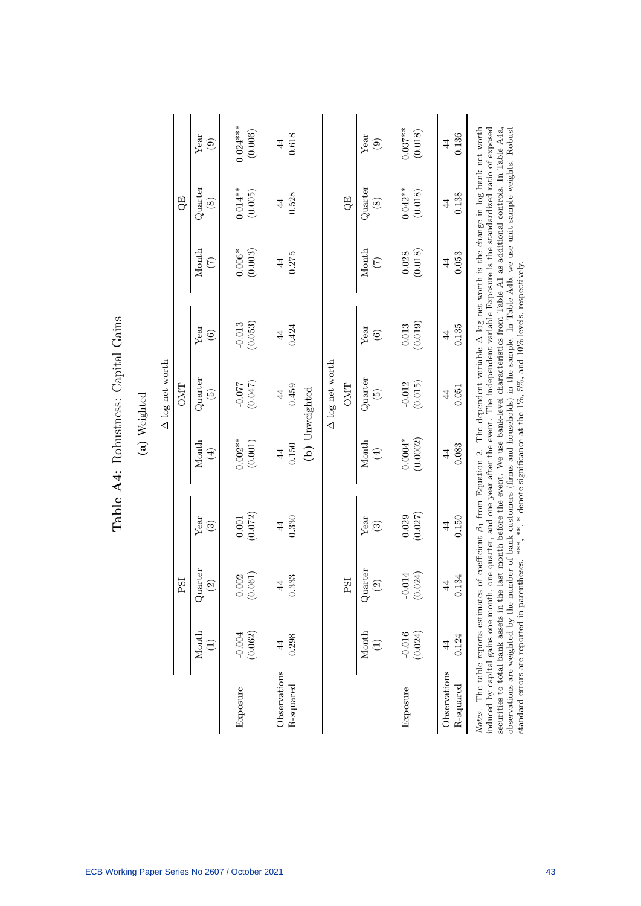| Č<br>ζ                     |  |
|----------------------------|--|
| $0 + 1 + 0$<br>ł           |  |
| Aucto Acc<br>$\frac{1}{2}$ |  |
| $\ddot{ }$                 |  |
|                            |  |

| 1<br>۴<br>ì<br>Ξ<br>ŗ |  |
|-----------------------|--|
| ٢<br>ī                |  |

|                                                                                                                                                                                                                                                                                                                                                                                                                                                                                                                                                                                                                                                                                                                                                                      |                          |                               |                                |                         | $\Delta$ log net worth              |                         |                                          |                                 |                         |
|----------------------------------------------------------------------------------------------------------------------------------------------------------------------------------------------------------------------------------------------------------------------------------------------------------------------------------------------------------------------------------------------------------------------------------------------------------------------------------------------------------------------------------------------------------------------------------------------------------------------------------------------------------------------------------------------------------------------------------------------------------------------|--------------------------|-------------------------------|--------------------------------|-------------------------|-------------------------------------|-------------------------|------------------------------------------|---------------------------------|-------------------------|
|                                                                                                                                                                                                                                                                                                                                                                                                                                                                                                                                                                                                                                                                                                                                                                      |                          | FSI                           |                                |                         | <b>OMT</b>                          |                         |                                          | QE                              |                         |
|                                                                                                                                                                                                                                                                                                                                                                                                                                                                                                                                                                                                                                                                                                                                                                      | Month<br>$\widehat{\Xi}$ | Quarter<br>$\widetilde{S}$    | Year<br>ව                      | Month<br>$\bigoplus$    | $_{\rm Quarter}$<br>$\widetilde{5}$ | Year<br>$\odot$         | Month<br>$\widetilde{C}$                 | $_{\rm Quarter}$<br>$\circledS$ | Year<br>$\odot$         |
| Exposure                                                                                                                                                                                                                                                                                                                                                                                                                                                                                                                                                                                                                                                                                                                                                             | (0.062)<br>$-0.004$      | 0.061<br>.002<br>$\subseteq$  | (0.072)<br>0.001               | $0.002**$<br>(0.001)    | (0.047)<br>$-0.077$                 | (0.053)<br>$-0.013$     | (0.003)<br>$0.006\ensuremath{^*}\xspace$ | $0.014**$<br>(0.005)            | $0.024***$<br>(0.006)   |
| Observations<br>R-squared                                                                                                                                                                                                                                                                                                                                                                                                                                                                                                                                                                                                                                                                                                                                            | 0.298<br>$\overline{4}$  | 333<br>$\overline{4}$         | 0.330<br>$\overline{4}$        | 0.150<br>$\overline{4}$ | 0.459<br>44                         | 0.424<br>$\overline{4}$ | 0.275<br>$\overline{4}$                  | 0.528<br>$\overline{4}$         | 0.618<br>44             |
|                                                                                                                                                                                                                                                                                                                                                                                                                                                                                                                                                                                                                                                                                                                                                                      |                          |                               |                                |                         | (b) Unweighted                      |                         |                                          |                                 |                         |
|                                                                                                                                                                                                                                                                                                                                                                                                                                                                                                                                                                                                                                                                                                                                                                      |                          |                               |                                |                         | A log net worth                     |                         |                                          |                                 |                         |
|                                                                                                                                                                                                                                                                                                                                                                                                                                                                                                                                                                                                                                                                                                                                                                      |                          | PSI                           |                                |                         | <b>OMT</b>                          |                         |                                          | QE                              |                         |
|                                                                                                                                                                                                                                                                                                                                                                                                                                                                                                                                                                                                                                                                                                                                                                      | Month<br>$\bigoplus$     | Quarter<br>$\widehat{c}$      | Year<br>$\widehat{\mathbb{C}}$ | Month<br>$\bigoplus$    | Quarter<br>$\widetilde{5}$          | Year<br>$\odot$         | Month<br>$(\zeta)$                       | $_{\rm Quarter}$<br>$\circledS$ | Year<br>$\odot$         |
| Exposure                                                                                                                                                                                                                                                                                                                                                                                                                                                                                                                                                                                                                                                                                                                                                             | $-0.016$<br>(0.024)      | 0.024)<br>$-0.014$<br>$\circ$ | (0.027)<br>0.029               | $0.0004*$<br>(0.0002)   | (0.015)<br>$-0.012$                 | (0.019)<br>$\,0.013$    | (0.018)<br>0.028                         | $0.042**$<br>(0.018)            | $0.037**$<br>(0.018)    |
| Observations<br>R-squared                                                                                                                                                                                                                                                                                                                                                                                                                                                                                                                                                                                                                                                                                                                                            | 0.124<br>$\overline{4}$  | .134<br>$\overline{4}$        | 0.150<br>$\ddot{4}$            | 0.083<br>$\overline{4}$ | 0.051<br>44                         | 0.135<br>$\overline{4}$ | 0.053<br>$\overline{4}$                  | 0.138<br>$\overline{4}$         | 0.136<br>$\overline{4}$ |
| Notes. The table reports estimates of coefficient $\beta_1$ from Equation 2. The dependent variable $\Delta$ log net worth is the change in log bank net worth<br>securities to total bank assets in the last month before the event. We use bank-level characteristics from Table A1 as additional controls. In Table A4a,<br>observations are weighted by the number of bank customers (firms and households) in the sample. In Table A4b, we use unit sample weights. Robust<br>induced by capital gains one month, one quarter, and one year after the event. The independent variable Exposure is the standardized ratio of exposed<br>standard errors are reported in parentheses. ***, **, * denote significance at the 1%, 5%, and 10% levels, respectively. |                          |                               |                                |                         |                                     |                         |                                          |                                 |                         |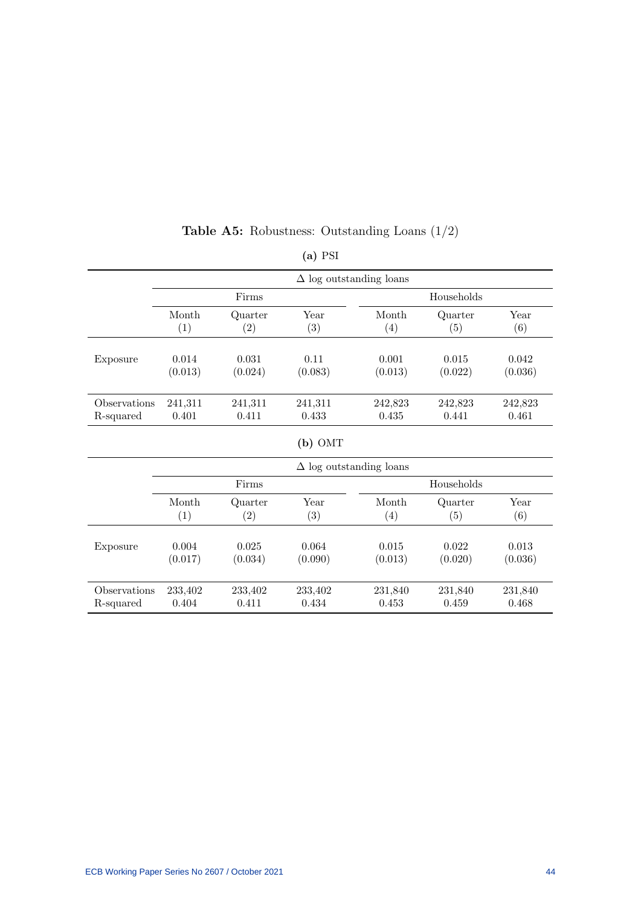|              |         |         | $(a)$ PSI         |                                |            |         |
|--------------|---------|---------|-------------------|--------------------------------|------------|---------|
|              |         |         |                   | $\Delta$ log outstanding loans |            |         |
|              |         | Firms   |                   |                                | Households |         |
|              | Month   | Quarter | Year              | Month                          | Quarter    | Year    |
|              | (1)     | (2)     | (3)               | (4)                            | (5)        | (6)     |
| Exposure     | 0.014   | 0.031   | 0.11              | 0.001                          | 0.015      | 0.042   |
|              | (0.013) | (0.024) | (0.083)           | (0.013)                        | (0.022)    | (0.036) |
| Observations | 241,311 | 241,311 | 241,311           | 242,823                        | 242,823    | 242,823 |
| R-squared    | 0.401   | 0.411   | 0.433             | 0.435                          | 0.441      | 0.461   |
|              |         |         | $(b)$ OMT         |                                |            |         |
|              |         |         |                   | $\Delta$ log outstanding loans |            |         |
|              |         | Firms   |                   |                                | Households |         |
|              | Month   | Quarter | Year              | Month                          | Quarter    | Year    |
|              | (1)     | (2)     | $\left( 3\right)$ | (4)                            | (5)        | (6)     |
| Exposure     | 0.004   | 0.025   | 0.064             | 0.015                          | 0.022      | 0.013   |
|              | (0.017) | (0.034) | (0.090)           | (0.013)                        | (0.020)    | (0.036) |
| Observations | 233,402 | 233,402 | 233,402           | 231,840                        | 231,840    | 231,840 |
| R-squared    | 0.404   | 0.411   | 0.434             | 0.453                          | 0.459      | 0.468   |

# Table A5: Robustness: Outstanding Loans (1/2)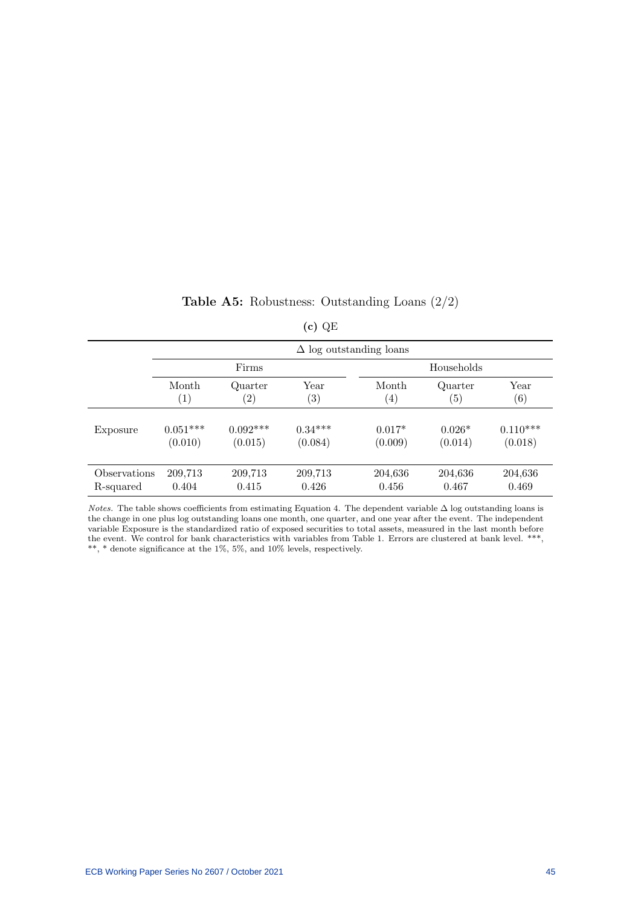## Table A5: Robustness: Outstanding Loans (2/2)

| ٠ |
|---|
|   |

|              |                   |                   |                   | $\Delta$ log outstanding loans |                   |                   |
|--------------|-------------------|-------------------|-------------------|--------------------------------|-------------------|-------------------|
|              |                   | Firms             |                   |                                | Households        |                   |
|              | Month             | Quarter           | Year              | Month                          | Quarter           | Year              |
|              | $\left( 1\right)$ | $\left( 2\right)$ | $\left( 3\right)$ | $\left(4\right)$               | $\left( 5\right)$ | $\left( 6\right)$ |
| Exposure     | $0.051***$        | $0.092***$        | $0.34***$         | $0.017*$                       | $0.026*$          | $0.110***$        |
|              | (0.010)           | (0.015)           | (0.084)           | (0.009)                        | (0.014)           | (0.018)           |
| Observations | 209,713           | 209,713           | 209,713           | 204,636                        | 204,636           | 204,636           |
| R-squared    | 0.404             | 0.415             | 0.426             | 0.456                          | 0.467             | 0.469             |

Notes. The table shows coefficients from estimating Equation 4. The dependent variable  $\Delta$  log outstanding loans is the change in one plus log outstanding loans one month, one quarter, and one year after the event. The independent variable Exposure is the standardized ratio of exposed securities to total assets, measured in the last month before the event. We control for bank characteristics with variables from Table 1. Errors are clustered at bank level. \*\*\*, \*\*, \* denote significance at the 1%, 5%, and 10% levels, respectively.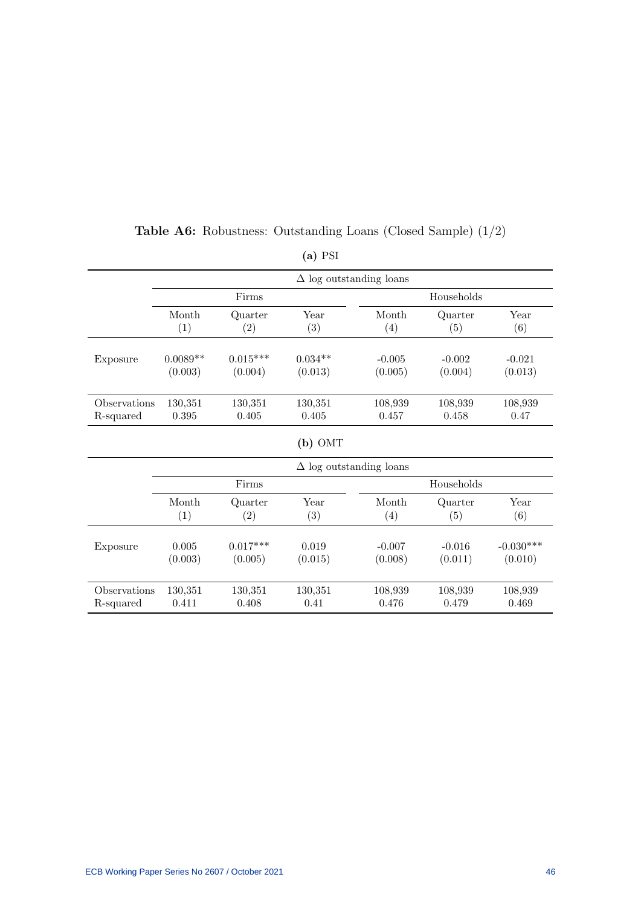|              |            |            |           | $\Delta$ log outstanding loans |            |             |
|--------------|------------|------------|-----------|--------------------------------|------------|-------------|
|              |            | Firms      |           |                                | Households |             |
|              | Month      | Quarter    | Year      | Month                          | Quarter    | Year        |
|              | (1)        | (2)        | (3)       | (4)                            | (5)        | (6)         |
| Exposure     | $0.0089**$ | $0.015***$ | $0.034**$ | $-0.005$                       | $-0.002$   | $-0.021$    |
|              | (0.003)    | (0.004)    | (0.013)   | (0.005)                        | (0.004)    | (0.013)     |
| Observations | 130,351    | 130,351    | 130,351   | 108,939                        | 108,939    | 108,939     |
| R-squared    | 0.395      | 0.405      | 0.405     | 0.457                          | 0.458      | 0.47        |
|              |            |            | $(b)$ OMT |                                |            |             |
|              |            |            |           | $\Delta$ log outstanding loans |            |             |
|              |            | Firms      |           |                                | Households |             |
|              | Month      | Quarter    | Year      | Month                          | Quarter    | Year        |
|              | (1)        | (2)        | (3)       | (4)                            | (5)        | (6)         |
| Exposure     | 0.005      | $0.017***$ | 0.019     | $-0.007$                       | $-0.016$   | $-0.030***$ |
|              | (0.003)    | (0.005)    | (0.015)   | (0.008)                        | (0.011)    | (0.010)     |
| Observations | 130,351    | 130,351    | 130,351   | 108,939                        | 108,939    | 108,939     |
| R-squared    | 0.411      | 0.408      | 0.41      | 0.476                          | 0.479      | 0.469       |

# Table A6: Robustness: Outstanding Loans (Closed Sample) (1/2)

(a) PSI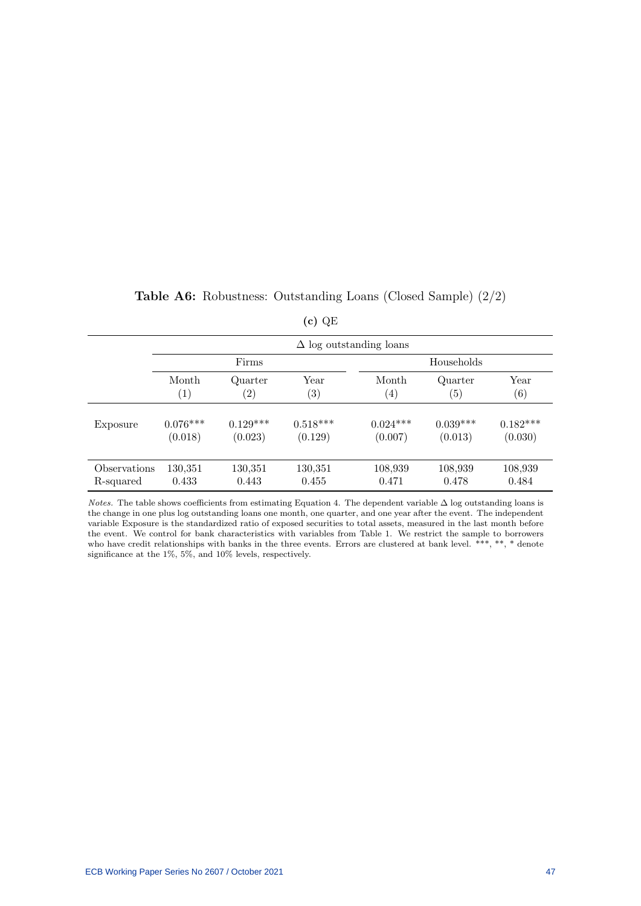|              |                   |                   |                   | $\Delta$ log outstanding loans |            |                   |
|--------------|-------------------|-------------------|-------------------|--------------------------------|------------|-------------------|
|              |                   | Firms             |                   |                                | Households |                   |
|              | Month             | Quarter           | Year              | Month                          | Quarter    | Year              |
|              | $\left( 1\right)$ | $\left( 2\right)$ | $\left( 3\right)$ | $\left( 4\right)$              | (5)        | $\left( 6\right)$ |
| Exposure     | $0.076***$        | $0.129***$        | $0.518***$        | $0.024***$                     | $0.039***$ | $0.182***$        |
|              | (0.018)           | (0.023)           | (0.129)           | (0.007)                        | (0.013)    | (0.030)           |
| Observations | 130,351           | 130,351           | 130,351           | 108,939                        | 108,939    | 108,939           |
| R-squared    | 0.433             | 0.443             | 0.455             | 0.471                          | 0.478      | 0.484             |

## Table A6: Robustness: Outstanding Loans (Closed Sample) (2/2)

(c) QE

Notes. The table shows coefficients from estimating Equation 4. The dependent variable  $\Delta$  log outstanding loans is the change in one plus log outstanding loans one month, one quarter, and one year after the event. The independent variable Exposure is the standardized ratio of exposed securities to total assets, measured in the last month before the event. We control for bank characteristics with variables from Table 1. We restrict the sample to borrowers who have credit relationships with banks in the three events. Errors are clustered at bank level. \*\*\*, \*\*, \* denote significance at the 1%, 5%, and 10% levels, respectively.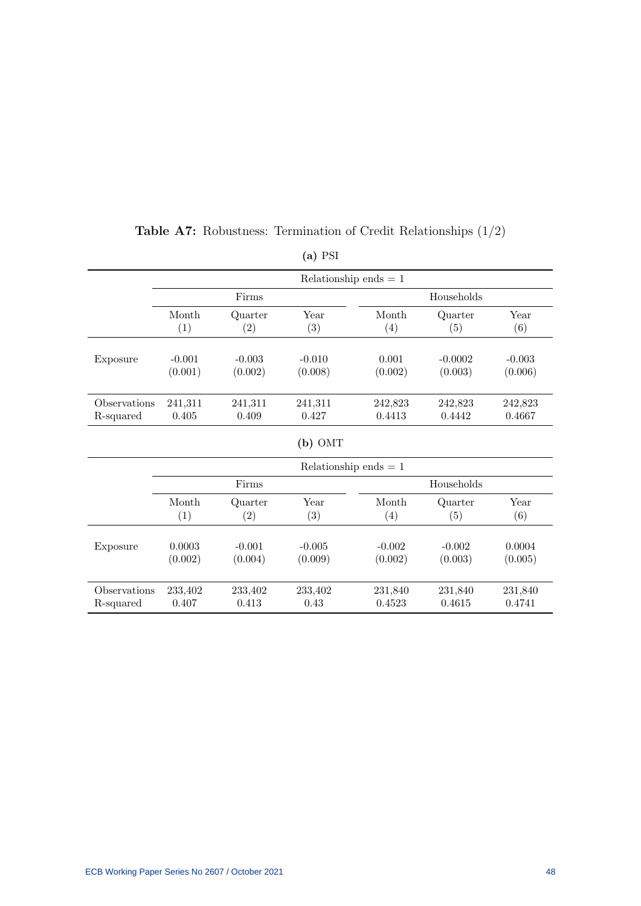|              |          |          | $(a)$ PSI |                         |            |          |
|--------------|----------|----------|-----------|-------------------------|------------|----------|
|              |          |          |           | Relationship ends $= 1$ |            |          |
|              |          | Firms    |           |                         | Households |          |
|              | Month    | Quarter  | Year      | Month                   | Quarter    | Year     |
|              | (1)      | (2)      | (3)       | (4)                     | (5)        | (6)      |
| Exposure     | $-0.001$ | $-0.003$ | $-0.010$  | 0.001                   | $-0.0002$  | $-0.003$ |
|              | (0.001)  | (0.002)  | (0.008)   | (0.002)                 | (0.003)    | (0.006)  |
| Observations | 241,311  | 241,311  | 241,311   | 242,823                 | 242,823    | 242,823  |
| R-squared    | 0.405    | 0.409    | 0.427     | 0.4413                  | 0.4442     | 0.4667   |
|              |          |          | $(b)$ OMT |                         |            |          |
|              |          |          |           | Relationship ends $= 1$ |            |          |
|              |          | Firms    |           |                         | Households |          |
|              | Month    | Quarter  | Year      | Month                   | Quarter    | Year     |
|              | (1)      | (2)      | (3)       | (4)                     | (5)        | (6)      |
| Exposure     | 0.0003   | $-0.001$ | $-0.005$  | $-0.002$                | $-0.002$   | 0.0004   |
|              | (0.002)  | (0.004)  | (0.009)   | (0.002)                 | (0.003)    | (0.005)  |
| Observations | 233,402  | 233,402  | 233,402   | 231,840                 | 231,840    | 231,840  |
| R-squared    | 0.407    | 0.413    | 0.43      | 0.4523                  | 0.4615     | 0.4741   |

**Table A7:** Robustness: Termination of Credit Relationships  $(1/2)$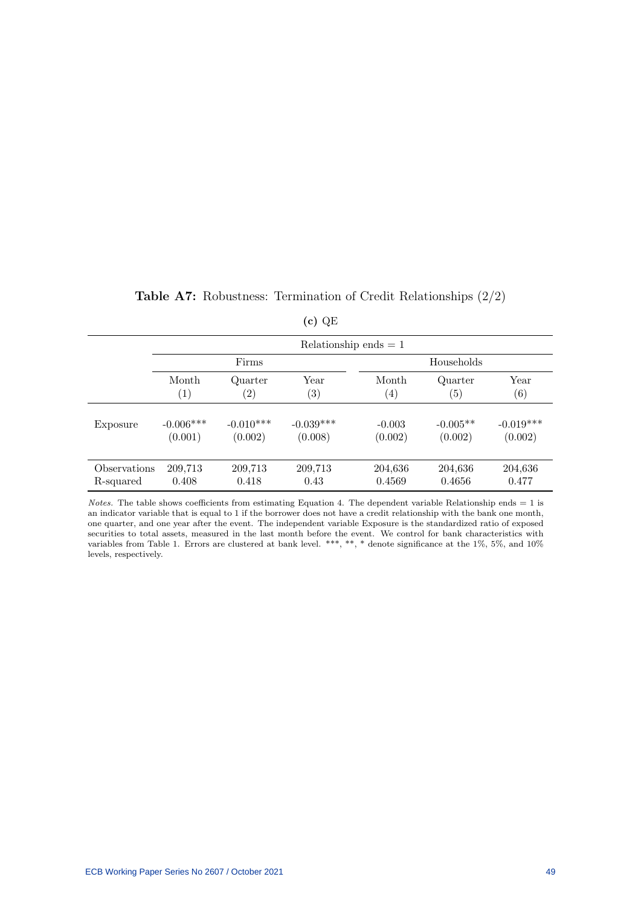|              |                   |                   | Relationship ends $= 1$ |                   |                  |             |
|--------------|-------------------|-------------------|-------------------------|-------------------|------------------|-------------|
|              |                   | Firms             |                         |                   | Households       |             |
|              | Month             | Quarter           | Year                    | Month             | Quarter          | Year        |
|              | $\left( 1\right)$ | $\left( 2\right)$ | $\left( 3\right)$       | $\left( 4\right)$ | $\left(5\right)$ | (6)         |
| Exposure     | $-0.006***$       | $-0.010***$       | $-0.039***$             | $-0.003$          | $-0.005**$       | $-0.019***$ |
|              | (0.001)           | (0.002)           | (0.008)                 | (0.002)           | (0.002)          | (0.002)     |
| Observations | 209,713           | 209,713           | 209,713                 | 204,636           | 204,636          | 204,636     |
| R-squared    | 0.408             | 0.418             | 0.43                    | 0.4569            | 0.4656           | 0.477       |

|  |  |  |  | <b>Table A7:</b> Robustness: Termination of Credit Relationships $(2/2)$ |  |  |  |
|--|--|--|--|--------------------------------------------------------------------------|--|--|--|
|--|--|--|--|--------------------------------------------------------------------------|--|--|--|

|--|--|

*Notes.* The table shows coefficients from estimating Equation 4. The dependent variable Relationship ends  $= 1$  is an indicator variable that is equal to 1 if the borrower does not have a credit relationship with the bank one month, one quarter, and one year after the event. The independent variable Exposure is the standardized ratio of exposed securities to total assets, measured in the last month before the event. We control for bank characteristics with variables from Table 1. Errors are clustered at bank level. \*\*\*, \*\*, \* denote significance at the 1%, 5%, and 10% levels, respectively.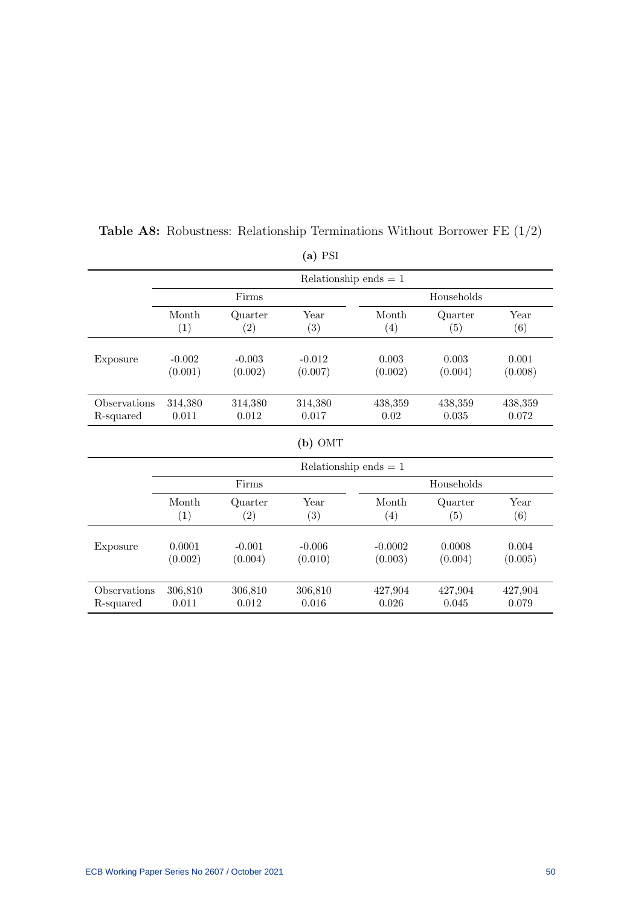|              |          |          | $(4) + 64$ |                         |            |         |
|--------------|----------|----------|------------|-------------------------|------------|---------|
|              |          |          |            | Relationship ends $= 1$ |            |         |
|              |          | Firms    |            |                         | Households |         |
|              | Month    | Quarter  | Year       | Month                   | Quarter    | Year    |
|              | (1)      | (2)      | (3)        | (4)                     | (5)        | (6)     |
| Exposure     | $-0.002$ | $-0.003$ | $-0.012$   | 0.003                   | 0.003      | 0.001   |
|              | (0.001)  | (0.002)  | (0.007)    | (0.002)                 | (0.004)    | (0.008) |
| Observations | 314,380  | 314,380  | 314,380    | 438,359                 | 438,359    | 438,359 |
| R-squared    | 0.011    | 0.012    | 0.017      | 0.02                    | 0.035      | 0.072   |
|              |          |          | $(b)$ OMT  |                         |            |         |
|              |          |          |            | Relationship ends $= 1$ |            |         |
|              |          | Firms    |            |                         | Households |         |
|              | Month    | Quarter  | Year       | Month                   | Quarter    | Year    |
|              | (1)      | (2)      | (3)        | (4)                     | (5)        | (6)     |
| Exposure     | 0.0001   | $-0.001$ | $-0.006$   | $-0.0002$               | 0.0008     | 0.004   |
|              | (0.002)  | (0.004)  | (0.010)    | (0.003)                 | (0.004)    | (0.005) |
| Observations | 306,810  | 306,810  | 306,810    | 427,904                 | 427,904    | 427,904 |
| R-squared    | 0.011    | 0.012    | 0.016      | 0.026                   | 0.045      | 0.079   |

**Table A8:** Robustness: Relationship Terminations Without Borrower FE  $(1/2)$ 

(a) PSI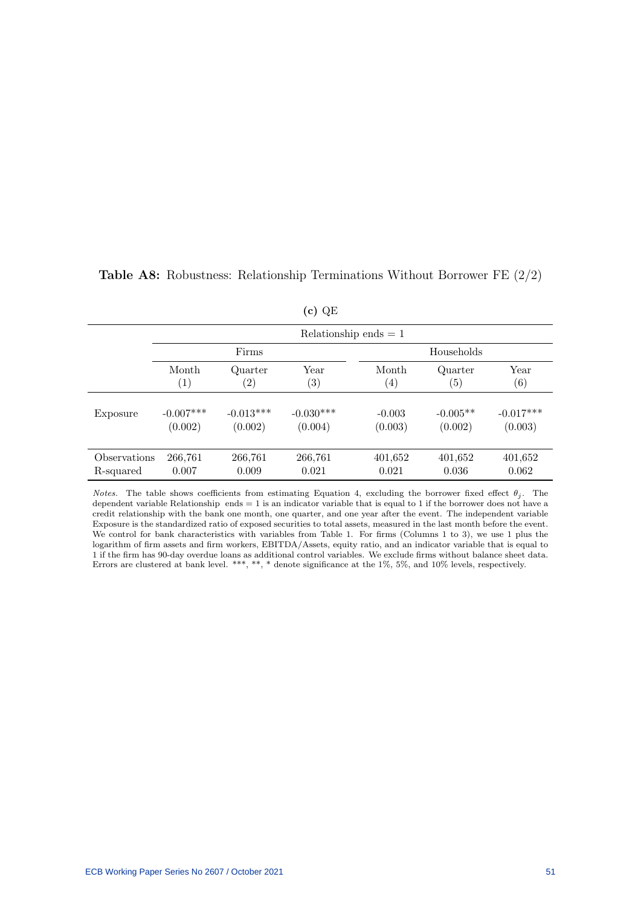|              |                   |                   |                   | Relationship ends $= 1$ |                  |                   |
|--------------|-------------------|-------------------|-------------------|-------------------------|------------------|-------------------|
|              |                   | Firms             |                   |                         | Households       |                   |
|              | Month             | Quarter           | Year              | Month                   | Quarter          | Year              |
|              | $\left( 1\right)$ | $\left( 2\right)$ | $\left( 3\right)$ | $\left( 4\right)$       | $\left(5\right)$ | $\left( 6\right)$ |
| Exposure     | $-0.007***$       | $-0.013***$       | $-0.030***$       | $-0.003$                | $-0.005**$       | $-0.017***$       |
|              | (0.002)           | (0.002)           | (0.004)           | (0.003)                 | (0.002)          | (0.003)           |
| Observations | 266,761           | 266,761           | 266,761           | 401,652                 | 401,652          | 401,652           |
| R-squared    | 0.007             | 0.009             | 0.021             | 0.021                   | 0.036            | 0.062             |

## **Table A8:** Robustness: Relationship Terminations Without Borrower FE  $(2/2)$

(c) QE

Notes. The table shows coefficients from estimating Equation 4, excluding the borrower fixed effect  $\theta_j$ . The dependent variable Relationship ends  $= 1$  is an indicator variable that is equal to 1 if the borrower does not have a credit relationship with the bank one month, one quarter, and one year after the event. The independent variable Exposure is the standardized ratio of exposed securities to total assets, measured in the last month before the event. We control for bank characteristics with variables from Table 1. For firms (Columns 1 to 3), we use 1 plus the logarithm of firm assets and firm workers, EBITDA/Assets, equity ratio, and an indicator variable that is equal to 1 if the firm has 90-day overdue loans as additional control variables. We exclude firms without balance sheet data. Errors are clustered at bank level. \*\*\*, \*\*, \* denote significance at the 1%, 5%, and 10% levels, respectively.

ECB Working Paper Series No 2607 / October 2021 51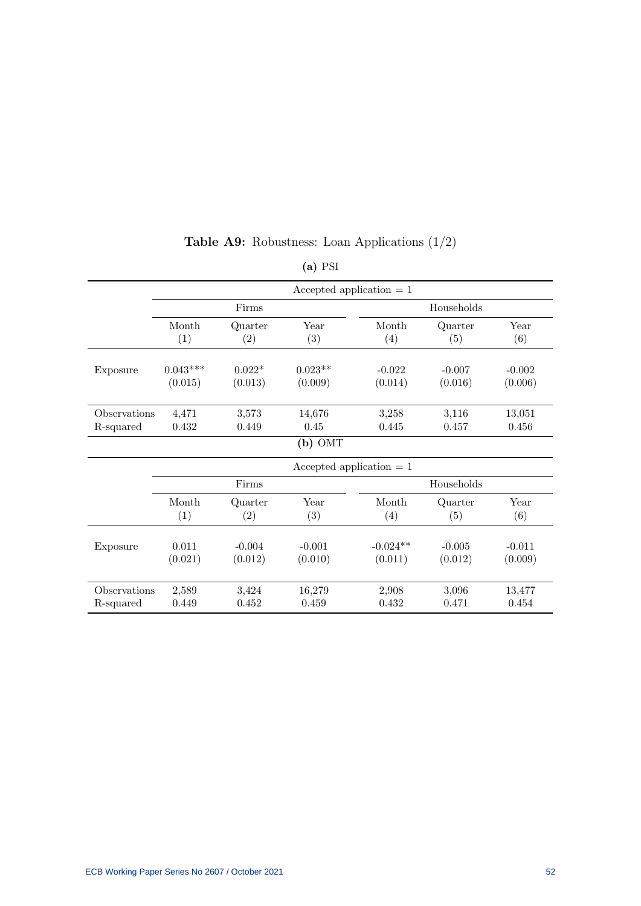|              |            |          |           | Accepted application $= 1$ |            |          |  |
|--------------|------------|----------|-----------|----------------------------|------------|----------|--|
|              | Firms      |          |           | Households                 |            |          |  |
|              | Month      | Quarter  | Year      | Month                      | Quarter    | Year     |  |
|              | (1)        | (2)      | (3)       | (4)                        | (5)        | (6)      |  |
| Exposure     | $0.043***$ | $0.022*$ | $0.023**$ | $-0.022$                   | $-0.007$   | $-0.002$ |  |
|              | (0.015)    | (0.013)  | (0.009)   | (0.014)                    | (0.016)    | (0.006)  |  |
| Observations | 4,471      | 3,573    | 14,676    | 3,258                      | 3,116      | 13,051   |  |
| R-squared    | 0.432      | 0.449    | 0.45      | 0.445                      | 0.457      | 0.456    |  |
|              |            |          | $(b)$ OMT |                            |            |          |  |
|              |            |          |           | Accepted application $= 1$ |            |          |  |
|              |            | Firms    |           |                            | Households |          |  |
|              | Month      | Quarter  | Year      | Month                      | Quarter    | Year     |  |
|              | (1)        | (2)      | (3)       | (4)                        | (5)        | (6)      |  |
| Exposure     | 0.011      | $-0.004$ | $-0.001$  | $-0.024**$                 | $-0.005$   | $-0.011$ |  |
|              | (0.021)    | (0.012)  | (0.010)   | (0.011)                    | (0.012)    | (0.009)  |  |
| Observations | 2,589      | 3,424    | 16,279    | 2,908                      | 3,096      | 13,477   |  |
| R-squared    | 0.449      | 0.452    | 0.459     | 0.432                      | 0.471      | 0.454    |  |

# **Table A9:** Robustness: Loan Applications  $(1/2)$

# (a) PSI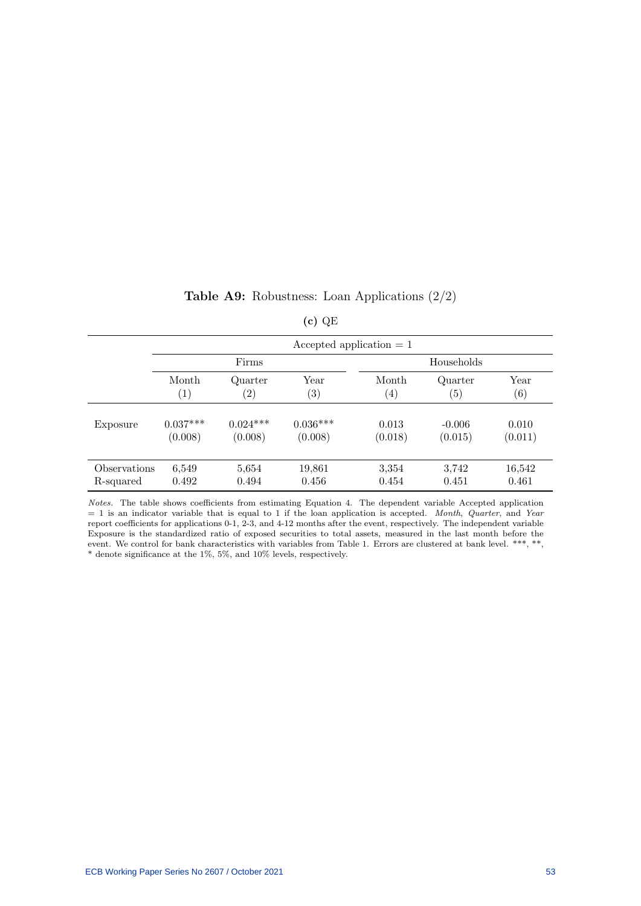|  | <b>Table A9:</b> RODUSTIESS: LOAN Applications $\left(\frac{2}{2}\right)$ |  |  |
|--|---------------------------------------------------------------------------|--|--|
|  |                                                                           |  |  |

|                            |                   |                   | $(c)$ QE          |                   |                   |         |  |  |
|----------------------------|-------------------|-------------------|-------------------|-------------------|-------------------|---------|--|--|
| Accepted application $= 1$ |                   |                   |                   |                   |                   |         |  |  |
|                            |                   | Firms             |                   |                   | Households        |         |  |  |
|                            | Month             | Quarter           | Year              | Month             | Quarter           | Year    |  |  |
|                            | $\left( 1\right)$ | $\left( 2\right)$ | $\left( 3\right)$ | $\left( 4\right)$ | $\left( 5\right)$ | (6)     |  |  |
| Exposure                   | $0.037***$        | $0.024***$        | $0.036***$        | 0.013             | $-0.006$          | 0.010   |  |  |
|                            | (0.008)           | (0.008)           | (0.008)           | (0.018)           | (0.015)           | (0.011) |  |  |
| Observations               | 6,549             | 5,654             | 19,861            | 3,354             | 3,742             | 16,542  |  |  |
| R-squared                  | 0.492             | 0.494             | 0.456             | 0.454             | 0.451             | 0.461   |  |  |

|  | <b>Table A9:</b> Robustness: Loan Applications $(2/2)$ |  |  |  |  |  |
|--|--------------------------------------------------------|--|--|--|--|--|
|--|--------------------------------------------------------|--|--|--|--|--|

Notes. The table shows coefficients from estimating Equation 4. The dependent variable Accepted application  $= 1$  is an indicator variable that is equal to 1 if the loan application is accepted. Month, Quarter, and Year report coefficients for applications 0-1, 2-3, and 4-12 months after the event, respectively. The independent variable Exposure is the standardized ratio of exposed securities to total assets, measured in the last month before the event. We control for bank characteristics with variables from Table 1. Errors are clustered at bank level. \*\*\*, \*\*, \* denote significance at the 1%, 5%, and 10% levels, respectively.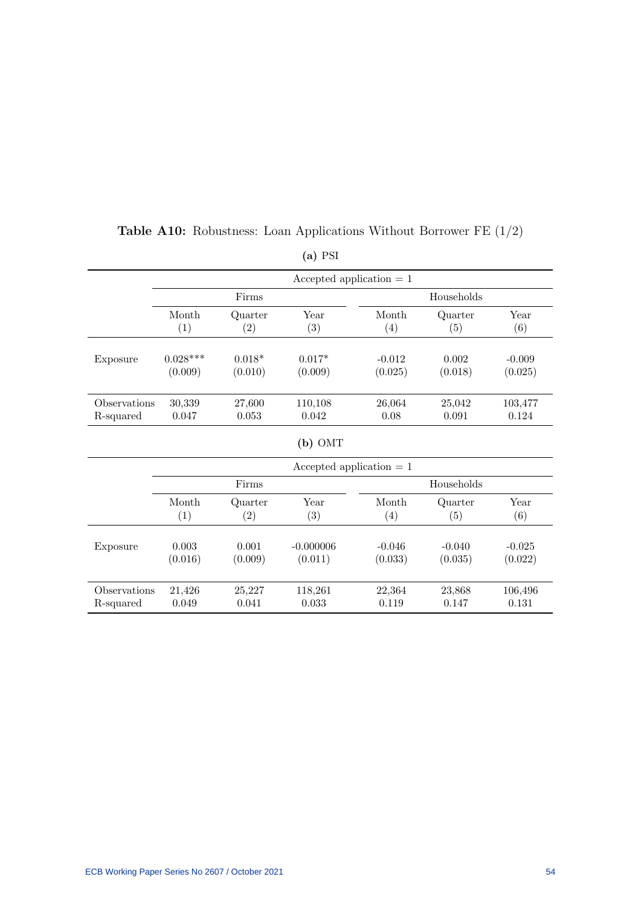|              |            |          | Accepted application $= 1$ |          |            |          |
|--------------|------------|----------|----------------------------|----------|------------|----------|
|              |            | Firms    |                            |          | Households |          |
|              | Month      | Quarter  | Year                       | Month    | Quarter    | Year     |
|              | (1)        | (2)      | (3)                        | (4)      | (5)        | (6)      |
| Exposure     | $0.028***$ | $0.018*$ | $0.017*$                   | $-0.012$ | 0.002      | $-0.009$ |
|              | (0.009)    | (0.010)  | (0.009)                    | (0.025)  | (0.018)    | (0.025)  |
| Observations | 30,339     | 27,600   | 110,108                    | 26,064   | 25,042     | 103,477  |
| R-squared    | 0.047      | 0.053    | 0.042                      | 0.08     | 0.091      | 0.124    |
|              |            |          | $(b)$ OMT                  |          |            |          |
|              |            |          | Accepted application $= 1$ |          |            |          |
|              |            | Firms    |                            |          | Households |          |
|              | Month      | Quarter  | Year                       | Month    | Quarter    | Year     |
|              | (1)        | (2)      | (3)                        | (4)      | (5)        | (6)      |
| Exposure     | 0.003      | 0.001    | $-0.000006$                | $-0.046$ | $-0.040$   | $-0.025$ |
|              | (0.016)    | (0.009)  | (0.011)                    | (0.033)  | (0.035)    | (0.022)  |
| Observations | 21,426     | 25,227   | 118,261                    | 22,364   | 23,868     | 106,496  |
| R-squared    | 0.049      | 0.041    | 0.033                      | 0.119    | 0.147      | 0.131    |

# **Table A10:** Robustness: Loan Applications Without Borrower FE  $(1/2)$

(a) PSI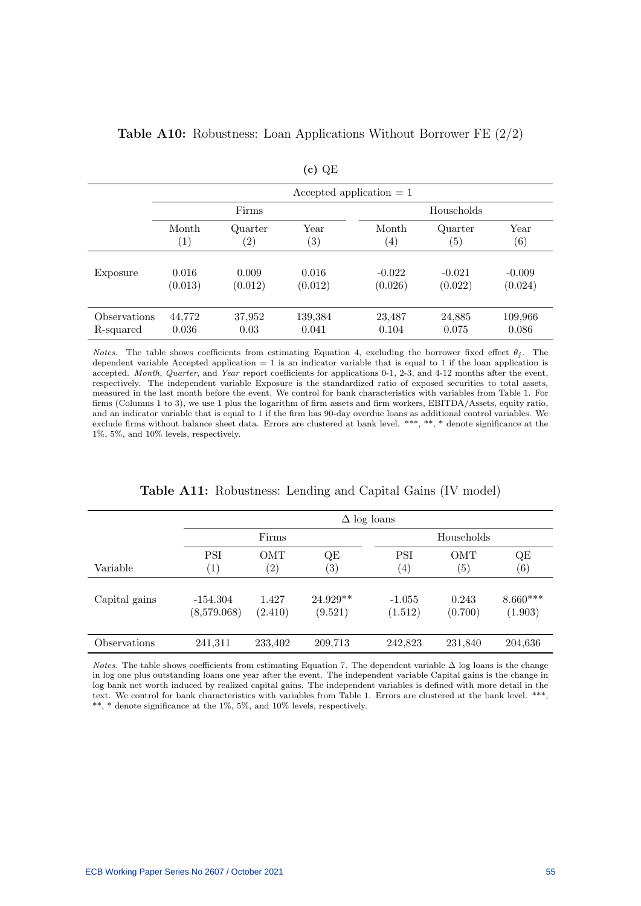|              | Accepted application $= 1$ |                   |                   |                   |                  |                   |  |  |
|--------------|----------------------------|-------------------|-------------------|-------------------|------------------|-------------------|--|--|
|              |                            | Firms             |                   | Households        |                  |                   |  |  |
|              | Month                      | Quarter           | Year              | Month             | Quarter          | Year              |  |  |
|              | $\left( 1\right)$          | $\left( 2\right)$ | $\left( 3\right)$ | $\left( 4\right)$ | $\left(5\right)$ | $\left( 6\right)$ |  |  |
| Exposure     | 0.016                      | 0.009             | 0.016             | $-0.022$          | $-0.021$         | $-0.009$          |  |  |
|              | (0.013)                    | (0.012)           | (0.012)           | (0.026)           | (0.022)          | (0.024)           |  |  |
| Observations | 44,772                     | 37,952            | 139,384           | 23,487            | 24,885           | 109,966           |  |  |
| R-squared    | 0.036                      | 0.03              | 0.041             | 0.104             | 0.075            | 0.086             |  |  |

## Table A10: Robustness: Loan Applications Without Borrower FE (2/2)

Notes. The table shows coefficients from estimating Equation 4, excluding the borrower fixed effect  $\theta_i$ . The dependent variable Accepted application  $= 1$  is an indicator variable that is equal to 1 if the loan application is accepted. Month, Quarter, and Year report coefficients for applications 0-1, 2-3, and 4-12 months after the event, respectively. The independent variable Exposure is the standardized ratio of exposed securities to total assets, measured in the last month before the event. We control for bank characteristics with variables from Table 1. For firms (Columns 1 to 3), we use 1 plus the logarithm of firm assets and firm workers, EBITDA/Assets, equity ratio, and an indicator variable that is equal to 1 if the firm has 90-day overdue loans as additional control variables. We exclude firms without balance sheet data. Errors are clustered at bank level. \*\*\*, \*\*, \* denote significance at the 1%, 5%, and 10% levels, respectively.

| Table A11: Robustness: Lending and Capital Gains (IV model) |  |  |  |  |  |  |  |
|-------------------------------------------------------------|--|--|--|--|--|--|--|
|-------------------------------------------------------------|--|--|--|--|--|--|--|

|               | $\Delta$ log loans        |                   |                       |                     |                   |                       |  |
|---------------|---------------------------|-------------------|-----------------------|---------------------|-------------------|-----------------------|--|
|               |                           | Firms             |                       |                     | Households        |                       |  |
|               | PSI                       | <b>OMT</b>        | QE                    | PSI                 | OMT               | QE                    |  |
| Variable      | $\left( 1\right)$         | $\left( 2\right)$ | $\left( 3\right)$     | $\left( 4\right)$   | $\left( 5\right)$ | $\left( 6\right)$     |  |
| Capital gains | $-154.304$<br>(8,579.068) | 1.427<br>(2.410)  | $24.929**$<br>(9.521) | $-1.055$<br>(1.512) | 0.243<br>(0.700)  | $8.660***$<br>(1.903) |  |
| Observations  | 241,311                   | 233,402           | 209,713               | 242,823             | 231,840           | 204,636               |  |

Notes. The table shows coefficients from estimating Equation 7. The dependent variable ∆ log loans is the change in log one plus outstanding loans one year after the event. The independent variable Capital gains is the change in log bank net worth induced by realized capital gains. The independent variables is defined with more detail in the text. We control for bank characteristics with variables from Table 1. Errors are clustered at the bank level. \*\*\*, \*\*, \* denote significance at the 1%, 5%, and 10% levels, respectively.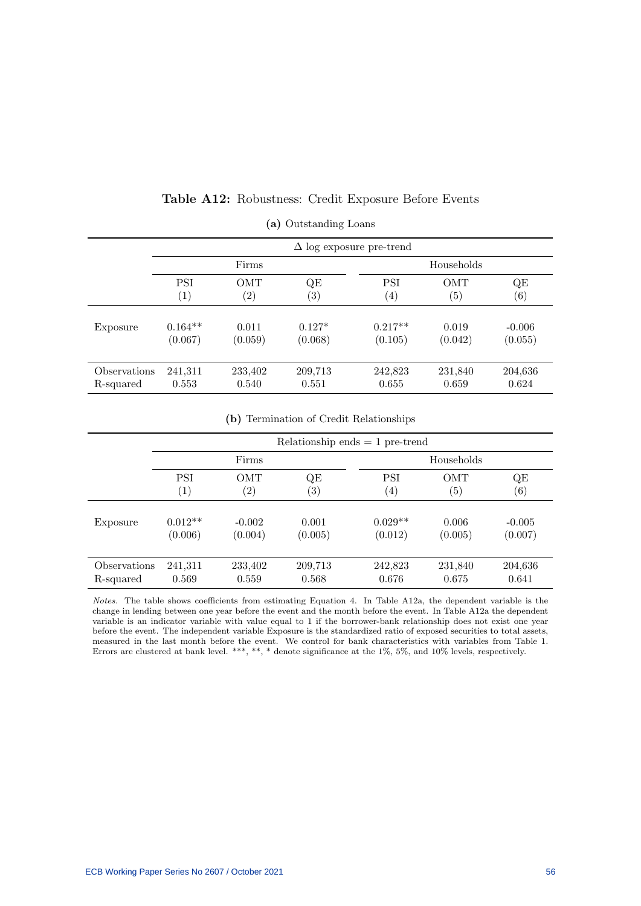|              | $\Delta$ log exposure pre-trend |                   |          |                   |                   |                   |  |  |
|--------------|---------------------------------|-------------------|----------|-------------------|-------------------|-------------------|--|--|
|              |                                 | Firms             |          | Households        |                   |                   |  |  |
|              | <b>PSI</b>                      | <b>OMT</b>        | QE       | <b>PSI</b>        | <b>OMT</b>        | QE                |  |  |
|              | $\left( 1\right)$               | $\left( 2\right)$ | (3)      | $\left( 4\right)$ | $\left( 5\right)$ | $\left( 6\right)$ |  |  |
| Exposure     | $0.164**$                       | 0.011             | $0.127*$ | $0.217**$         | 0.019             | $-0.006$          |  |  |
|              | (0.067)                         | (0.059)           | (0.068)  | (0.105)           | (0.042)           | (0.055)           |  |  |
| Observations | 241,311                         | 233,402           | 209,713  | 242,823           | 231,840           | 204,636           |  |  |
| R-squared    | 0.553                           | 0.540             | 0.551    | 0.655             | 0.659             | 0.624             |  |  |

### Table A12: Robustness: Credit Exposure Before Events

(a) Outstanding Loans

(b) Termination of Credit Relationships

|              | Relationship ends $= 1$ pre-trend |                   |                   |                   |                   |                   |  |
|--------------|-----------------------------------|-------------------|-------------------|-------------------|-------------------|-------------------|--|
|              | Firms                             |                   |                   | Households        |                   |                   |  |
|              | <b>PSI</b>                        | <b>OMT</b>        | QE                | PSI               | <b>OMT</b>        | QE                |  |
|              | $\left( 1\right)$                 | $\left( 2\right)$ | $\left( 3\right)$ | $\left( 4\right)$ | $\left( 5\right)$ | $\left( 6\right)$ |  |
| Exposure     | $0.012**$                         | $-0.002$          | 0.001             | $0.029**$         | 0.006             | $-0.005$          |  |
|              | (0.006)                           | (0.004)           | (0.005)           | (0.012)           | (0.005)           | (0.007)           |  |
| Observations | 241,311                           | 233,402           | 209,713           | 242,823           | 231,840           | 204,636           |  |
| R-squared    | 0.569                             | 0.559             | 0.568             | 0.676             | 0.675             | 0.641             |  |

Notes. The table shows coefficients from estimating Equation 4. In Table A12a, the dependent variable is the change in lending between one year before the event and the month before the event. In Table A12a the dependent variable is an indicator variable with value equal to 1 if the borrower-bank relationship does not exist one year before the event. The independent variable Exposure is the standardized ratio of exposed securities to total assets, measured in the last month before the event. We control for bank characteristics with variables from Table 1. Errors are clustered at bank level. \*\*\*, \*\*, \* denote significance at the 1%, 5%, and 10% levels, respectively.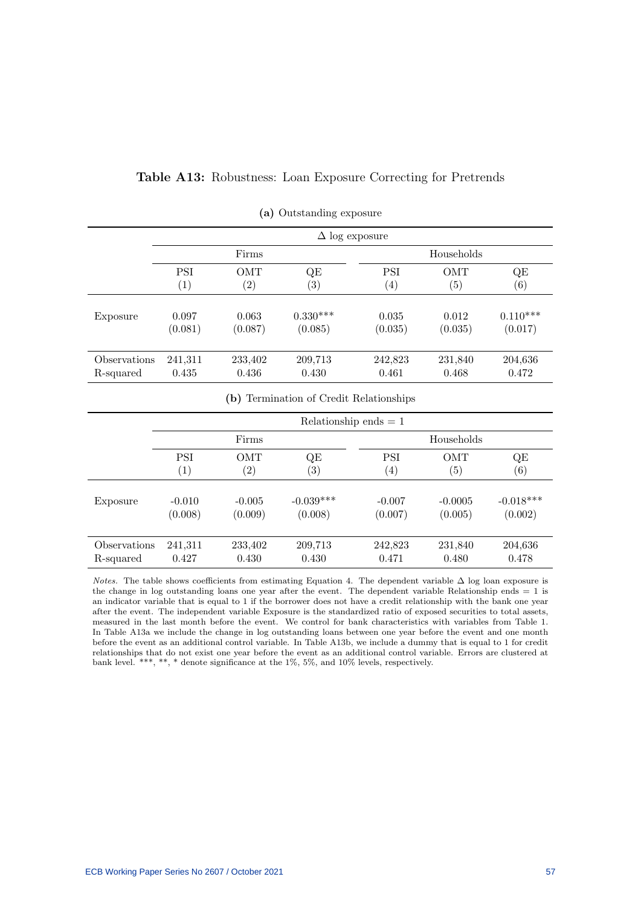## Table A13: Robustness: Loan Exposure Correcting for Pretrends

|              | $\Delta$ log exposure |                   |                                         |            |            |             |  |  |
|--------------|-----------------------|-------------------|-----------------------------------------|------------|------------|-------------|--|--|
|              |                       | Firms             |                                         | Households |            |             |  |  |
|              | <b>PSI</b>            | <b>OMT</b>        | QE                                      | <b>PSI</b> | <b>OMT</b> | QE          |  |  |
|              | (1)                   | (2)               | (3)                                     | (4)        | (5)        | (6)         |  |  |
| Exposure     | 0.097                 | 0.063             | $0.330***$                              | 0.035      | 0.012      | $0.110***$  |  |  |
|              | (0.081)               | (0.087)           | (0.085)                                 | (0.035)    | (0.035)    | (0.017)     |  |  |
| Observations | 241,311               | 233,402           | 209,713                                 | 242,823    | 231,840    | 204,636     |  |  |
| R-squared    | 0.435                 | 0.436             | 0.430                                   | 0.461      | 0.468      | 0.472       |  |  |
|              |                       |                   | (b) Termination of Credit Relationships |            |            |             |  |  |
|              |                       |                   | Relationship ends $= 1$                 |            |            |             |  |  |
|              |                       | Firms             |                                         |            | Households |             |  |  |
|              | <b>PSI</b>            | OMT               | QE                                      | <b>PSI</b> | OMT        | QE          |  |  |
|              | (1)                   | $\left( 2\right)$ | $\left( 3\right)$                       | (4)        | (5)        | (6)         |  |  |
| Exposure     | $-0.010$              | $-0.005$          | $-0.039***$                             | $-0.007$   | $-0.0005$  | $-0.018***$ |  |  |
|              | (0.008)               | (0.009)           | (0.008)                                 | (0.007)    | (0.005)    | (0.002)     |  |  |
| Observations | 241,311               | 233,402           | 209,713                                 | 242,823    | 231,840    | 204,636     |  |  |
| R-squared    | 0.427                 | 0.430             | 0.430                                   | 0.471      | 0.480      | 0.478       |  |  |

| (a) Outstanding exposure |
|--------------------------|
|--------------------------|

Notes. The table shows coefficients from estimating Equation 4. The dependent variable ∆ log loan exposure is the change in log outstanding loans one year after the event. The dependent variable Relationship ends = 1 is an indicator variable that is equal to 1 if the borrower does not have a credit relationship with the bank one year after the event. The independent variable Exposure is the standardized ratio of exposed securities to total assets, measured in the last month before the event. We control for bank characteristics with variables from Table 1. In Table A13a we include the change in log outstanding loans between one year before the event and one month before the event as an additional control variable. In Table A13b, we include a dummy that is equal to 1 for credit relationships that do not exist one year before the event as an additional control variable. Errors are clustered at bank level. \*\*\*, \*\*, \* denote significance at the 1%, 5%, and 10% levels, respectively.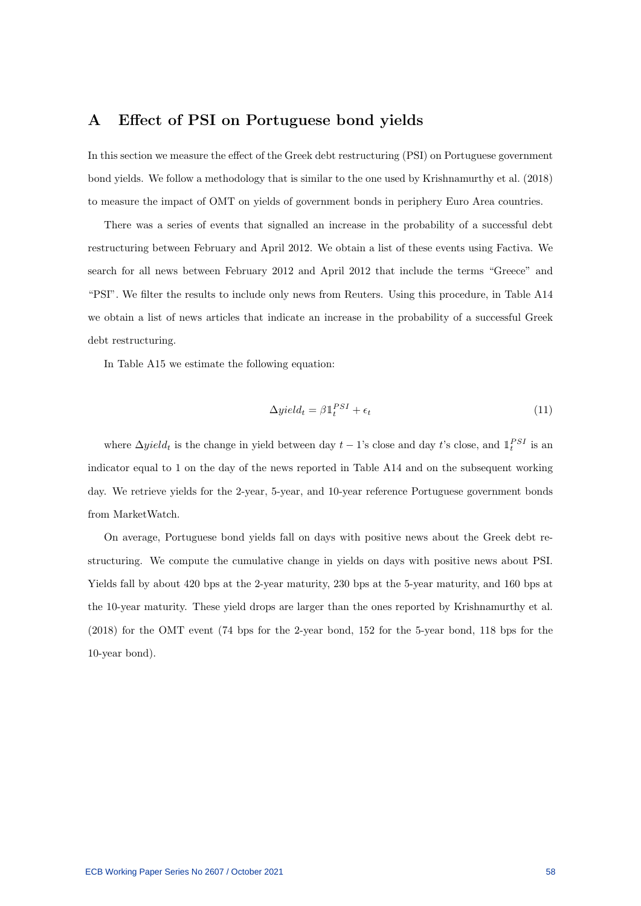## A Effect of PSI on Portuguese bond yields

In this section we measure the effect of the Greek debt restructuring (PSI) on Portuguese government bond yields. We follow a methodology that is similar to the one used by Krishnamurthy et al. (2018) to measure the impact of OMT on yields of government bonds in periphery Euro Area countries.

There was a series of events that signalled an increase in the probability of a successful debt restructuring between February and April 2012. We obtain a list of these events using Factiva. We search for all news between February 2012 and April 2012 that include the terms "Greece" and "PSI". We filter the results to include only news from Reuters. Using this procedure, in Table A14 we obtain a list of news articles that indicate an increase in the probability of a successful Greek debt restructuring.

In Table A15 we estimate the following equation:

$$
\Delta yield_t = \beta \mathbb{1}_t^{PSI} + \epsilon_t \tag{11}
$$

where  $\Delta yield_t$  is the change in yield between day  $t-1$ 's close and day t's close, and  $\mathbb{1}_t^{PSI}$  is an indicator equal to 1 on the day of the news reported in Table A14 and on the subsequent working day. We retrieve yields for the 2-year, 5-year, and 10-year reference Portuguese government bonds from MarketWatch.

On average, Portuguese bond yields fall on days with positive news about the Greek debt restructuring. We compute the cumulative change in yields on days with positive news about PSI. Yields fall by about 420 bps at the 2-year maturity, 230 bps at the 5-year maturity, and 160 bps at the 10-year maturity. These yield drops are larger than the ones reported by Krishnamurthy et al. (2018) for the OMT event (74 bps for the 2-year bond, 152 for the 5-year bond, 118 bps for the 10-year bond).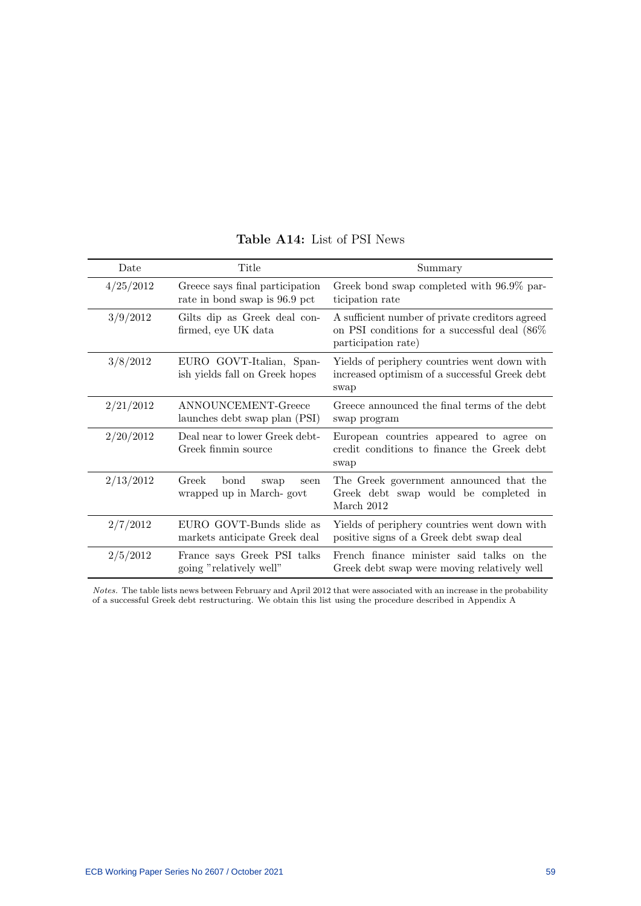| Date      | Title                                                            | Summary                                                                                                                   |  |
|-----------|------------------------------------------------------------------|---------------------------------------------------------------------------------------------------------------------------|--|
| 4/25/2012 | Greece says final participation<br>rate in bond swap is 96.9 pct | Greek bond swap completed with 96.9% par-<br>ticipation rate                                                              |  |
| 3/9/2012  | Gilts dip as Greek deal con-<br>firmed, eye UK data              | A sufficient number of private creditors agreed<br>on PSI conditions for a successful deal $(86\%$<br>participation rate) |  |
| 3/8/2012  | EURO GOVT-Italian, Span-<br>ish yields fall on Greek hopes       | Yields of periphery countries went down with<br>increased optimism of a successful Greek debt<br>swap                     |  |
| 2/21/2012 | ANNOUNCEMENT-Greece<br>launches debt swap plan (PSI)             | Greece announced the final terms of the debt<br>swap program                                                              |  |
| 2/20/2012 | Deal near to lower Greek debt-<br>Greek finmin source            | European countries appeared to agree on<br>credit conditions to finance the Greek debt<br>swap                            |  |
| 2/13/2012 | Greek<br>bond<br>swap<br>seen<br>wrapped up in March-govt        | The Greek government announced that the<br>Greek debt swap would be completed in<br>March 2012                            |  |
| 2/7/2012  | EURO GOVT-Bunds slide as<br>markets anticipate Greek deal        | Yields of periphery countries went down with<br>positive signs of a Greek debt swap deal                                  |  |
| 2/5/2012  | France says Greek PSI talks<br>going "relatively well"           | French finance minister said talks on the<br>Greek debt swap were moving relatively well                                  |  |

## Table A14: List of PSI News

Notes. The table lists news between February and April 2012 that were associated with an increase in the probability of a successful Greek debt restructuring. We obtain this list using the procedure described in Appendix A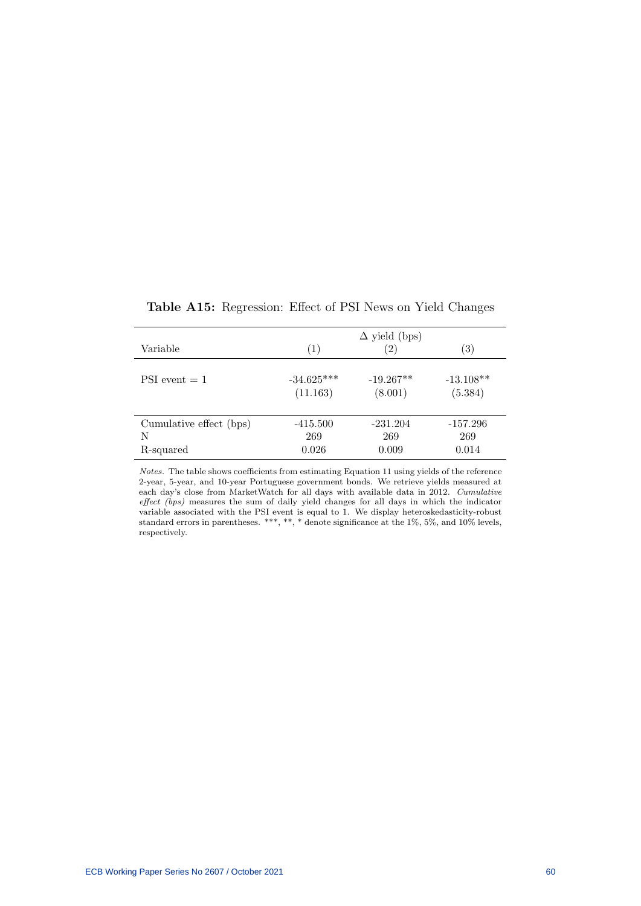| Variable                | (1)          | $\Delta$ yield (bps)<br>$\left( 2\right)$ | $\left( 3\right)$ |
|-------------------------|--------------|-------------------------------------------|-------------------|
| $PSI event = 1$         | $-34.625***$ | $-19.267**$                               | $-13.108**$       |
|                         | (11.163)     | (8.001)                                   | (5.384)           |
| Cumulative effect (bps) | $-415.500$   | $-231.204$                                | $-157.296$        |
| N                       | 269          | 269                                       | 269               |
| R-squared               | 0.026        | 0.009                                     | 0.014             |

Table A15: Regression: Effect of PSI News on Yield Changes

Notes. The table shows coefficients from estimating Equation 11 using yields of the reference 2-year, 5-year, and 10-year Portuguese government bonds. We retrieve yields measured at each day's close from MarketWatch for all days with available data in 2012. Cumulative effect (bps) measures the sum of daily yield changes for all days in which the indicator variable associated with the PSI event is equal to 1. We display heteroskedasticity-robust standard errors in parentheses. \*\*\*, \*\*, \* denote significance at the 1%, 5%, and 10% levels, respectively.